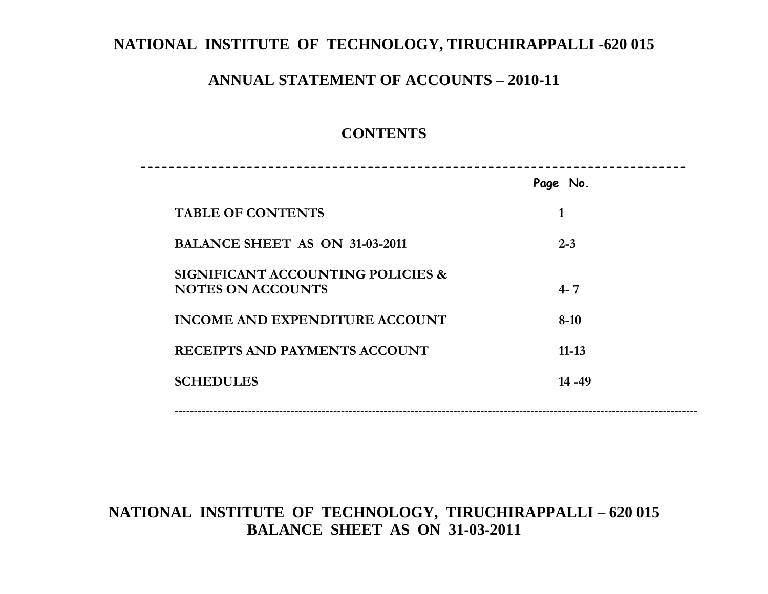# **NATIONAL INSTITUTE OF TECHNOLOGY, TIRUCHIRAPPALLI -620 015**

### **ANNUAL STATEMENT OF ACCOUNTS – 2010-11**

## **CONTENTS**

|                                                               | Page No.  |
|---------------------------------------------------------------|-----------|
| <b>TABLE OF CONTENTS</b>                                      |           |
| <b>BALANCE SHEET AS ON 31-03-2011</b>                         | $2 - 3$   |
| SIGNIFICANT ACCOUNTING POLICIES &<br><b>NOTES ON ACCOUNTS</b> | $4 - 7$   |
| <b>INCOME AND EXPENDITURE ACCOUNT</b>                         | $8-10$    |
| RECEIPTS AND PAYMENTS ACCOUNT                                 | $11 - 13$ |
| <b>SCHEDULES</b>                                              | $14 - 49$ |
|                                                               |           |

---------------------------------------------------------------------------------------------------------------------------------------

# **NATIONAL INSTITUTE OF TECHNOLOGY, TIRUCHIRAPPALLI – 620 015 BALANCE SHEET AS ON 31-03-2011**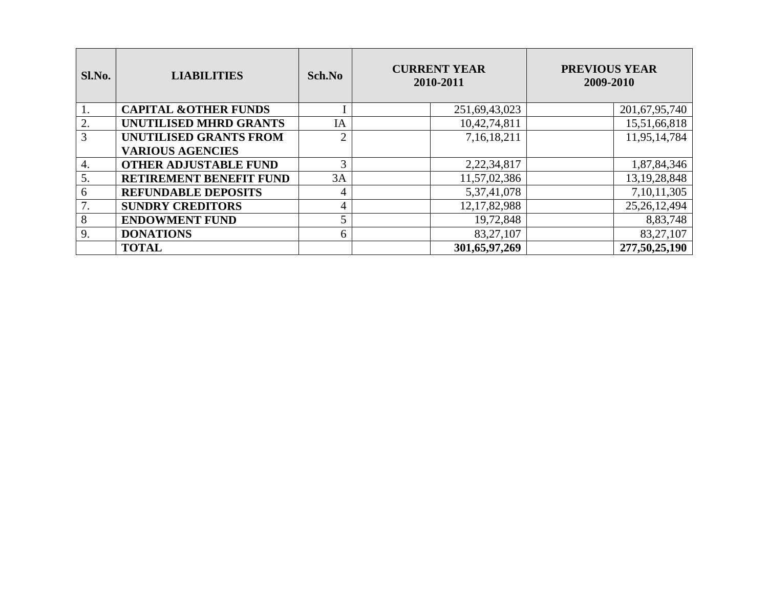| Sl.No. | <b>LIABILITIES</b>              | Sch.No         | <b>CURRENT YEAR</b><br>2010-2011 |                 | <b>PREVIOUS YEAR</b><br>2009-2010 |                 |
|--------|---------------------------------|----------------|----------------------------------|-----------------|-----------------------------------|-----------------|
| 1.     | <b>CAPITAL &amp;OTHER FUNDS</b> |                |                                  | 251,69,43,023   |                                   | 201,67,95,740   |
| 2.     | UNUTILISED MHRD GRANTS          | IA             |                                  | 10,42,74,811    |                                   | 15,51,66,818    |
| 3      | UNUTILISED GRANTS FROM          | $\overline{2}$ |                                  | 7,16,18,211     |                                   | 11,95,14,784    |
|        | <b>VARIOUS AGENCIES</b>         |                |                                  |                 |                                   |                 |
| 4.     | <b>OTHER ADJUSTABLE FUND</b>    | 3              |                                  | 2,22,34,817     |                                   | 1,87,84,346     |
| 5.     | RETIREMENT BENEFIT FUND         | 3A             |                                  | 11,57,02,386    |                                   | 13, 19, 28, 848 |
| 6      | <b>REFUNDABLE DEPOSITS</b>      | 4              |                                  | 5, 37, 41, 078  |                                   | 7, 10, 11, 305  |
| 7.     | <b>SUNDRY CREDITORS</b>         | 4              |                                  | 12, 17, 82, 988 |                                   | 25, 26, 12, 494 |
| 8      | <b>ENDOWMENT FUND</b>           | 5              |                                  | 19,72,848       |                                   | 8,83,748        |
| 9.     | <b>DONATIONS</b>                | 6              |                                  | 83,27,107       |                                   | 83,27,107       |
|        | <b>TOTAL</b>                    |                |                                  | 301,65,97,269   |                                   | 277,50,25,190   |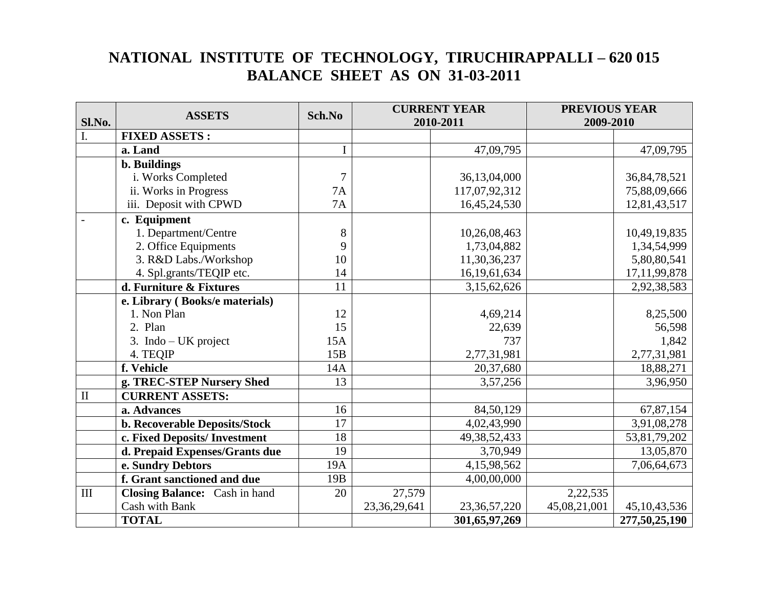# **NATIONAL INSTITUTE OF TECHNOLOGY, TIRUCHIRAPPALLI – 620 015 BALANCE SHEET AS ON 31-03-2011**

|                  | <b>ASSETS</b>                        | Sch.No          |              | <b>CURRENT YEAR</b> | <b>PREVIOUS YEAR</b> |                 |
|------------------|--------------------------------------|-----------------|--------------|---------------------|----------------------|-----------------|
| Sl.No.           |                                      |                 |              | 2010-2011           | 2009-2010            |                 |
| $\overline{I}$ . | <b>FIXED ASSETS:</b>                 |                 |              |                     |                      |                 |
|                  | a. Land                              | I               |              | 47,09,795           |                      | 47,09,795       |
|                  | <b>b.</b> Buildings                  |                 |              |                     |                      |                 |
|                  | i. Works Completed                   | $\overline{7}$  |              | 36,13,04,000        |                      | 36, 84, 78, 521 |
|                  | ii. Works in Progress                | <b>7A</b>       |              | 117,07,92,312       |                      | 75,88,09,666    |
|                  | iii. Deposit with CPWD               | <b>7A</b>       |              | 16,45,24,530        |                      | 12,81,43,517    |
| $\sim$           | c. Equipment                         |                 |              |                     |                      |                 |
|                  | 1. Department/Centre                 | $8\,$           |              | 10,26,08,463        |                      | 10,49,19,835    |
|                  | 2. Office Equipments                 | 9               |              | 1,73,04,882         |                      | 1,34,54,999     |
|                  | 3. R&D Labs./Workshop                | 10              |              | 11,30,36,237        |                      | 5,80,80,541     |
|                  | 4. Spl.grants/TEQIP etc.             | 14              |              | 16,19,61,634        |                      | 17, 11, 99, 878 |
|                  | d. Furniture & Fixtures              | 11              |              | 3,15,62,626         |                      | 2,92,38,583     |
|                  | e. Library (Books/e materials)       |                 |              |                     |                      |                 |
|                  | 1. Non Plan                          | 12              |              | 4,69,214            |                      | 8,25,500        |
|                  | 2. Plan                              | 15              |              | 22,639              |                      | 56,598          |
|                  | 3. Indo – UK project                 | 15A             |              | 737                 |                      | 1,842           |
|                  | 4. TEQIP                             | 15B             |              | 2,77,31,981         |                      | 2,77,31,981     |
|                  | f. Vehicle                           | 14A             |              | 20,37,680           |                      | 18,88,271       |
|                  | g. TREC-STEP Nursery Shed            | 13              |              | 3,57,256            |                      | 3,96,950        |
| $\mathbf{I}$     | <b>CURRENT ASSETS:</b>               |                 |              |                     |                      |                 |
|                  | a. Advances                          | 16              |              | 84,50,129           |                      | 67,87,154       |
|                  | <b>b. Recoverable Deposits/Stock</b> | 17              |              | 4,02,43,990         |                      | 3,91,08,278     |
|                  | c. Fixed Deposits/ Investment        | 18              |              | 49, 38, 52, 433     |                      | 53,81,79,202    |
|                  | d. Prepaid Expenses/Grants due       | 19              |              | 3,70,949            |                      | 13,05,870       |
|                  | e. Sundry Debtors                    | 19A             |              | 4,15,98,562         |                      | 7,06,64,673     |
|                  | f. Grant sanctioned and due          | 19 <sub>B</sub> |              | 4,00,00,000         |                      |                 |
| III              | Closing Balance: Cash in hand        | 20              | 27,579       |                     | 2,22,535             |                 |
|                  | Cash with Bank                       |                 | 23,36,29,641 | 23, 36, 57, 220     | 45,08,21,001         | 45, 10, 43, 536 |
|                  | <b>TOTAL</b>                         |                 |              | 301,65,97,269       |                      | 277,50,25,190   |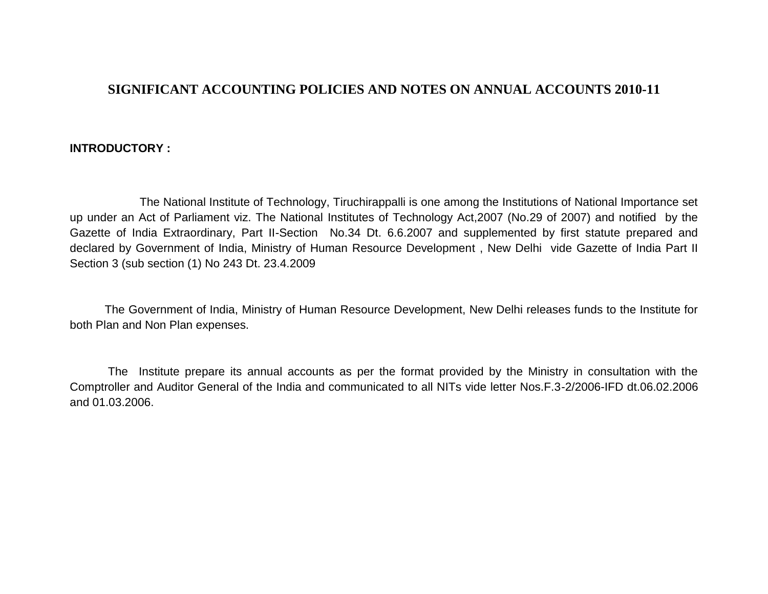#### **SIGNIFICANT ACCOUNTING POLICIES AND NOTES ON ANNUAL ACCOUNTS 2010-11**

#### **INTRODUCTORY :**

The National Institute of Technology, Tiruchirappalli is one among the Institutions of National Importance set up under an Act of Parliament viz. The National Institutes of Technology Act,2007 (No.29 of 2007) and notified by the Gazette of India Extraordinary, Part II-Section No.34 Dt. 6.6.2007 and supplemented by first statute prepared and declared by Government of India, Ministry of Human Resource Development , New Delhi vide Gazette of India Part II Section 3 (sub section (1) No 243 Dt. 23.4.2009

The Government of India, Ministry of Human Resource Development, New Delhi releases funds to the Institute for both Plan and Non Plan expenses.

The Institute prepare its annual accounts as per the format provided by the Ministry in consultation with the Comptroller and Auditor General of the India and communicated to all NITs vide letter Nos.F.3-2/2006-IFD dt.06.02.2006 and 01.03.2006.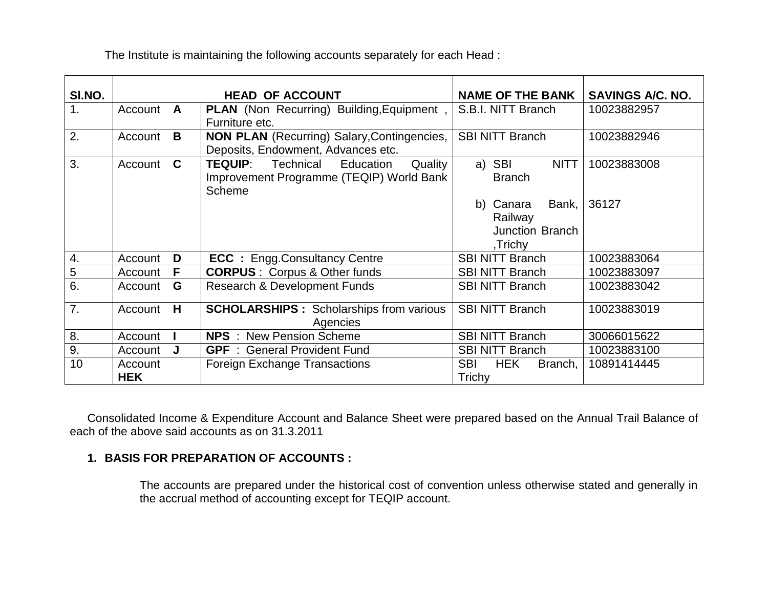| SI.NO.         |            |   | <b>HEAD OF ACCOUNT</b>                              | <b>NAME OF THE BANK</b>             | <b>SAVINGS A/C. NO.</b> |
|----------------|------------|---|-----------------------------------------------------|-------------------------------------|-------------------------|
| 1.             | Account A  |   | PLAN (Non Recurring) Building, Equipment,           | S.B.I. NITT Branch                  | 10023882957             |
|                |            |   | Furniture etc.                                      |                                     |                         |
| 2.             | Account    | B | <b>NON PLAN</b> (Recurring) Salary, Contingencies,  | <b>SBI NITT Branch</b>              | 10023882946             |
|                |            |   | Deposits, Endowment, Advances etc.                  |                                     |                         |
| 3.             | Account    | C | Quality<br><b>TEQUIP:</b><br>Technical<br>Education | a) SBI<br><b>NITT</b>               | 10023883008             |
|                |            |   | Improvement Programme (TEQIP) World Bank            | <b>Branch</b>                       |                         |
|                |            |   | <b>Scheme</b>                                       |                                     |                         |
|                |            |   |                                                     | Bank,<br>Canara<br>b)               | 36127                   |
|                |            |   |                                                     | Railway                             |                         |
|                |            |   |                                                     | <b>Junction Branch</b>              |                         |
|                |            |   |                                                     | Trichy,                             |                         |
| 4.             | Account    | D | <b>ECC</b> : Engg.Consultancy Centre                | <b>SBI NITT Branch</b>              | 10023883064             |
| $\overline{5}$ | Account    | F | <b>CORPUS</b> : Corpus & Other funds                | <b>SBI NITT Branch</b>              | 10023883097             |
| 6.             | Account    | G | Research & Development Funds                        | <b>SBI NITT Branch</b>              | 10023883042             |
| 7.             | Account    | H | <b>SCHOLARSHIPS</b> : Scholarships from various     | <b>SBI NITT Branch</b>              | 10023883019             |
|                |            |   | Agencies                                            |                                     |                         |
| 8.             | Account    |   | <b>NPS</b> : New Pension Scheme                     | <b>SBI NITT Branch</b>              | 30066015622             |
| 9.             | Account    | J | <b>GPF</b> : General Provident Fund                 | <b>SBI NITT Branch</b>              | 10023883100             |
| 10             | Account    |   | <b>Foreign Exchange Transactions</b>                | <b>HEK</b><br><b>SBI</b><br>Branch, | 10891414445             |
|                | <b>HEK</b> |   |                                                     | Trichy                              |                         |

The Institute is maintaining the following accounts separately for each Head :

Consolidated Income & Expenditure Account and Balance Sheet were prepared based on the Annual Trail Balance of each of the above said accounts as on 31.3.2011

#### **1. BASIS FOR PREPARATION OF ACCOUNTS :**

The accounts are prepared under the historical cost of convention unless otherwise stated and generally in the accrual method of accounting except for TEQIP account.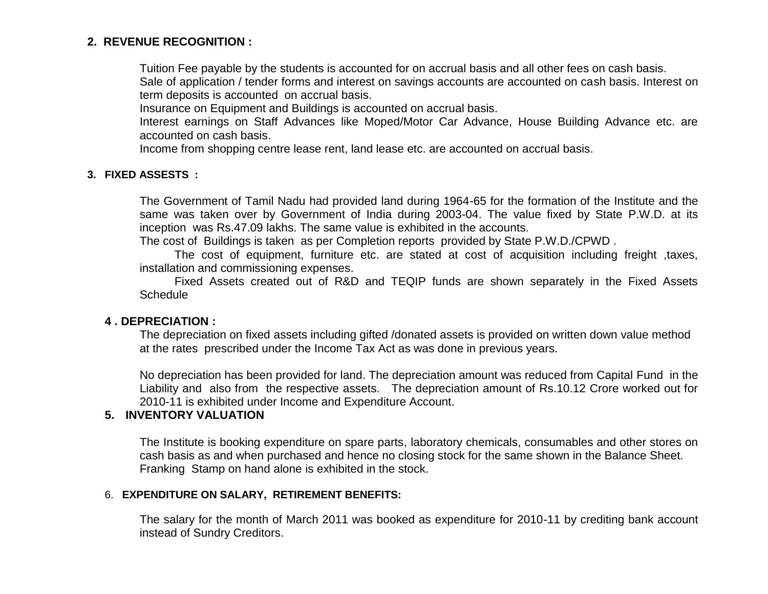#### **2. REVENUE RECOGNITION :**

Tuition Fee payable by the students is accounted for on accrual basis and all other fees on cash basis. Sale of application / tender forms and interest on savings accounts are accounted on cash basis. Interest on term deposits is accounted on accrual basis.

Insurance on Equipment and Buildings is accounted on accrual basis.

Interest earnings on Staff Advances like Moped/Motor Car Advance, House Building Advance etc. are accounted on cash basis.

Income from shopping centre lease rent, land lease etc. are accounted on accrual basis.

#### **3. FIXED ASSESTS :**

The Government of Tamil Nadu had provided land during 1964-65 for the formation of the Institute and the same was taken over by Government of India during 2003-04. The value fixed by State P.W.D. at its inception was Rs.47.09 lakhs. The same value is exhibited in the accounts.

The cost of Buildings is taken as per Completion reports provided by State P.W.D./CPWD .

The cost of equipment, furniture etc. are stated at cost of acquisition including freight , taxes, installation and commissioning expenses.

Fixed Assets created out of R&D and TEQIP funds are shown separately in the Fixed Assets **Schedule** 

#### **4 . DEPRECIATION :**

The depreciation on fixed assets including gifted /donated assets is provided on written down value method at the rates prescribed under the Income Tax Act as was done in previous years.

No depreciation has been provided for land. The depreciation amount was reduced from Capital Fund in the Liability and also from the respective assets. The depreciation amount of Rs.10.12 Crore worked out for 2010-11 is exhibited under Income and Expenditure Account.

#### **5. INVENTORY VALUATION**

The Institute is booking expenditure on spare parts, laboratory chemicals, consumables and other stores on cash basis as and when purchased and hence no closing stock for the same shown in the Balance Sheet. Franking Stamp on hand alone is exhibited in the stock.

#### 6. **EXPENDITURE ON SALARY, RETIREMENT BENEFITS:**

The salary for the month of March 2011 was booked as expenditure for 2010-11 by crediting bank account instead of Sundry Creditors.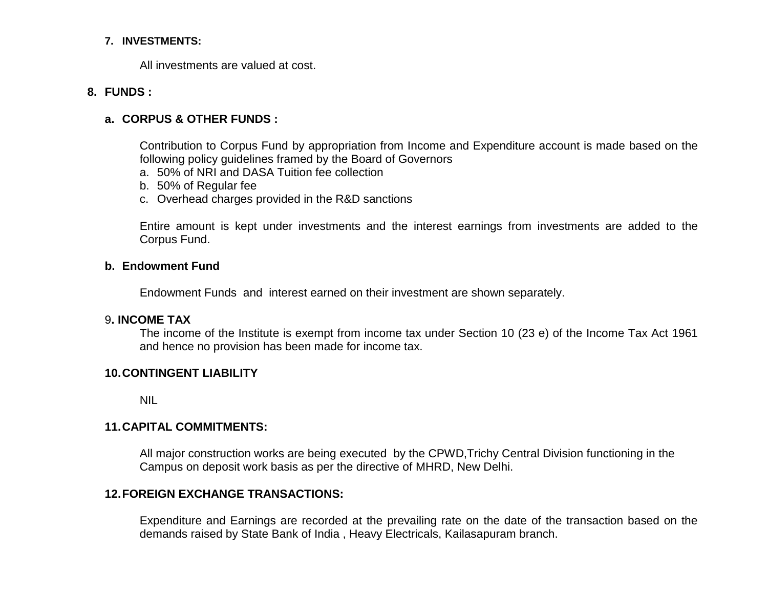#### **7. INVESTMENTS:**

All investments are valued at cost.

#### **8. FUNDS :**

#### **a. CORPUS & OTHER FUNDS :**

Contribution to Corpus Fund by appropriation from Income and Expenditure account is made based on the following policy guidelines framed by the Board of Governors

- a. 50% of NRI and DASA Tuition fee collection
- b. 50% of Regular fee
- c. Overhead charges provided in the R&D sanctions

Entire amount is kept under investments and the interest earnings from investments are added to the Corpus Fund.

#### **b. Endowment Fund**

Endowment Funds and interest earned on their investment are shown separately.

#### 9**. INCOME TAX**

The income of the Institute is exempt from income tax under Section 10 (23 e) of the Income Tax Act 1961 and hence no provision has been made for income tax.

#### **10.CONTINGENT LIABILITY**

NIL

#### **11.CAPITAL COMMITMENTS:**

All major construction works are being executed by the CPWD,Trichy Central Division functioning in the Campus on deposit work basis as per the directive of MHRD, New Delhi.

#### **12.FOREIGN EXCHANGE TRANSACTIONS:**

Expenditure and Earnings are recorded at the prevailing rate on the date of the transaction based on the demands raised by State Bank of India , Heavy Electricals, Kailasapuram branch.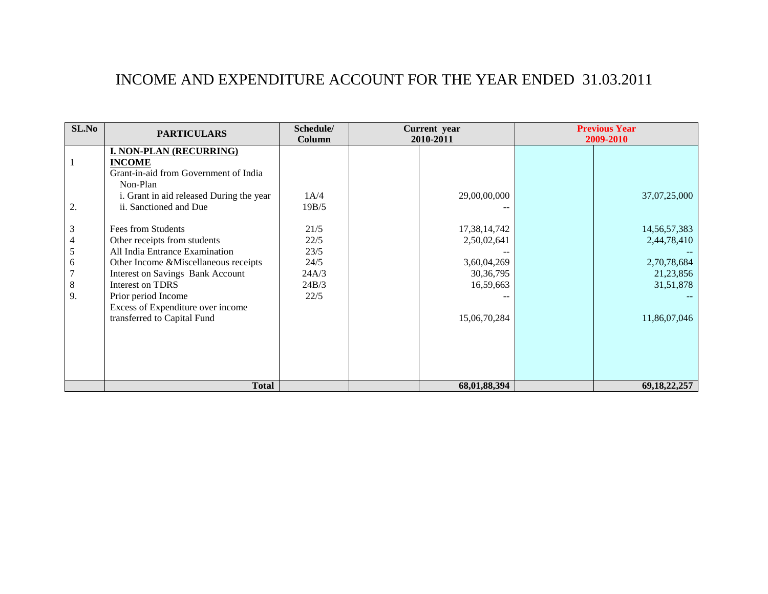# INCOME AND EXPENDITURE ACCOUNT FOR THE YEAR ENDED 31.03.2011

| SL.No                                                                           | <b>PARTICULARS</b>                                                                                                                                                                                                                                                                     | Schedule/<br>Column                                    | Current year<br>2010-2011                                                              | <b>Previous Year</b><br>2009-2010                                                       |
|---------------------------------------------------------------------------------|----------------------------------------------------------------------------------------------------------------------------------------------------------------------------------------------------------------------------------------------------------------------------------------|--------------------------------------------------------|----------------------------------------------------------------------------------------|-----------------------------------------------------------------------------------------|
| $\mathbf{1}$<br>2.                                                              | <b>I. NON-PLAN (RECURRING)</b><br><b>INCOME</b><br>Grant-in-aid from Government of India<br>Non-Plan<br>i. Grant in aid released During the year<br>ii. Sanctioned and Due                                                                                                             | 1A/4<br>19B/5                                          | 29,00,00,000                                                                           | 37,07,25,000                                                                            |
| $\mathfrak{Z}$<br>$\frac{4}{5}$<br>$\sqrt{6}$<br>$\overline{7}$<br>$\, 8$<br>9. | Fees from Students<br>Other receipts from students<br>All India Entrance Examination<br>Other Income &Miscellaneous receipts<br><b>Interest on Savings Bank Account</b><br>Interest on TDRS<br>Prior period Income<br>Excess of Expenditure over income<br>transferred to Capital Fund | 21/5<br>22/5<br>23/5<br>24/5<br>24A/3<br>24B/3<br>22/5 | 17,38,14,742<br>2,50,02,641<br>3,60,04,269<br>30, 36, 795<br>16,59,663<br>15,06,70,284 | 14, 56, 57, 383<br>2,44,78,410<br>2,70,78,684<br>21,23,856<br>31,51,878<br>11,86,07,046 |
|                                                                                 | <b>Total</b>                                                                                                                                                                                                                                                                           |                                                        | 68,01,88,394                                                                           | 69, 18, 22, 257                                                                         |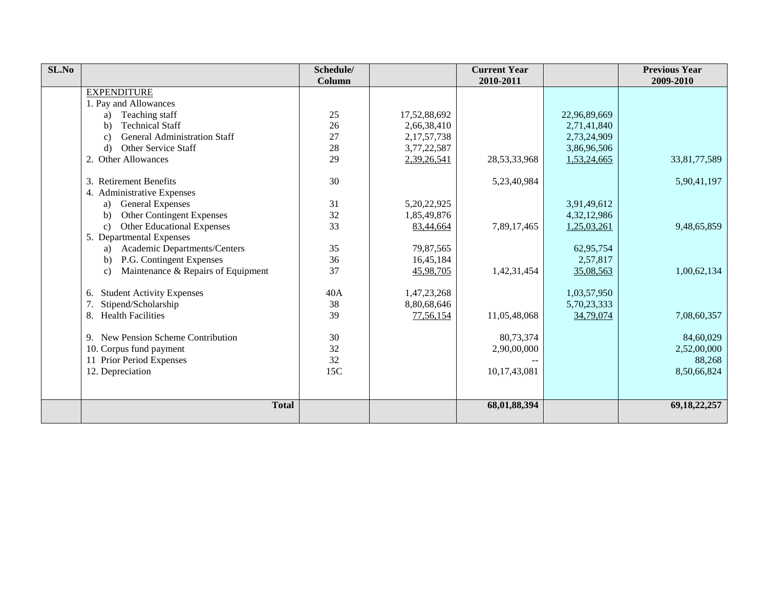| SL.No |                                                        | Schedule/<br>Column |                | <b>Current Year</b><br>2010-2011 |              | <b>Previous Year</b><br>2009-2010 |
|-------|--------------------------------------------------------|---------------------|----------------|----------------------------------|--------------|-----------------------------------|
|       | <b>EXPENDITURE</b>                                     |                     |                |                                  |              |                                   |
|       | 1. Pay and Allowances                                  |                     |                |                                  |              |                                   |
|       | Teaching staff<br>a)                                   | 25                  | 17,52,88,692   |                                  | 22,96,89,669 |                                   |
|       | <b>Technical Staff</b><br>b)                           | 26                  | 2,66,38,410    |                                  | 2,71,41,840  |                                   |
|       | <b>General Administration Staff</b><br>$\mathcal{C}$ ) | 27                  | 2, 17, 57, 738 |                                  | 2,73,24,909  |                                   |
|       | Other Service Staff<br>$\mathbf{d}$                    | 28                  | 3,77,22,587    |                                  | 3,86,96,506  |                                   |
|       | <b>Other Allowances</b>                                | 29                  | 2,39,26,541    | 28,53,33,968                     | 1,53,24,665  | 33,81,77,589                      |
|       | 3. Retirement Benefits                                 | 30                  |                | 5,23,40,984                      |              | 5,90,41,197                       |
|       | 4. Administrative Expenses                             |                     |                |                                  |              |                                   |
|       | <b>General Expenses</b><br>a)                          | 31                  | 5,20,22,925    |                                  | 3,91,49,612  |                                   |
|       | <b>Other Contingent Expenses</b><br>b)                 | 32                  | 1,85,49,876    |                                  | 4,32,12,986  |                                   |
|       | <b>Other Educational Expenses</b><br>c)                | 33                  | 83,44,664      | 7,89,17,465                      | 1,25,03,261  | 9,48,65,859                       |
|       | 5. Departmental Expenses                               |                     |                |                                  |              |                                   |
|       | Academic Departments/Centers<br>a)                     | 35                  | 79,87,565      |                                  | 62,95,754    |                                   |
|       | P.G. Contingent Expenses<br>b)                         | 36                  | 16,45,184      |                                  | 2,57,817     |                                   |
|       | Maintenance & Repairs of Equipment<br>$\mathbf{c})$    | 37                  | 45,98,705      | 1,42,31,454                      | 35,08,563    | 1,00,62,134                       |
|       | <b>Student Activity Expenses</b><br>6.                 | 40A                 | 1,47,23,268    |                                  | 1,03,57,950  |                                   |
|       | Stipend/Scholarship                                    | 38                  | 8,80,68,646    |                                  | 5,70,23,333  |                                   |
|       | <b>Health Facilities</b><br>8.                         | 39                  | 77,56,154      | 11,05,48,068                     | 34,79,074    | 7,08,60,357                       |
|       | 9. New Pension Scheme Contribution                     | 30                  |                | 80,73,374                        |              | 84,60,029                         |
|       | 10. Corpus fund payment                                | 32                  |                | 2,90,00,000                      |              | 2,52,00,000                       |
|       | 11 Prior Period Expenses                               | 32                  |                |                                  |              | 88,268                            |
|       | 12. Depreciation                                       | 15C                 |                | 10,17,43,081                     |              | 8,50,66,824                       |
|       |                                                        |                     |                |                                  |              |                                   |
|       | <b>Total</b>                                           |                     |                | 68,01,88,394                     |              | 69, 18, 22, 257                   |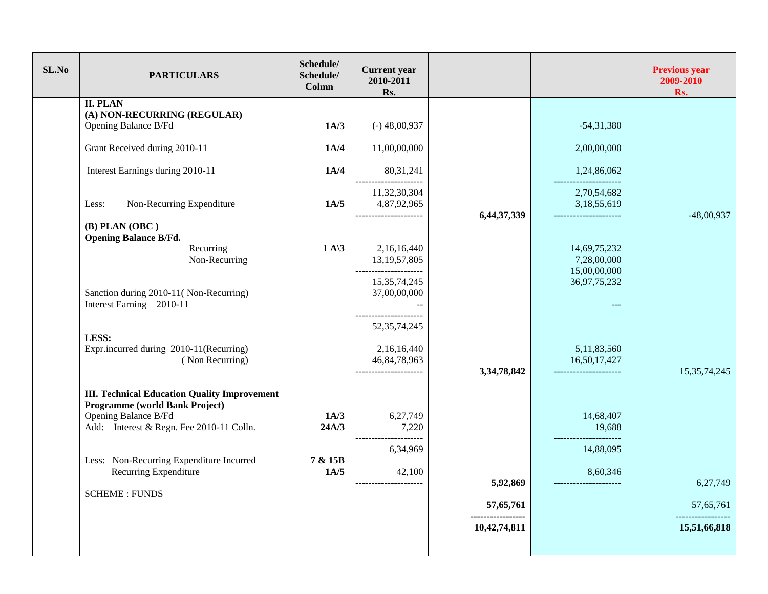| SL.No | <b>PARTICULARS</b>                                                                                                                                        | Schedule/<br>Schedule/<br>Colmn | <b>Current</b> year<br>2010-2011<br>Rs.                 |              |                                                    | <b>Previous year</b><br>2009-2010<br>Rs. |
|-------|-----------------------------------------------------------------------------------------------------------------------------------------------------------|---------------------------------|---------------------------------------------------------|--------------|----------------------------------------------------|------------------------------------------|
|       | <b>II. PLAN</b><br>(A) NON-RECURRING (REGULAR)<br>Opening Balance B/Fd                                                                                    | 1A/3                            | $(-)$ 48,00,937                                         |              | $-54,31,380$                                       |                                          |
|       | Grant Received during 2010-11                                                                                                                             | 1A/4                            | 11,00,00,000                                            |              | 2,00,00,000                                        |                                          |
|       | Interest Earnings during 2010-11                                                                                                                          | 1A/4                            | 80, 31, 241                                             |              | 1,24,86,062                                        |                                          |
|       | Non-Recurring Expenditure<br>Less:                                                                                                                        | 1A/5                            | 11,32,30,304<br>4,87,92,965                             | 6,44,37,339  | 2,70,54,682<br>3,18,55,619<br>____________________ | $-48,00,937$                             |
|       | $(B)$ PLAN $(OBC)$<br><b>Opening Balance B/Fd.</b><br>Recurring<br>Non-Recurring                                                                          | $1 A$ $3$                       | 2,16,16,440<br>13, 19, 57, 805<br>--------------------- |              | 14,69,75,232<br>7,28,00,000<br>15,00,00,000        |                                          |
|       | Sanction during 2010-11(Non-Recurring)<br>Interest Earning $-2010-11$                                                                                     |                                 | 15, 35, 74, 245<br>37,00,00,000                         |              | 36, 97, 75, 232<br>$---$                           |                                          |
|       | LESS:<br>Expr.incurred during 2010-11(Recurring)<br>(Non Recurring)                                                                                       |                                 | 52, 35, 74, 245<br>2,16,16,440<br>46, 84, 78, 963       | 3,34,78,842  | 5,11,83,560<br>16,50,17,427<br>_________________   | 15, 35, 74, 245                          |
|       | <b>III. Technical Education Quality Improvement</b><br>Programme (world Bank Project)<br>Opening Balance B/Fd<br>Add: Interest & Regn. Fee 2010-11 Colln. | 1A/3<br>24A/3                   | 6,27,749<br>7,220<br>$- - - - - - - -$<br>6,34,969      |              | 14,68,407<br>19,688<br>14,88,095                   |                                          |
|       | Less: Non-Recurring Expenditure Incurred<br>Recurring Expenditure                                                                                         | 7 & 15B<br>1A/5                 | 42,100<br>----------------------                        | 5,92,869     | 8,60,346<br>_____________________                  | 6,27,749                                 |
|       | <b>SCHEME: FUNDS</b>                                                                                                                                      |                                 |                                                         | 57,65,761    |                                                    | 57,65,761                                |
|       |                                                                                                                                                           |                                 |                                                         | 10,42,74,811 |                                                    | 15,51,66,818                             |
|       |                                                                                                                                                           |                                 |                                                         |              |                                                    |                                          |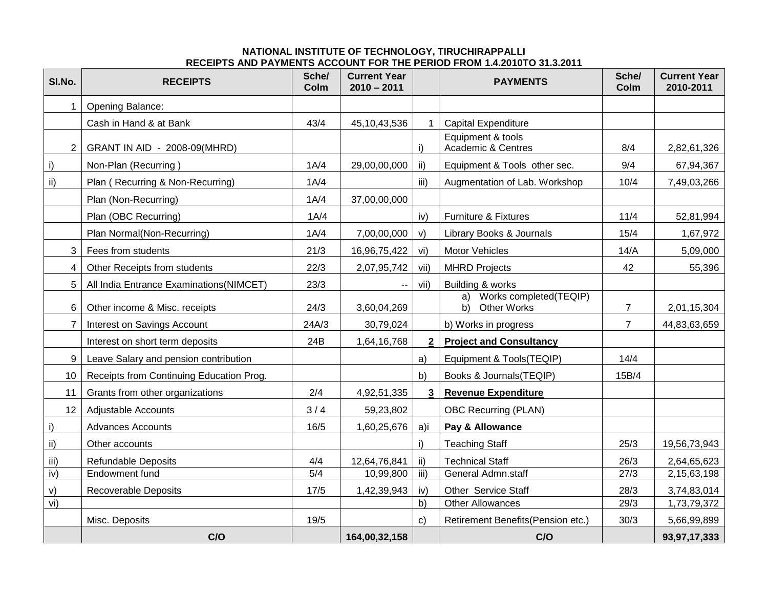#### **NATIONAL INSTITUTE OF TECHNOLOGY, TIRUCHIRAPPALLI RECEIPTS AND PAYMENTS ACCOUNT FOR THE PERIOD FROM 1.4.2010TO 31.3.2011**

| SI.No.          | <b>RECEIPTS</b>                          | Sche/<br>Colm | <b>Current Year</b><br>$2010 - 2011$ |                | <b>PAYMENTS</b>                                       | Sche/<br>Colm  | <b>Current Year</b><br>2010-2011 |
|-----------------|------------------------------------------|---------------|--------------------------------------|----------------|-------------------------------------------------------|----------------|----------------------------------|
| 1               | Opening Balance:                         |               |                                      |                |                                                       |                |                                  |
|                 | Cash in Hand & at Bank                   | 43/4          | 45,10,43,536                         | $\mathbf{1}$   | <b>Capital Expenditure</b>                            |                |                                  |
| $\overline{2}$  | GRANT IN AID - 2008-09(MHRD)             |               |                                      | i)             | Equipment & tools<br><b>Academic &amp; Centres</b>    | 8/4            | 2,82,61,326                      |
| i)              | Non-Plan (Recurring)                     | 1A/4          | 29,00,00,000                         | ii)            | Equipment & Tools other sec.                          | 9/4            | 67,94,367                        |
| ii)             | Plan (Recurring & Non-Recurring)         | 1A/4          |                                      | iii)           | Augmentation of Lab. Workshop                         | 10/4           | 7,49,03,266                      |
|                 | Plan (Non-Recurring)                     | 1A/4          | 37,00,00,000                         |                |                                                       |                |                                  |
|                 | Plan (OBC Recurring)                     | 1A/4          |                                      | iv)            | Furniture & Fixtures                                  | 11/4           | 52,81,994                        |
|                 | Plan Normal(Non-Recurring)               | 1A/4          | 7,00,00,000                          | V)             | Library Books & Journals                              | 15/4           | 1,67,972                         |
| 3               | Fees from students                       | 21/3          | 16,96,75,422                         | vi)            | <b>Motor Vehicles</b>                                 | 14/A           | 5,09,000                         |
| 4               | Other Receipts from students             | 22/3          | 2,07,95,742                          | vii)           | <b>MHRD Projects</b>                                  | 42             | 55,396                           |
| 5               | All India Entrance Examinations (NIMCET) | 23/3          | $\overline{\phantom{a}}$             | vii)           | Building & works                                      |                |                                  |
| 6               | Other income & Misc. receipts            | 24/3          | 3,60,04,269                          |                | a) Works completed(TEQIP)<br><b>Other Works</b><br>b) | $\overline{7}$ | 2,01,15,304                      |
| 7               | Interest on Savings Account              | 24A/3         | 30,79,024                            |                | b) Works in progress                                  | $\overline{7}$ | 44,83,63,659                     |
|                 | Interest on short term deposits          | 24B           | 1,64,16,768                          | $\overline{2}$ | <b>Project and Consultancy</b>                        |                |                                  |
| 9               | Leave Salary and pension contribution    |               |                                      | a)             | Equipment & Tools(TEQIP)                              | 14/4           |                                  |
| 10              | Receipts from Continuing Education Prog. |               |                                      | b)             | Books & Journals(TEQIP)                               | 15B/4          |                                  |
| 11              | Grants from other organizations          | 2/4           | 4,92,51,335                          | $\mathbf{3}$   | <b>Revenue Expenditure</b>                            |                |                                  |
| 12 <sup>°</sup> | Adjustable Accounts                      | 3/4           | 59,23,802                            |                | <b>OBC Recurring (PLAN)</b>                           |                |                                  |
| i)              | <b>Advances Accounts</b>                 | 16/5          | 1,60,25,676                          | a)i            | Pay & Allowance                                       |                |                                  |
| ii)             | Other accounts                           |               |                                      | i)             | <b>Teaching Staff</b>                                 | 25/3           | 19,56,73,943                     |
| iii)            | <b>Refundable Deposits</b>               | 4/4           | 12,64,76,841                         | $\mathsf{ii}$  | <b>Technical Staff</b>                                | 26/3           | 2,64,65,623                      |
| iv)             | Endowment fund                           | 5/4           | 10,99,800                            | iii)           | <b>General Admn.staff</b>                             | 27/3           | 2,15,63,198                      |
| V)              | <b>Recoverable Deposits</b>              | 17/5          | 1,42,39,943                          | iv)            | <b>Other Service Staff</b>                            | 28/3           | 3,74,83,014                      |
| vi)             |                                          |               |                                      | b)             | <b>Other Allowances</b>                               | 29/3           | 1,73,79,372                      |
|                 | Misc. Deposits                           | 19/5          |                                      | $\mathbf{C}$   | Retirement Benefits(Pension etc.)                     | 30/3           | 5,66,99,899                      |
|                 | C/O                                      |               | 164,00,32,158                        |                | C/O                                                   |                | 93, 97, 17, 333                  |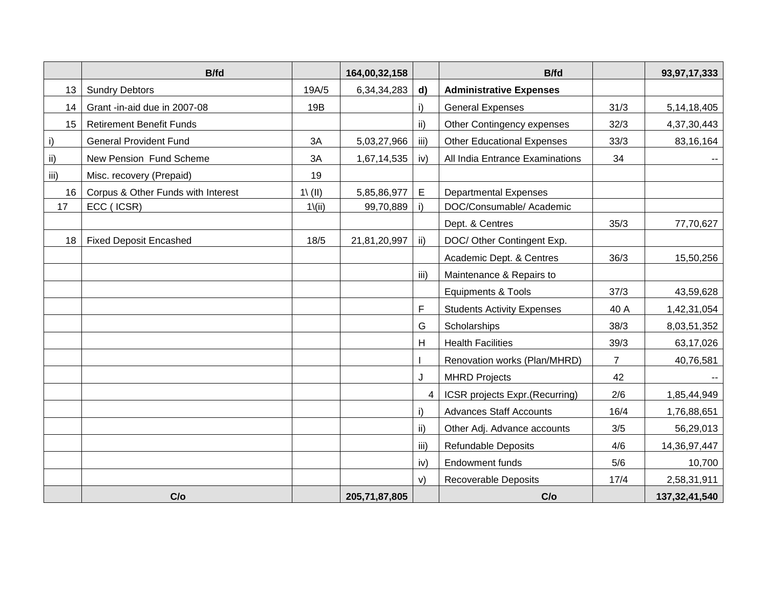|      | <b>B/fd</b>                        |                       | 164,00,32,158 |              | <b>B/fd</b>                       |                | 93,97,17,333     |
|------|------------------------------------|-----------------------|---------------|--------------|-----------------------------------|----------------|------------------|
| 13   | <b>Sundry Debtors</b>              | 19A/5                 | 6,34,34,283   | $\mathbf{d}$ | <b>Administrative Expenses</b>    |                |                  |
| 14   | Grant -in-aid due in 2007-08       | 19B                   |               | i)           | <b>General Expenses</b>           | 31/3           | 5, 14, 18, 405   |
| 15   | <b>Retirement Benefit Funds</b>    |                       |               | ii)          | Other Contingency expenses        | 32/3           | 4,37,30,443      |
| i)   | <b>General Provident Fund</b>      | 3A                    | 5,03,27,966   | iii)         | <b>Other Educational Expenses</b> | 33/3           | 83,16,164        |
| ii)  | New Pension Fund Scheme            | 3A                    | 1,67,14,535   | iv)          | All India Entrance Examinations   | 34             |                  |
| iii) | Misc. recovery (Prepaid)           | 19                    |               |              |                                   |                |                  |
| 16   | Corpus & Other Funds with Interest | $1\langle 1 $         | 5,85,86,977   | $\mathsf E$  | <b>Departmental Expenses</b>      |                |                  |
| 17   | ECC (ICSR)                         | $1\langle ii \rangle$ | 99,70,889     | i)           | DOC/Consumable/ Academic          |                |                  |
|      |                                    |                       |               |              | Dept. & Centres                   | 35/3           | 77,70,627        |
| 18   | <b>Fixed Deposit Encashed</b>      | 18/5                  | 21,81,20,997  | ii)          | DOC/ Other Contingent Exp.        |                |                  |
|      |                                    |                       |               |              | Academic Dept. & Centres          | 36/3           | 15,50,256        |
|      |                                    |                       |               | iii)         | Maintenance & Repairs to          |                |                  |
|      |                                    |                       |               |              | <b>Equipments &amp; Tools</b>     | 37/3           | 43,59,628        |
|      |                                    |                       |               | F            | <b>Students Activity Expenses</b> | 40 A           | 1,42,31,054      |
|      |                                    |                       |               | G            | Scholarships                      | 38/3           | 8,03,51,352      |
|      |                                    |                       |               | Η            | <b>Health Facilities</b>          | 39/3           | 63,17,026        |
|      |                                    |                       |               |              | Renovation works (Plan/MHRD)      | $\overline{7}$ | 40,76,581        |
|      |                                    |                       |               | J            | <b>MHRD Projects</b>              | 42             |                  |
|      |                                    |                       |               | 4            | ICSR projects Expr.(Recurring)    | 2/6            | 1,85,44,949      |
|      |                                    |                       |               | i)           | <b>Advances Staff Accounts</b>    | 16/4           | 1,76,88,651      |
|      |                                    |                       |               | ii)          | Other Adj. Advance accounts       | 3/5            | 56,29,013        |
|      |                                    |                       |               | iii)         | <b>Refundable Deposits</b>        | 4/6            | 14, 36, 97, 447  |
|      |                                    |                       |               | iv)          | <b>Endowment funds</b>            | 5/6            | 10,700           |
|      |                                    |                       |               | V)           | <b>Recoverable Deposits</b>       | 17/4           | 2,58,31,911      |
|      | C/O                                |                       | 205,71,87,805 |              | C/O                               |                | 137, 32, 41, 540 |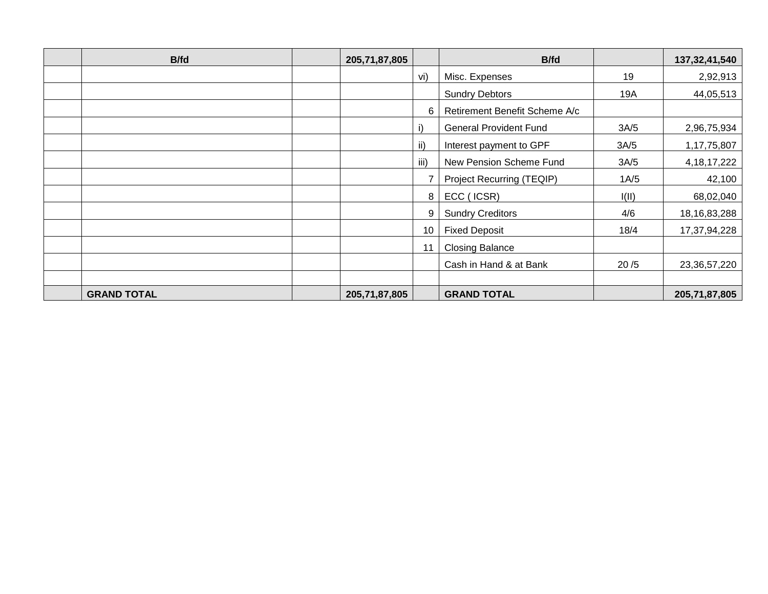| <b>B/fd</b>        | 205,71,87,805 |      | <b>B/fd</b>                   |       | 137, 32, 41, 540 |
|--------------------|---------------|------|-------------------------------|-------|------------------|
|                    |               | vi)  | Misc. Expenses                | 19    | 2,92,913         |
|                    |               |      | <b>Sundry Debtors</b>         | 19A   | 44,05,513        |
|                    |               | 6    | Retirement Benefit Scheme A/c |       |                  |
|                    |               | i)   | <b>General Provident Fund</b> | 3A/5  | 2,96,75,934      |
|                    |               | ii)  | Interest payment to GPF       | 3A/5  | 1,17,75,807      |
|                    |               | iii) | New Pension Scheme Fund       | 3A/5  | 4, 18, 17, 222   |
|                    |               |      | Project Recurring (TEQIP)     | 1A/5  | 42,100           |
|                    |               | 8    | ECC (ICSR)                    | I(II) | 68,02,040        |
|                    |               | 9    | <b>Sundry Creditors</b>       | 4/6   | 18, 16, 83, 288  |
|                    |               | 10   | <b>Fixed Deposit</b>          | 18/4  | 17,37,94,228     |
|                    |               | 11   | <b>Closing Balance</b>        |       |                  |
|                    |               |      | Cash in Hand & at Bank        | 20/5  | 23, 36, 57, 220  |
|                    |               |      |                               |       |                  |
| <b>GRAND TOTAL</b> | 205,71,87,805 |      | <b>GRAND TOTAL</b>            |       | 205,71,87,805    |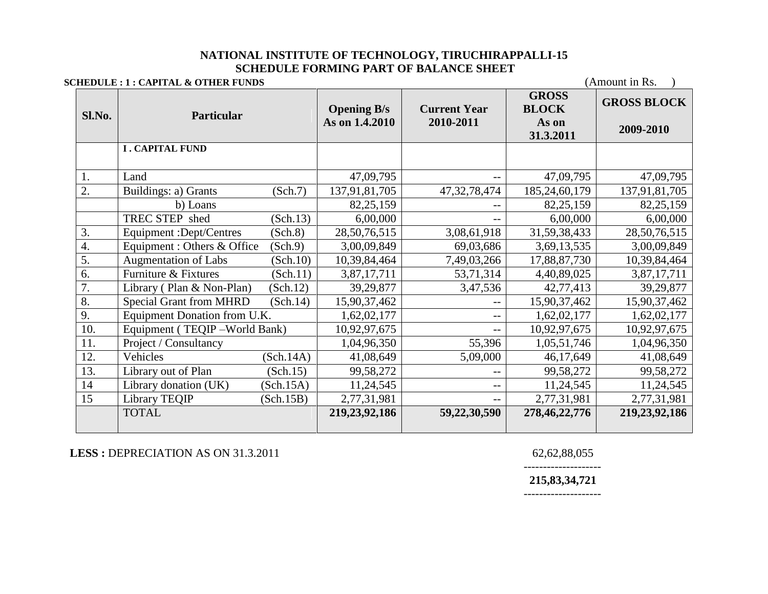|                  | <b>SCHEDULE : 1 : CAPITAL &amp; OTHER FUNDS</b> |           |                                      |                                  |                                                    | (Amount in Rs.                  |
|------------------|-------------------------------------------------|-----------|--------------------------------------|----------------------------------|----------------------------------------------------|---------------------------------|
| Sl.No.           | <b>Particular</b>                               |           | <b>Opening B/s</b><br>As on 1.4.2010 | <b>Current Year</b><br>2010-2011 | <b>GROSS</b><br><b>BLOCK</b><br>As on<br>31.3.2011 | <b>GROSS BLOCK</b><br>2009-2010 |
|                  | <b>I. CAPITAL FUND</b>                          |           |                                      |                                  |                                                    |                                 |
| 1.               | Land                                            |           | 47,09,795                            |                                  | 47,09,795                                          | 47,09,795                       |
| 2.               | Buildings: a) Grants                            | (Sch.7)   | 137,91,81,705                        | 47, 32, 78, 474                  | 185, 24, 60, 179                                   | 137,91,81,705                   |
|                  | b) Loans                                        |           | 82, 25, 159                          |                                  | 82, 25, 159                                        | 82, 25, 159                     |
|                  | TREC STEP shed                                  | (Sch.13)  | 6,00,000                             |                                  | 6,00,000                                           | 6,00,000                        |
| 3.               | Equipment : Dept/Centres                        | (Sch.8)   | 28, 50, 76, 515                      | 3,08,61,918                      | 31, 59, 38, 433                                    | 28,50,76,515                    |
| $\overline{4}$ . | Equipment : Others & Office                     | (Sch.9)   | 3,00,09,849                          | 69,03,686                        | 3,69,13,535                                        | 3,00,09,849                     |
| 5.               | <b>Augmentation of Labs</b>                     | (Sch.10)  | 10,39,84,464                         | 7,49,03,266                      | 17,88,87,730                                       | 10,39,84,464                    |
| 6.               | Furniture & Fixtures                            | (Sch.11)  | 3,87,17,711                          | 53,71,314                        | 4,40,89,025                                        | 3,87,17,711                     |
| 7.               | Library (Plan & Non-Plan)                       | (Sch.12)  | 39,29,877                            | 3,47,536                         | 42,77,413                                          | 39,29,877                       |
| 8.               | <b>Special Grant from MHRD</b>                  | (Sch.14)  | 15,90,37,462                         |                                  | 15,90,37,462                                       | 15,90,37,462                    |
| 9.               | Equipment Donation from U.K.                    |           | 1,62,02,177                          |                                  | 1,62,02,177                                        | 1,62,02,177                     |
| 10.              | Equipment (TEQIP - World Bank)                  |           | 10,92,97,675                         | --                               | 10,92,97,675                                       | 10,92,97,675                    |
| 11.              | Project / Consultancy                           |           | 1,04,96,350                          | 55,396                           | 1,05,51,746                                        | 1,04,96,350                     |
| 12.              | Vehicles                                        | (Sch.14A) | 41,08,649                            | 5,09,000                         | 46,17,649                                          | 41,08,649                       |
| 13.              | Library out of Plan                             | (Sch.15)  | 99,58,272                            | --                               | 99,58,272                                          | 99,58,272                       |
| 14               | Library donation (UK)                           | (Sch.15A) | 11,24,545                            |                                  | 11,24,545                                          | 11,24,545                       |
| 15               | Library TEQIP                                   | (Sch.15B) | 2,77,31,981                          |                                  | 2,77,31,981                                        | 2,77,31,981                     |
|                  | <b>TOTAL</b>                                    |           | 219,23,92,186                        | 59,22,30,590                     | 278, 46, 22, 776                                   | 219,23,92,186                   |
|                  |                                                 |           |                                      |                                  |                                                    |                                 |

**LESS :** DEPRECIATION AS ON 31.3.2011 62,62,88,055

--------------------

**215,83,34,721**

--------------------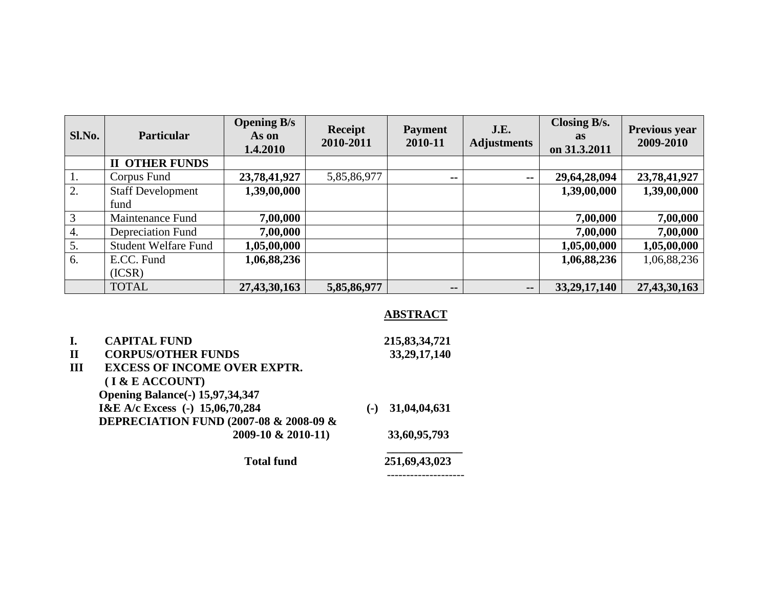| Sl.No. | <b>Particular</b>           | <b>Opening B/s</b><br>As on<br>1.4.2010 | Receipt<br>2010-2011 | <b>Payment</b><br>2010-11    | J.E.<br><b>Adjustments</b> | Closing B/s.<br><b>as</b><br>on 31.3.2011 | <b>Previous year</b><br>2009-2010 |
|--------|-----------------------------|-----------------------------------------|----------------------|------------------------------|----------------------------|-------------------------------------------|-----------------------------------|
|        | <b>II OTHER FUNDS</b>       |                                         |                      |                              |                            |                                           |                                   |
| 1.     | Corpus Fund                 | 23,78,41,927                            | 5,85,86,977          | $- -$                        | $\sim$ $\sim$              | 29,64,28,094                              | 23,78,41,927                      |
| 2.     | <b>Staff Development</b>    | 1,39,00,000                             |                      |                              |                            | 1,39,00,000                               | 1,39,00,000                       |
|        | fund                        |                                         |                      |                              |                            |                                           |                                   |
| 3      | Maintenance Fund            | 7,00,000                                |                      |                              |                            | 7,00,000                                  | 7,00,000                          |
| 4.     | Depreciation Fund           | 7,00,000                                |                      |                              |                            | 7,00,000                                  | 7,00,000                          |
| 5.     | <b>Student Welfare Fund</b> | 1,05,00,000                             |                      |                              |                            | 1,05,00,000                               | 1,05,00,000                       |
| 6.     | E.CC. Fund                  | 1,06,88,236                             |                      |                              |                            | 1,06,88,236                               | 1,06,88,236                       |
|        | (ICSR)                      |                                         |                      |                              |                            |                                           |                                   |
|        | <b>TOTAL</b>                | 27,43,30,163                            | 5,85,86,977          | $\qquad \qquad \blacksquare$ | $\mathbf{u}$               | 33, 29, 17, 140                           | 27,43,30,163                      |

### **ABSTRACT**

| I.           | <b>CAPITAL FUND</b>                                   | 215, 83, 34, 721      |
|--------------|-------------------------------------------------------|-----------------------|
| $\mathbf{I}$ | <b>CORPUS/OTHER FUNDS</b>                             | 33, 29, 17, 140       |
| III          | <b>EXCESS OF INCOME OVER EXPTR.</b>                   |                       |
|              | (I & E ACCOUNT)                                       |                       |
|              | <b>Opening Balance(-) 15,97,34,347</b>                |                       |
|              | I&E A/c Excess (-) 15,06,70,284                       | 31,04,04,631<br>$(-)$ |
|              | <b>DEPRECIATION FUND (2007-08 &amp; 2008-09 &amp;</b> |                       |
|              | 2009-10 & 2010-11)                                    | 33,60,95,793          |
|              |                                                       |                       |
|              | <b>Total fund</b>                                     | 251,69,43,023         |
|              |                                                       |                       |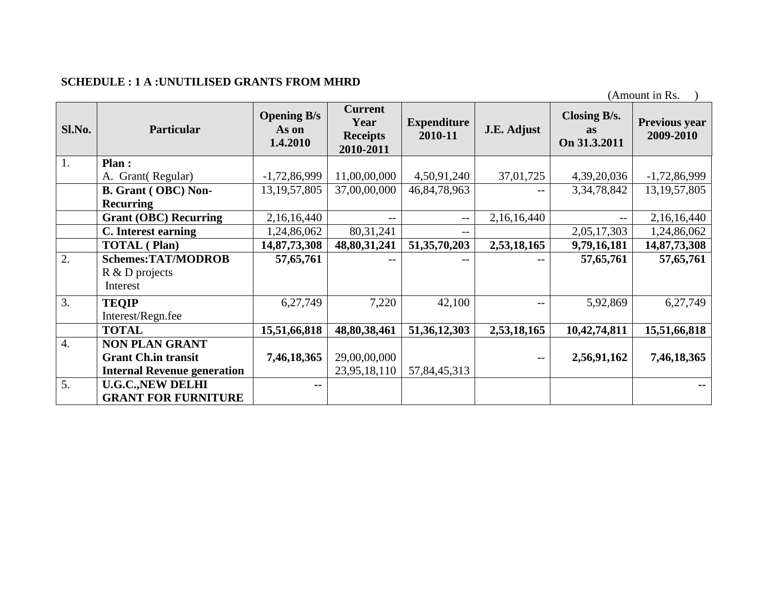#### **SCHEDULE : 1 A :UNUTILISED GRANTS FROM MHRD**

(Amount in Rs. ) **Sl.No. Particular Opening B/s As on 1.4.2010 Current Year Receipts 2010-2011 Expenditure 2010-11 J.E. Adjust Closing B/s. as On 31.3.2011 Previous year 2009-2010** 1. **Plan :**  A. Grant( Regular)  $-1,72,86,999 \mid 11,00,00,000 \mid 4,50,91,240 \mid 37,01,725 \mid 4,39,20,036 \mid -1,72,86,999$ **B. Grant ( OBC) Non-Recurring**  13,19,57,805 37,00,00,000 46,84,78,963 -- 3,34,78,842 13,19,57,805 **Grant (OBC) Recurring** 2,16,16,440 -- -- 2,16,16,440 -- 2,16,16,440 **C. Interest earning** 1,24,86,062 80,31,241 -- 2,05,17,303 1,24,86,062 **TOTAL ( Plan) 14,87,73,308 48,80,31,241 51,35,70,203 2,53,18,165 9,79,16,181 14,87,73,308** 2. **Schemes:TAT/MODROB** R & D projects Interest **57,65,761** -- -- -- -- -- -- -- -- 57,65,761 57,65,761 3. **TEQIP**  Interest/Regn.fee 6,27,749 7,220 42,100 - 5,92,869 6,27,749 **TOTAL 15,51,66,818 48,80,38,461 51,36,12,303 2,53,18,165 10,42,74,811 15,51,66,818** 4. **NON PLAN GRANT Grant Ch.in transit Internal Revenue generation 7,46,18,365** 29,00,00,000 23,95,18,110 57,84,45,313 -- **2,56,91,162 7,46,18,365** 5. **U.G.C.,NEW DELHI GRANT FOR FURNITURE -- --**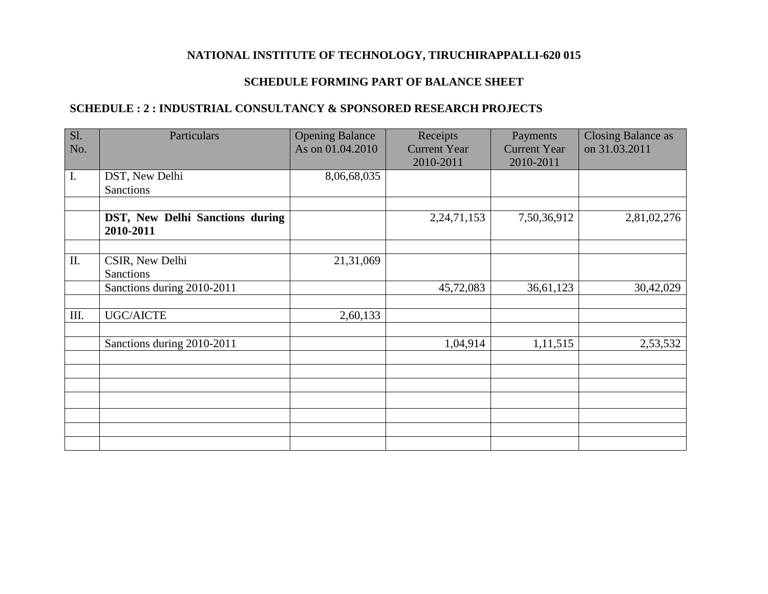#### **NATIONAL INSTITUTE OF TECHNOLOGY, TIRUCHIRAPPALLI-620 015**

#### **SCHEDULE FORMING PART OF BALANCE SHEET**

#### **SCHEDULE : 2 : INDUSTRIAL CONSULTANCY & SPONSORED RESEARCH PROJECTS**

| SI.              | Particulars                                  | <b>Opening Balance</b> | Receipts            | Payments            | <b>Closing Balance as</b> |
|------------------|----------------------------------------------|------------------------|---------------------|---------------------|---------------------------|
| No.              |                                              | As on 01.04.2010       | <b>Current Year</b> | <b>Current Year</b> | on 31.03.2011             |
|                  |                                              |                        | 2010-2011           | 2010-2011           |                           |
| $\overline{I}$ . | DST, New Delhi                               | 8,06,68,035            |                     |                     |                           |
|                  | <b>Sanctions</b>                             |                        |                     |                     |                           |
|                  |                                              |                        |                     |                     |                           |
|                  | DST, New Delhi Sanctions during<br>2010-2011 |                        | 2, 24, 71, 153      | 7,50,36,912         | 2,81,02,276               |
|                  |                                              |                        |                     |                     |                           |
| II.              | CSIR, New Delhi                              | 21,31,069              |                     |                     |                           |
|                  | <b>Sanctions</b>                             |                        |                     |                     |                           |
|                  | Sanctions during 2010-2011                   |                        | 45,72,083           | 36,61,123           | 30,42,029                 |
|                  |                                              |                        |                     |                     |                           |
| III.             | <b>UGC/AICTE</b>                             | 2,60,133               |                     |                     |                           |
|                  |                                              |                        |                     |                     |                           |
|                  | Sanctions during 2010-2011                   |                        | 1,04,914            | 1,11,515            | 2,53,532                  |
|                  |                                              |                        |                     |                     |                           |
|                  |                                              |                        |                     |                     |                           |
|                  |                                              |                        |                     |                     |                           |
|                  |                                              |                        |                     |                     |                           |
|                  |                                              |                        |                     |                     |                           |
|                  |                                              |                        |                     |                     |                           |
|                  |                                              |                        |                     |                     |                           |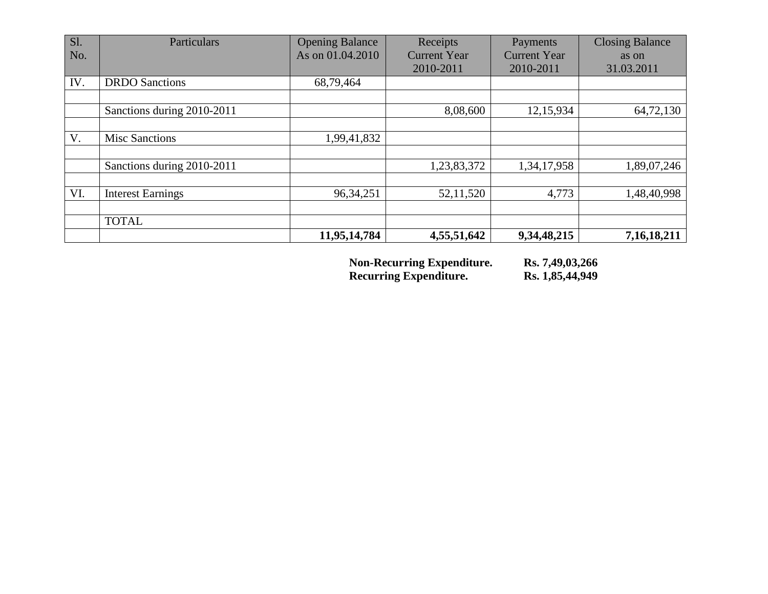| Sl. | Particulars                | <b>Opening Balance</b> | Receipts            | Payments            | <b>Closing Balance</b> |
|-----|----------------------------|------------------------|---------------------|---------------------|------------------------|
| No. |                            | As on 01.04.2010       | <b>Current Year</b> | <b>Current Year</b> | as on                  |
|     |                            |                        | 2010-2011           | 2010-2011           | 31.03.2011             |
| IV. | <b>DRDO</b> Sanctions      | 68,79,464              |                     |                     |                        |
|     |                            |                        |                     |                     |                        |
|     | Sanctions during 2010-2011 |                        | 8,08,600            | 12,15,934           | 64,72,130              |
|     |                            |                        |                     |                     |                        |
| V.  | <b>Misc Sanctions</b>      | 1,99,41,832            |                     |                     |                        |
|     |                            |                        |                     |                     |                        |
|     | Sanctions during 2010-2011 |                        | 1,23,83,372         | 1,34,17,958         | 1,89,07,246            |
|     |                            |                        |                     |                     |                        |
| VI. | <b>Interest Earnings</b>   | 96, 34, 251            | 52,11,520           | 4,773               | 1,48,40,998            |
|     |                            |                        |                     |                     |                        |
|     | <b>TOTAL</b>               |                        |                     |                     |                        |
|     |                            | 11,95,14,784           | 4,55,51,642         | 9,34,48,215         | 7,16,18,211            |

**Non-Recurring Expenditure. Rs. 7,49,03,266 Recurring Expenditure. Rs. 1,85,44,949**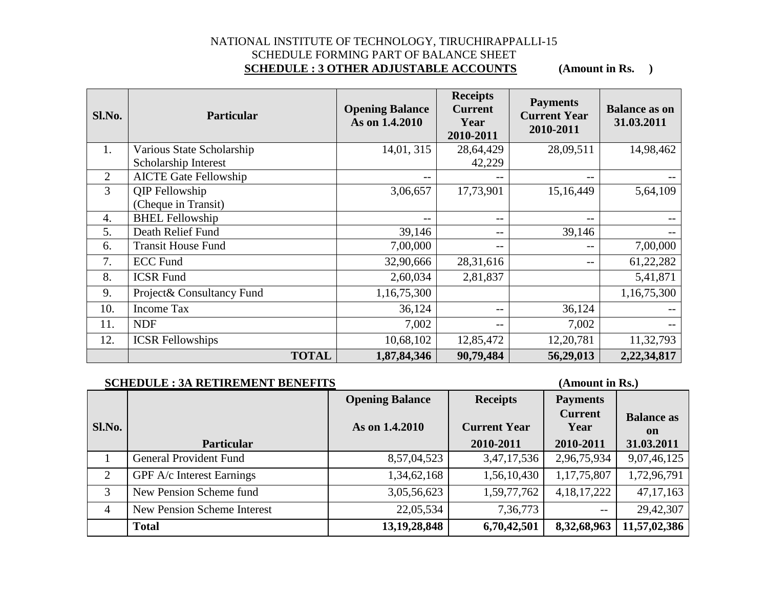#### NATIONAL INSTITUTE OF TECHNOLOGY, TIRUCHIRAPPALLI-15 SCHEDULE FORMING PART OF BALANCE SHEET **SCHEDULE : 3 OTHER ADJUSTABLE ACCOUNTS** (Amount in Rs. )

| Sl.No.         | <b>Particular</b>            | <b>Opening Balance</b><br>As on 1.4.2010 | <b>Receipts</b><br><b>Current</b><br>Year<br>2010-2011 | <b>Payments</b><br><b>Current Year</b><br>2010-2011 | <b>Balance as on</b><br>31.03.2011 |
|----------------|------------------------------|------------------------------------------|--------------------------------------------------------|-----------------------------------------------------|------------------------------------|
| 1.             | Various State Scholarship    | 14,01, 315                               | 28,64,429                                              | 28,09,511                                           | 14,98,462                          |
|                | Scholarship Interest         |                                          | 42,229                                                 |                                                     |                                    |
| $\overline{2}$ | <b>AICTE Gate Fellowship</b> |                                          |                                                        | $\qquad \qquad -$                                   |                                    |
| 3              | <b>QIP</b> Fellowship        | 3,06,657                                 | 17,73,901                                              | 15,16,449                                           | 5,64,109                           |
|                | (Cheque in Transit)          |                                          |                                                        |                                                     |                                    |
| 4.             | <b>BHEL Fellowship</b>       | $- -$                                    | $- -$                                                  | $- -$                                               |                                    |
| 5.             | Death Relief Fund            | 39,146                                   | $-$                                                    | 39,146                                              | --                                 |
| 6.             | <b>Transit House Fund</b>    | 7,00,000                                 | --                                                     |                                                     | 7,00,000                           |
| 7.             | <b>ECC</b> Fund              | 32,90,666                                | 28,31,616                                              | --                                                  | 61,22,282                          |
| 8.             | <b>ICSR Fund</b>             | 2,60,034                                 | 2,81,837                                               |                                                     | 5,41,871                           |
| 9.             | Project& Consultancy Fund    | 1,16,75,300                              |                                                        |                                                     | 1,16,75,300                        |
| 10.            | <b>Income Tax</b>            | 36,124                                   | $- -$                                                  | 36,124                                              |                                    |
| 11.            | <b>NDF</b>                   | 7,002                                    | $- -$                                                  | 7,002                                               | --                                 |
| 12.            | <b>ICSR Fellowships</b>      | 10,68,102                                | 12,85,472                                              | 12,20,781                                           | 11,32,793                          |
|                | <b>TOTAL</b>                 | 1,87,84,346                              | 90,79,484                                              | 56,29,013                                           | 2,22,34,817                        |

|                | <b>SCHEDULE: 3A RETIREMENT BENEFITS</b> |                                          |                                        | (Amount in Rs.)                           |                         |
|----------------|-----------------------------------------|------------------------------------------|----------------------------------------|-------------------------------------------|-------------------------|
| Sl.No.         |                                         | <b>Opening Balance</b><br>As on 1.4.2010 | <b>Receipts</b><br><b>Current Year</b> | <b>Payments</b><br><b>Current</b><br>Year | <b>Balance</b> as<br>on |
|                | <b>Particular</b>                       |                                          | 2010-2011                              | 2010-2011                                 | 31.03.2011              |
|                | <b>General Provident Fund</b>           | 8,57,04,523                              | 3,47,17,536                            | 2,96,75,934                               | 9,07,46,125             |
| $\overline{2}$ | GPF A/c Interest Earnings               | 1,34,62,168                              | 1,56,10,430                            | 1,17,75,807                               | 1,72,96,791             |
| 3              | New Pension Scheme fund                 | 3,05,56,623                              | 1,59,77,762                            | 4, 18, 17, 222                            | 47, 17, 163             |
| $\overline{4}$ | <b>New Pension Scheme Interest</b>      | 22,05,534                                | 7,36,773                               | $- -$                                     | 29,42,307               |
|                | <b>Total</b>                            | 13, 19, 28, 848                          | 6,70,42,501                            | 8,32,68,963                               | 11,57,02,386            |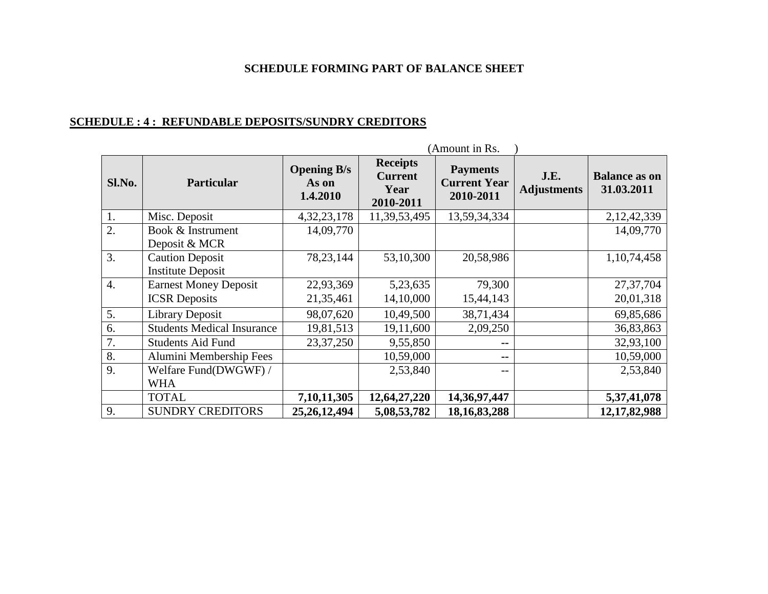#### **SCHEDULE FORMING PART OF BALANCE SHEET**

#### **SCHEDULE : 4 : REFUNDABLE DEPOSITS/SUNDRY CREDITORS**

|                  |                                                      |                                         |                                                        | (Amount in Rs.                                      |                            |                                    |
|------------------|------------------------------------------------------|-----------------------------------------|--------------------------------------------------------|-----------------------------------------------------|----------------------------|------------------------------------|
| Sl.No.           | <b>Particular</b>                                    | <b>Opening B/s</b><br>As on<br>1.4.2010 | <b>Receipts</b><br><b>Current</b><br>Year<br>2010-2011 | <b>Payments</b><br><b>Current Year</b><br>2010-2011 | J.E.<br><b>Adjustments</b> | <b>Balance as on</b><br>31.03.2011 |
| 1.               | Misc. Deposit                                        | 4, 32, 23, 178                          | 11,39,53,495                                           | 13,59,34,334                                        |                            | 2,12,42,339                        |
| 2.               | Book & Instrument<br>Deposit & MCR                   | 14,09,770                               |                                                        |                                                     |                            | 14,09,770                          |
| 3.               | <b>Caution Deposit</b><br><b>Institute Deposit</b>   | 78, 23, 144                             | 53,10,300                                              | 20,58,986                                           |                            | 1,10,74,458                        |
| $\overline{4}$ . | <b>Earnest Money Deposit</b><br><b>ICSR</b> Deposits | 22,93,369<br>21,35,461                  | 5,23,635<br>14,10,000                                  | 79,300<br>15,44,143                                 |                            | 27, 37, 704<br>20,01,318           |
| 5.               | <b>Library Deposit</b>                               | 98,07,620                               | 10,49,500                                              | 38,71,434                                           |                            | 69,85,686                          |
| 6.               | <b>Students Medical Insurance</b>                    | 19,81,513                               | 19,11,600                                              | 2,09,250                                            |                            | 36,83,863                          |
| 7.               | <b>Students Aid Fund</b>                             | 23, 37, 250                             | 9,55,850                                               | --                                                  |                            | 32,93,100                          |
| 8.               | Alumini Membership Fees                              |                                         | 10,59,000                                              | $\overline{\phantom{a}}$                            |                            | 10,59,000                          |
| 9.               | Welfare Fund(DWGWF) /<br><b>WHA</b>                  |                                         | 2,53,840                                               | $- -$                                               |                            | 2,53,840                           |
|                  | <b>TOTAL</b>                                         | 7, 10, 11, 305                          | 12,64,27,220                                           | 14,36,97,447                                        |                            | 5,37,41,078                        |
| 9.               | <b>SUNDRY CREDITORS</b>                              | 25, 26, 12, 494                         | 5,08,53,782                                            | 18, 16, 83, 288                                     |                            | 12, 17, 82, 988                    |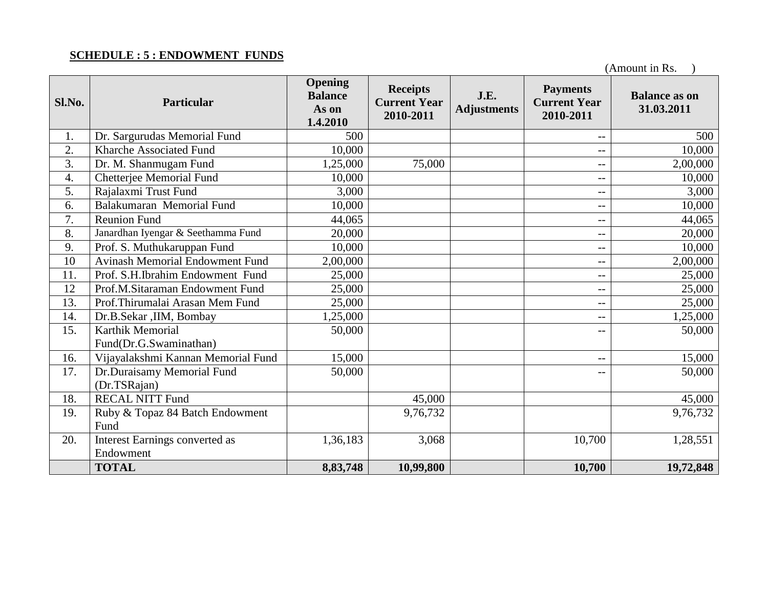#### **SCHEDULE : 5 : ENDOWMENT FUNDS**

| Sl.No.           | <b>Particular</b>                      | Opening<br><b>Balance</b><br>As on<br>1.4.2010 | <b>Receipts</b><br><b>Current Year</b><br>2010-2011 | J.E.<br><b>Adjustments</b> | <b>Payments</b><br><b>Current Year</b><br>2010-2011 | <b>Balance as on</b><br>31.03.2011 |
|------------------|----------------------------------------|------------------------------------------------|-----------------------------------------------------|----------------------------|-----------------------------------------------------|------------------------------------|
| 1.               | Dr. Sargurudas Memorial Fund           | 500                                            |                                                     |                            | $-$                                                 | 500                                |
| 2.               | Kharche Associated Fund                | 10,000                                         |                                                     |                            | $-$                                                 | 10,000                             |
| 3.               | Dr. M. Shanmugam Fund                  | 1,25,000                                       | 75,000                                              |                            | $-$                                                 | 2,00,000                           |
| $\overline{4}$ . | Chetterjee Memorial Fund               | 10,000                                         |                                                     |                            | $-$                                                 | 10,000                             |
| 5.               | Rajalaxmi Trust Fund                   | 3,000                                          |                                                     |                            | $- -$                                               | 3,000                              |
| 6.               | Balakumaran Memorial Fund              | 10,000                                         |                                                     |                            | $\qquad \qquad -$                                   | 10,000                             |
| 7.               | <b>Reunion Fund</b>                    | 44,065                                         |                                                     |                            | $-$                                                 | 44,065                             |
| 8.               | Janardhan Iyengar & Seethamma Fund     | 20,000                                         |                                                     |                            | $-$                                                 | 20,000                             |
| 9.               | Prof. S. Muthukaruppan Fund            | 10,000                                         |                                                     |                            | $-$                                                 | 10,000                             |
| 10               | <b>Avinash Memorial Endowment Fund</b> | 2,00,000                                       |                                                     |                            | $-$                                                 | 2,00,000                           |
| 11.              | Prof. S.H.Ibrahim Endowment Fund       | 25,000                                         |                                                     |                            | $-$                                                 | 25,000                             |
| 12               | Prof.M.Sitaraman Endowment Fund        | 25,000                                         |                                                     |                            | $-$                                                 | 25,000                             |
| 13.              | Prof.Thirumalai Arasan Mem Fund        | 25,000                                         |                                                     |                            | $-$                                                 | 25,000                             |
| 14.              | Dr.B.Sekar , IIM, Bombay               | 1,25,000                                       |                                                     |                            | $-$                                                 | 1,25,000                           |
| 15.              | Karthik Memorial                       | 50,000                                         |                                                     |                            | --                                                  | 50,000                             |
|                  | Fund(Dr.G.Swaminathan)                 |                                                |                                                     |                            |                                                     |                                    |
| 16.              | Vijayalakshmi Kannan Memorial Fund     | 15,000                                         |                                                     |                            | $-$                                                 | 15,000                             |
| 17.              | Dr.Duraisamy Memorial Fund             | 50,000                                         |                                                     |                            | $-$                                                 | 50,000                             |
|                  | (Dr.TSRajan)                           |                                                |                                                     |                            |                                                     |                                    |
| 18.              | <b>RECAL NITT Fund</b>                 |                                                | 45,000                                              |                            |                                                     | 45,000                             |
| 19.              | Ruby & Topaz 84 Batch Endowment        |                                                | 9,76,732                                            |                            |                                                     | 9,76,732                           |
|                  | Fund                                   |                                                |                                                     |                            |                                                     |                                    |
| 20.              | Interest Earnings converted as         | 1,36,183                                       | 3,068                                               |                            | 10,700                                              | 1,28,551                           |
|                  | Endowment                              |                                                |                                                     |                            |                                                     |                                    |
|                  | <b>TOTAL</b>                           | 8,83,748                                       | 10,99,800                                           |                            | 10,700                                              | 19,72,848                          |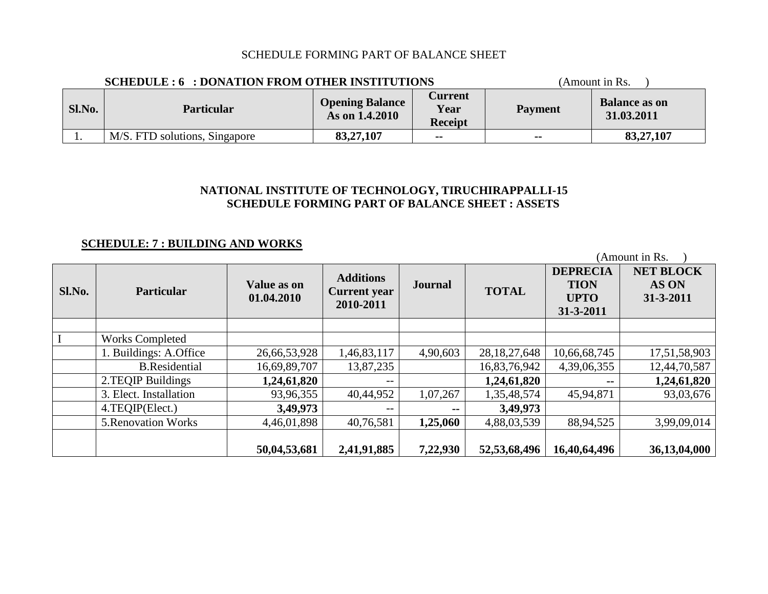#### SCHEDULE FORMING PART OF BALANCE SHEET

|        | <b>SCHEDULE: 6: DONATION FROM OTHER INSTITUTIONS</b> | (Amount in Rs.                           |                                   |                |                                    |
|--------|------------------------------------------------------|------------------------------------------|-----------------------------------|----------------|------------------------------------|
| Sl.No. | <b>Particular</b>                                    | <b>Opening Balance</b><br>As on 1.4.2010 | Current<br>Year<br><b>Receipt</b> | <b>Payment</b> | <b>Balance as on</b><br>31.03.2011 |
|        | M/S. FTD solutions, Singapore                        | 83,27,107                                | $\sim$ $\sim$                     | $\sim$ $\sim$  | 83, 27, 107                        |

#### **NATIONAL INSTITUTE OF TECHNOLOGY, TIRUCHIRAPPALLI-15 SCHEDULE FORMING PART OF BALANCE SHEET : ASSETS**

#### **SCHEDULE: 7 : BUILDING AND WORKS**

|        |                            |                           |                                                      |                          |                 |                                                            | (Amount in Rs.                         |
|--------|----------------------------|---------------------------|------------------------------------------------------|--------------------------|-----------------|------------------------------------------------------------|----------------------------------------|
| Sl.No. | <b>Particular</b>          | Value as on<br>01.04.2010 | <b>Additions</b><br><b>Current year</b><br>2010-2011 | <b>Journal</b>           | <b>TOTAL</b>    | <b>DEPRECIA</b><br><b>TION</b><br><b>UPTO</b><br>31-3-2011 | <b>NET BLOCK</b><br>AS ON<br>31-3-2011 |
|        |                            |                           |                                                      |                          |                 |                                                            |                                        |
|        | <b>Works Completed</b>     |                           |                                                      |                          |                 |                                                            |                                        |
|        | 1. Buildings: A.Office     | 26,66,53,928              | 1,46,83,117                                          | 4,90,603                 | 28, 18, 27, 648 | 10,66,68,745                                               | 17,51,58,903                           |
|        | <b>B.Residential</b>       | 16,69,89,707              | 13,87,235                                            |                          | 16,83,76,942    | 4,39,06,355                                                | 12,44,70,587                           |
|        | 2. TEQIP Buildings         | 1,24,61,820               | $- -$                                                |                          | 1,24,61,820     | --                                                         | 1,24,61,820                            |
|        | 3. Elect. Installation     | 93,96,355                 | 40,44,952                                            | 1,07,267                 | 1,35,48,574     | 45,94,871                                                  | 93,03,676                              |
|        | 4.TEQIP(Elect.)            | 3,49,973                  | $\qquad \qquad -$                                    | $\overline{\phantom{a}}$ | 3,49,973        |                                                            |                                        |
|        | <b>5. Renovation Works</b> | 4,46,01,898               | 40,76,581                                            | 1,25,060                 | 4,88,03,539     | 88,94,525                                                  | 3,99,09,014                            |
|        |                            | 50,04,53,681              | 2,41,91,885                                          | 7,22,930                 | 52, 53, 68, 496 | 16,40,64,496                                               | 36,13,04,000                           |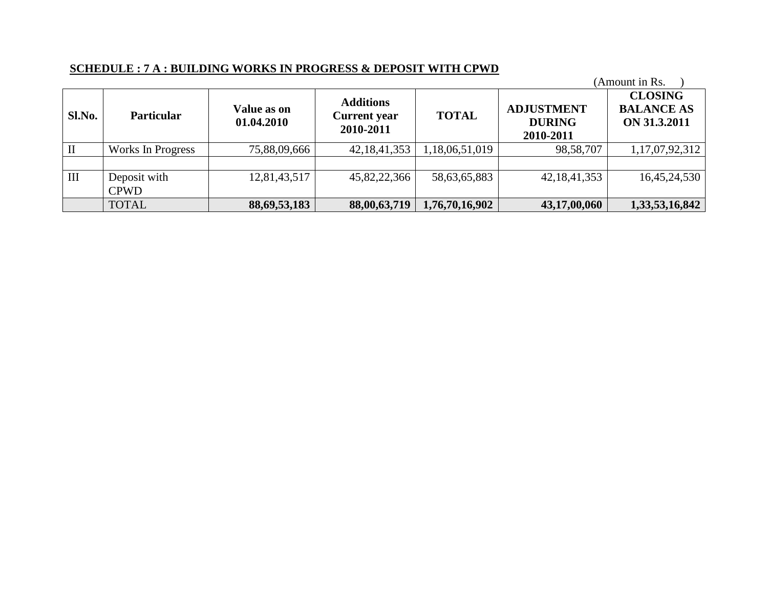#### **SCHEDULE : 7 A : BUILDING WORKS IN PROGRESS & DEPOSIT WITH CPWD**

|        |                             |                           |                                                      |                |                                                 | (Amount in Rs.                                      |
|--------|-----------------------------|---------------------------|------------------------------------------------------|----------------|-------------------------------------------------|-----------------------------------------------------|
| Sl.No. | <b>Particular</b>           | Value as on<br>01.04.2010 | <b>Additions</b><br><b>Current</b> year<br>2010-2011 | <b>TOTAL</b>   | <b>ADJUSTMENT</b><br><b>DURING</b><br>2010-2011 | <b>CLOSING</b><br><b>BALANCE AS</b><br>ON 31.3.2011 |
|        | <b>Works In Progress</b>    | 75,88,09,666              | 42, 18, 41, 353                                      | 1,18,06,51,019 | 98,58,707                                       | 1,17,07,92,312                                      |
|        |                             |                           |                                                      |                |                                                 |                                                     |
| III    | Deposit with<br><b>CPWD</b> | 12,81,43,517              | 45,82,22,366                                         | 58,63,65,883   | 42, 18, 41, 353                                 | 16,45,24,530                                        |
|        | <b>TOTAL</b>                | 88, 69, 53, 183           | 88,00,63,719                                         | 1,76,70,16,902 | 43,17,00,060                                    | 1,33,53,16,842                                      |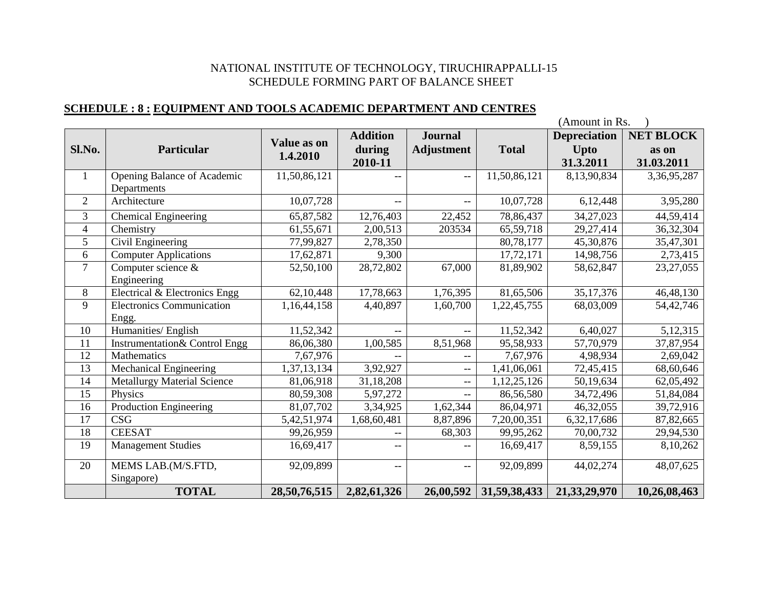#### **SCHEDULE : 8 : EQUIPMENT AND TOOLS ACADEMIC DEPARTMENT AND CENTRES**

|                |                                    |                 |                          |                   |              | (Amount in Rs.      |                  |
|----------------|------------------------------------|-----------------|--------------------------|-------------------|--------------|---------------------|------------------|
|                |                                    | Value as on     | <b>Addition</b>          | <b>Journal</b>    |              | <b>Depreciation</b> | <b>NET BLOCK</b> |
| Sl.No.         | <b>Particular</b>                  | 1.4.2010        | during                   | <b>Adjustment</b> | <b>Total</b> | Upto                | as on            |
|                |                                    |                 | 2010-11                  |                   |              | 31.3.2011           | 31.03.2011       |
| $\mathbf{1}$   | Opening Balance of Academic        | 11,50,86,121    |                          | $-$               | 11,50,86,121 | 8,13,90,834         | 3,36,95,287      |
|                | Departments                        |                 |                          |                   |              |                     |                  |
| 2              | Architecture                       | 10,07,728       | $\overline{\phantom{m}}$ | --                | 10,07,728    | 6,12,448            | 3,95,280         |
| 3              | <b>Chemical Engineering</b>        | 65,87,582       | 12,76,403                | 22,452            | 78,86,437    | 34,27,023           | 44,59,414        |
| $\overline{4}$ | Chemistry                          | 61,55,671       | 2,00,513                 | 203534            | 65,59,718    | 29, 27, 414         | 36, 32, 304      |
| 5              | Civil Engineering                  | 77,99,827       | 2,78,350                 |                   | 80,78,177    | 45,30,876           | 35,47,301        |
| 6              | <b>Computer Applications</b>       | 17,62,871       | 9,300                    |                   | 17,72,171    | 14,98,756           | 2,73,415         |
| $\overline{7}$ | Computer science &                 | 52,50,100       | 28,72,802                | 67,000            | 81,89,902    | 58,62,847           | 23, 27, 055      |
|                | Engineering                        |                 |                          |                   |              |                     |                  |
| 8              | Electrical & Electronics Engg      | 62,10,448       | 17,78,663                | 1,76,395          | 81,65,506    | 35, 17, 376         | 46,48,130        |
| 9              | <b>Electronics Communication</b>   | 1,16,44,158     | 4,40,897                 | 1,60,700          | 1,22,45,755  | 68,03,009           | 54, 42, 746      |
|                | Engg.                              |                 |                          |                   |              |                     |                  |
| 10             | Humanities/ English                | 11,52,342       | $\overline{\phantom{m}}$ | $-$               | 11,52,342    | 6,40,027            | 5, 12, 315       |
| 11             | Instrumentation& Control Engg      | 86,06,380       | 1,00,585                 | 8,51,968          | 95,58,933    | 57,70,979           | 37,87,954        |
| 12             | Mathematics                        | 7,67,976        |                          | --                | 7,67,976     | 4,98,934            | 2,69,042         |
| 13             | Mechanical Engineering             | 1,37,13,134     | 3,92,927                 | $-$               | 1,41,06,061  | 72,45,415           | 68,60,646        |
| 14             | <b>Metallurgy Material Science</b> | 81,06,918       | 31,18,208                | --                | 1,12,25,126  | 50,19,634           | 62,05,492        |
| 15             | Physics                            | 80,59,308       | 5,97,272                 |                   | 86,56,580    | 34,72,496           | 51,84,084        |
| 16             | <b>Production Engineering</b>      | 81,07,702       | 3,34,925                 | 1,62,344          | 86,04,971    | 46,32,055           | 39,72,916        |
| 17             | <b>CSG</b>                         | 5,42,51,974     | 1,68,60,481              | 8,87,896          | 7,20,00,351  | 6,32,17,686         | 87, 82, 665      |
| 18             | <b>CEESAT</b>                      | 99,26,959       | --                       | 68,303            | 99,95,262    | 70,00,732           | 29,94,530        |
| 19             | <b>Management Studies</b>          | 16,69,417       |                          |                   | 16,69,417    | 8,59,155            | 8,10,262         |
| 20             | MEMS LAB.(M/S.FTD,                 | 92,09,899       | $-$                      | --                | 92,09,899    | 44,02,274           | 48,07,625        |
|                | Singapore)                         |                 |                          |                   |              |                     |                  |
|                | <b>TOTAL</b>                       | 28, 50, 76, 515 | 2,82,61,326              | 26,00,592         | 31,59,38,433 | 21, 33, 29, 970     | 10,26,08,463     |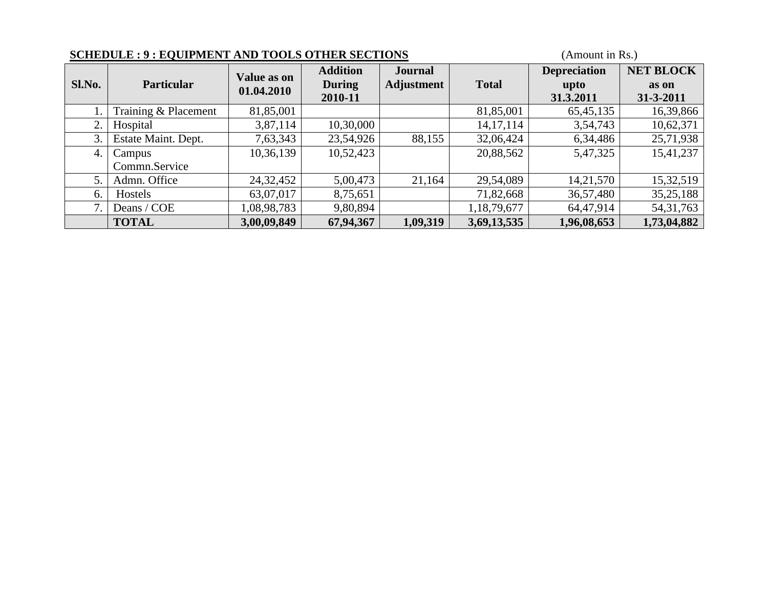| <b>SCHEDULE : 9 : EQUIPMENT AND TOOLS OTHER SECTIONS</b> |                      |                    |                 |                |              | (Amount in Rs.)     |                  |
|----------------------------------------------------------|----------------------|--------------------|-----------------|----------------|--------------|---------------------|------------------|
|                                                          |                      | <b>Value as on</b> | <b>Addition</b> | <b>Journal</b> |              | <b>Depreciation</b> | <b>NET BLOCK</b> |
| Sl.No.                                                   | <b>Particular</b>    | 01.04.2010         | <b>During</b>   | Adjustment     | <b>Total</b> | upto                | as on            |
|                                                          |                      |                    | 2010-11         |                |              | 31.3.2011           | 31-3-2011        |
|                                                          | Training & Placement | 81,85,001          |                 |                | 81,85,001    | 65,45,135           | 16,39,866        |
| 2.                                                       | Hospital             | 3,87,114           | 10,30,000       |                | 14, 17, 114  | 3,54,743            | 10,62,371        |
| 3.                                                       | Estate Maint. Dept.  | 7,63,343           | 23,54,926       | 88,155         | 32,06,424    | 6,34,486            | 25,71,938        |
| 4.                                                       | Campus               | 10,36,139          | 10,52,423       |                | 20,88,562    | 5,47,325            | 15,41,237        |
|                                                          | Commn.Service        |                    |                 |                |              |                     |                  |
| 5.                                                       | Admn. Office         | 24, 32, 452        | 5,00,473        | 21,164         | 29,54,089    | 14,21,570           | 15,32,519        |
| 6.                                                       | Hostels              | 63,07,017          | 8,75,651        |                | 71,82,668    | 36,57,480           | 35,25,188        |
| 7.                                                       | Deans / COE          | 1,08,98,783        | 9,80,894        |                | 1,18,79,677  | 64,47,914           | 54, 31, 763      |
|                                                          | <b>TOTAL</b>         | 3,00,09,849        | 67,94,367       | 1,09,319       | 3,69,13,535  | 1,96,08,653         | 1,73,04,882      |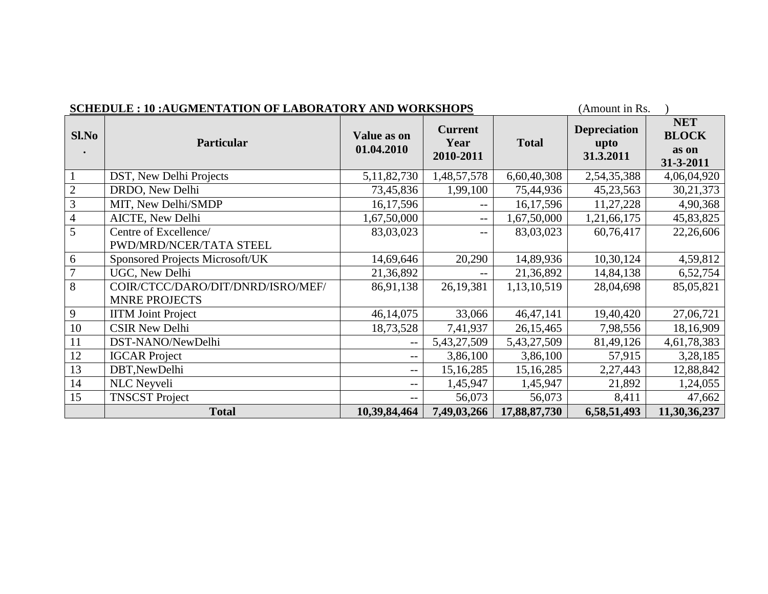| <b>SCHEDULE : 10 :AUGMENTATION OF LABORATORY AND WORKSHOPS</b><br>(Amount in Rs. |                                                           |                           |                                     |              |                                          |                                                  |  |  |  |
|----------------------------------------------------------------------------------|-----------------------------------------------------------|---------------------------|-------------------------------------|--------------|------------------------------------------|--------------------------------------------------|--|--|--|
| Sl.No                                                                            | <b>Particular</b>                                         | Value as on<br>01.04.2010 | <b>Current</b><br>Year<br>2010-2011 | <b>Total</b> | <b>Depreciation</b><br>upto<br>31.3.2011 | <b>NET</b><br><b>BLOCK</b><br>as on<br>31-3-2011 |  |  |  |
|                                                                                  | DST, New Delhi Projects                                   | 5, 11, 82, 730            | 1,48,57,578                         | 6,60,40,308  | 2,54,35,388                              | 4,06,04,920                                      |  |  |  |
| $\overline{2}$                                                                   | DRDO, New Delhi                                           | 73,45,836                 | 1,99,100                            | 75,44,936    | 45, 23, 563                              | 30, 21, 373                                      |  |  |  |
| 3                                                                                | MIT, New Delhi/SMDP                                       | 16,17,596                 | $- -$                               | 16,17,596    | 11,27,228                                | 4,90,368                                         |  |  |  |
| $\overline{4}$                                                                   | <b>AICTE, New Delhi</b>                                   | 1,67,50,000               | $-$                                 | 1,67,50,000  | 1,21,66,175                              | 45,83,825                                        |  |  |  |
| 5                                                                                | Centre of Excellence/                                     | 83,03,023                 | $-$                                 | 83,03,023    | 60,76,417                                | 22,26,606                                        |  |  |  |
|                                                                                  | PWD/MRD/NCER/TATA STEEL                                   |                           |                                     |              |                                          |                                                  |  |  |  |
| 6                                                                                | Sponsored Projects Microsoft/UK                           | 14,69,646                 | 20,290                              | 14,89,936    | 10,30,124                                | 4,59,812                                         |  |  |  |
| $\overline{7}$                                                                   | UGC, New Delhi                                            | 21,36,892                 | $- -$                               | 21,36,892    | 14,84,138                                | 6,52,754                                         |  |  |  |
| 8                                                                                | COIR/CTCC/DARO/DIT/DNRD/ISRO/MEF/<br><b>MNRE PROJECTS</b> | 86,91,138                 | 26, 19, 381                         | 1,13,10,519  | 28,04,698                                | 85,05,821                                        |  |  |  |
| 9                                                                                | <b>IITM Joint Project</b>                                 | 46,14,075                 | 33,066                              | 46, 47, 141  | 19,40,420                                | 27,06,721                                        |  |  |  |
| 10                                                                               | <b>CSIR New Delhi</b>                                     | 18,73,528                 | 7,41,937                            | 26,15,465    | 7,98,556                                 | 18,16,909                                        |  |  |  |
| 11                                                                               | DST-NANO/NewDelhi                                         | $-$                       | 5,43,27,509                         | 5,43,27,509  | 81,49,126                                | 4,61,78,383                                      |  |  |  |
| 12                                                                               | <b>IGCAR</b> Project                                      | $--$                      | 3,86,100                            | 3,86,100     | 57,915                                   | 3,28,185                                         |  |  |  |
| 13                                                                               | DBT, New Delhi                                            | $- -$                     | 15, 16, 285                         | 15, 16, 285  | 2,27,443                                 | 12,88,842                                        |  |  |  |
| 14                                                                               | <b>NLC</b> Neyveli                                        | $- -$                     | 1,45,947                            | 1,45,947     | 21,892                                   | 1,24,055                                         |  |  |  |
| 15                                                                               | <b>TNSCST Project</b>                                     | --                        | 56,073                              | 56,073       | 8,411                                    | 47,662                                           |  |  |  |
|                                                                                  | <b>Total</b>                                              | 10,39,84,464              | 7,49,03,266                         | 17,88,87,730 | 6,58,51,493                              | 11,30,36,237                                     |  |  |  |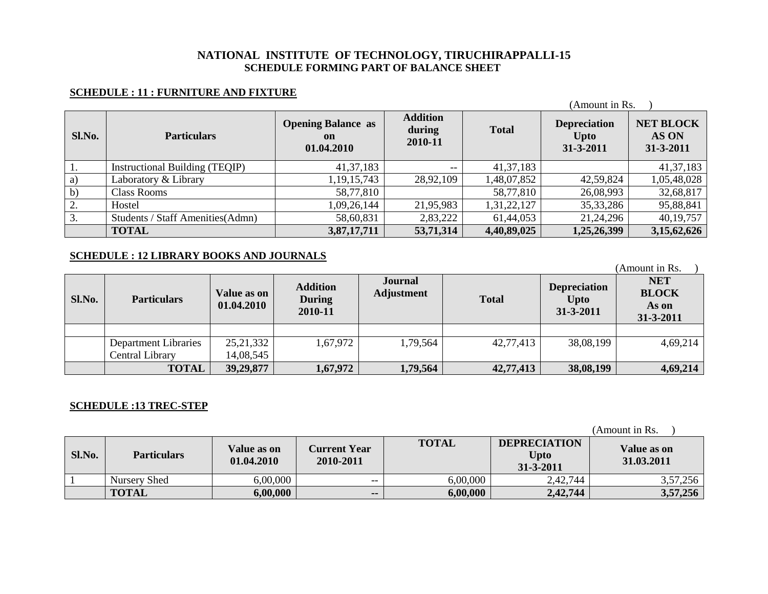#### **SCHEDULE : 11 : FURNITURE AND FIXTURE**

| (Amount in Rs. |                                          |                                               |                                      |              |                                                       |                                               |
|----------------|------------------------------------------|-----------------------------------------------|--------------------------------------|--------------|-------------------------------------------------------|-----------------------------------------------|
| Sl.No.         | <b>Particulars</b>                       | <b>Opening Balance as</b><br>on<br>01.04.2010 | <b>Addition</b><br>during<br>2010-11 | <b>Total</b> | <b>Depreciation</b><br><b>Upto</b><br>$31 - 3 - 2011$ | <b>NET BLOCK</b><br><b>AS ON</b><br>31-3-2011 |
| 1.             | <b>Instructional Building (TEQIP)</b>    | 41, 37, 183                                   | $- -$                                | 41, 37, 183  |                                                       | 41, 37, 183                                   |
| a)             | Laboratory & Library                     | 1, 19, 15, 743                                | 28,92,109                            | 1,48,07,852  | 42,59,824                                             | 1,05,48,028                                   |
| b)             | <b>Class Rooms</b>                       | 58,77,810                                     |                                      | 58,77,810    | 26,08,993                                             | 32,68,817                                     |
| 2.             | Hostel                                   | 1,09,26,144                                   | 21,95,983                            | 1,31,22,127  | 35, 33, 286                                           | 95,88,841                                     |
| 3.             | <b>Students / Staff Amenities (Admn)</b> | 58,60,831                                     | 2,83,222                             | 61,44,053    | 21,24,296                                             | 40,19,757                                     |
|                | <b>TOTAL</b>                             | 3,87,17,711                                   | 53,71,314                            | 4,40,89,025  | 1,25,26,399                                           | 3,15,62,626                                   |

#### **SCHEDULE : 12 LIBRARY BOOKS AND JOURNALS**

(Amount in Rs. )

| Sl.No. | <b>Particulars</b>          | Value as on<br>01.04.2010 | <b>Addition</b><br><b>During</b><br>2010-11 | Journal<br><b>Adjustment</b> | <b>Total</b> | <b>Depreciation</b><br><b>Upto</b><br>$31 - 3 - 2011$ | <b>NET</b><br><b>BLOCK</b><br>As on<br>$31 - 3 - 2011$ |
|--------|-----------------------------|---------------------------|---------------------------------------------|------------------------------|--------------|-------------------------------------------------------|--------------------------------------------------------|
|        |                             |                           |                                             |                              |              |                                                       |                                                        |
|        | <b>Department Libraries</b> | 25,21,332                 | 1,67,972                                    | 1,79,564                     | 42,77,413    | 38,08,199                                             | 4,69,214                                               |
|        | Central Library             | 14,08,545                 |                                             |                              |              |                                                       |                                                        |
|        | <b>TOTAL</b>                | 39,29,877                 | 1,67,972                                    | 1,79,564                     | 42,77,413    | 38,08,199                                             | 4,69,214                                               |

#### **SCHEDULE :13 TREC-STEP**

|        |                     |                                  |                                  |              |                                                | (Amount in Rs.            |
|--------|---------------------|----------------------------------|----------------------------------|--------------|------------------------------------------------|---------------------------|
| Sl.No. | <b>Particulars</b>  | <b>Value as on</b><br>01.04.2010 | <b>Current Year</b><br>2010-2011 | <b>TOTAL</b> | <b>DEPRECIATION</b><br>Upto<br>$31 - 3 - 2011$ | Value as on<br>31.03.2011 |
|        | <b>Nursery Shed</b> | 6,00,000                         | $- -$                            | 6,00,000     | 2,42,744                                       | 3,57,256                  |
|        | <b>TOTAL</b>        | 6,00,000                         | $\sim$ $\sim$                    | 6,00,000     | 2,42,744                                       | 3,57,256                  |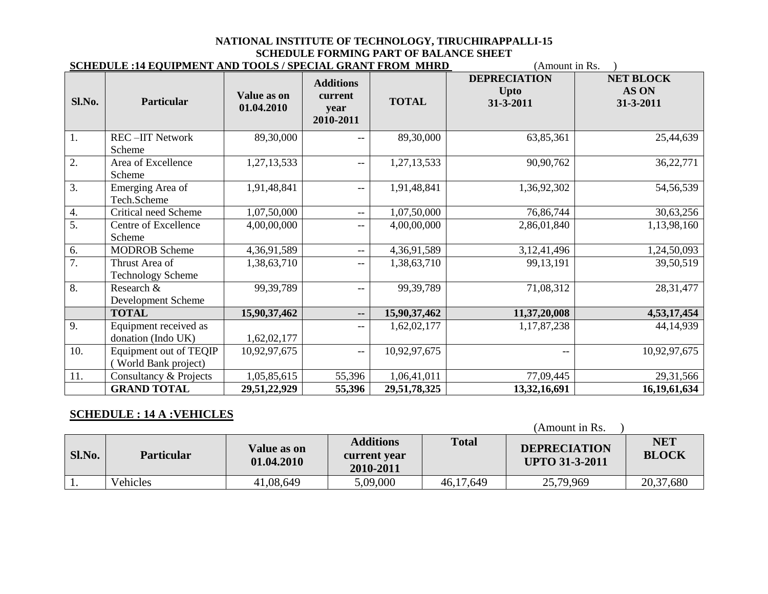|                  | <b>SCHEDULE : 14 EQUIPMENT AND TOOLS / SPECIAL GRANT FROM MHRD</b> |                           | (Amount in Rs.                                   |                 |                                                 |                                        |
|------------------|--------------------------------------------------------------------|---------------------------|--------------------------------------------------|-----------------|-------------------------------------------------|----------------------------------------|
| Sl.No.           | <b>Particular</b>                                                  | Value as on<br>01.04.2010 | <b>Additions</b><br>current<br>year<br>2010-2011 | <b>TOTAL</b>    | <b>DEPRECIATION</b><br><b>Upto</b><br>31-3-2011 | <b>NET BLOCK</b><br>AS ON<br>31-3-2011 |
| 1.               | REC-IIT Network<br>Scheme                                          | 89,30,000                 | $- -$                                            | 89,30,000       | 63,85,361                                       | 25,44,639                              |
| 2.               | Area of Excellence<br>Scheme                                       | 1,27,13,533               | $- -$                                            | 1,27,13,533     | 90,90,762                                       | 36, 22, 771                            |
| $\overline{3}$ . | Emerging Area of<br>Tech.Scheme                                    | 1,91,48,841               | $- -$                                            | 1,91,48,841     | 1,36,92,302                                     | 54, 56, 539                            |
| 4.               | <b>Critical need Scheme</b>                                        | 1,07,50,000               | $- -$                                            | 1,07,50,000     | 76,86,744                                       | 30,63,256                              |
| $\overline{5}$ . | Centre of Excellence<br>Scheme                                     | 4,00,00,000               | $\qquad \qquad -$                                | 4,00,00,000     | 2,86,01,840                                     | 1,13,98,160                            |
| 6.               | <b>MODROB</b> Scheme                                               | 4,36,91,589               | $-$                                              | 4,36,91,589     | 3, 12, 41, 496                                  | 1,24,50,093                            |
| 7.               | Thrust Area of<br><b>Technology Scheme</b>                         | 1,38,63,710               | --                                               | 1,38,63,710     | 99,13,191                                       | 39,50,519                              |
| $\overline{8}$ . | Research &<br>Development Scheme                                   | 99, 39, 789               | $- -$                                            | 99,39,789       | 71,08,312                                       | 28,31,477                              |
|                  | <b>TOTAL</b>                                                       | 15,90,37,462              | н.                                               | 15,90,37,462    | 11,37,20,008                                    | 4,53,17,454                            |
| $\overline{9}$ . | Equipment received as<br>donation (Indo UK)                        | 1,62,02,177               | --                                               | 1,62,02,177     | 1,17,87,238                                     | 44, 14, 939                            |
| 10.              | Equipment out of TEQIP<br>(World Bank project)                     | 10,92,97,675              | $\qquad \qquad -$                                | 10,92,97,675    | --                                              | 10,92,97,675                           |
| 11.              | Consultancy & Projects                                             | 1,05,85,615               | 55,396                                           | 1,06,41,011     | 77,09,445                                       | 29,31,566                              |
|                  | <b>GRAND TOTAL</b>                                                 | 29,51,22,929              | 55,396                                           | 29, 51, 78, 325 | 13,32,16,691                                    | 16,19,61,634                           |

#### **SCHEDULE : 14 A :VEHICLES**

|        |                   |                           |                                               |              | (Amount in Rs.                               |                            |
|--------|-------------------|---------------------------|-----------------------------------------------|--------------|----------------------------------------------|----------------------------|
| Sl.No. | <b>Particular</b> | Value as on<br>01.04.2010 | <b>Additions</b><br>current year<br>2010-2011 | <b>Total</b> | <b>DEPRECIATION</b><br><b>UPTO 31-3-2011</b> | <b>NET</b><br><b>BLOCK</b> |
| . .    | Vehicles          | 41,08,649                 | 5,09,000                                      | 46,17,649    | 25,79,969                                    | 20,37,680                  |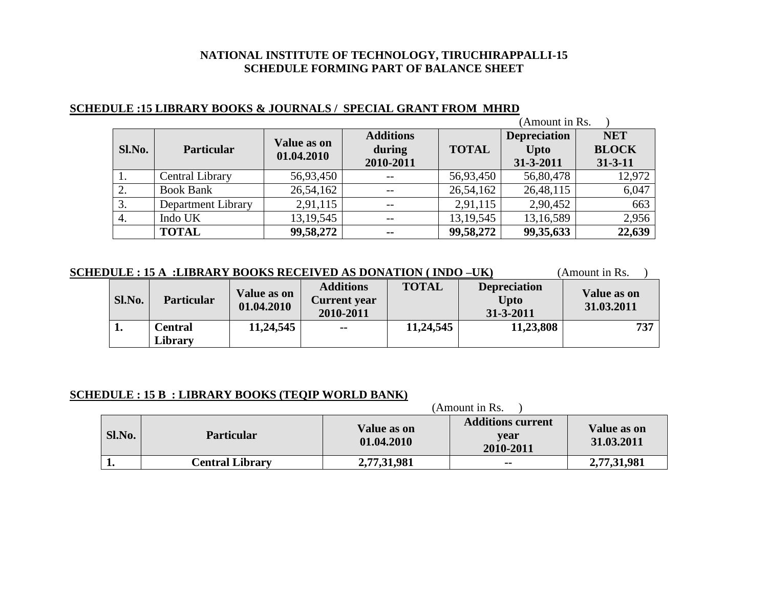|        |                    |                           |                                         |              | (Amount in Rs.<br><b>Depreciation</b><br><b>NET</b><br><b>BLOCK</b><br>Upto |               |  |
|--------|--------------------|---------------------------|-----------------------------------------|--------------|-----------------------------------------------------------------------------|---------------|--|
| Sl.No. | <b>Particular</b>  | Value as on<br>01.04.2010 | <b>Additions</b><br>during<br>2010-2011 | <b>TOTAL</b> | $31 - 3 - 2011$                                                             | $31 - 3 - 11$ |  |
| 1.     | Central Library    | 56,93,450                 |                                         | 56,93,450    | 56,80,478                                                                   | 12,972        |  |
| 2.     | <b>Book Bank</b>   | 26,54,162                 |                                         | 26,54,162    | 26,48,115                                                                   | 6,047         |  |
| 3.     | Department Library | 2,91,115                  |                                         | 2,91,115     | 2,90,452                                                                    | 663           |  |
| 4.     | Indo UK            | 13, 19, 545               |                                         | 13, 19, 545  | 13,16,589                                                                   | 2,956         |  |
|        | <b>TOTAL</b>       | 99,58,272                 | $\sim$ $\sim$                           | 99,58,272    | 99, 35, 633                                                                 | 22,639        |  |

#### **SCHEDULE :15 LIBRARY BOOKS & JOURNALS / SPECIAL GRANT FROM MHRD**

| SCHEDULE : 15 A :LIBRARY BOOKS RECEIVED AS DONATION (INDO –UK) | (Amount in Rs. |  |
|----------------------------------------------------------------|----------------|--|
|                                                                |                |  |

| Sl.No. | <b>Particular</b>         | Value as on<br>01.04.2010 | <b>Additions</b><br><b>Current year</b><br>2010-2011 | <b>TOTAL</b> | <b>Depreciation</b><br><b>Upto</b><br>$31 - 3 - 2011$ | Value as on<br>31.03.2011 |
|--------|---------------------------|---------------------------|------------------------------------------------------|--------------|-------------------------------------------------------|---------------------------|
| . .    | <b>Central</b><br>Librarv | 11,24,545                 | $\overline{\phantom{a}}$                             | 11,24,545    | 11,23,808                                             | 737                       |

#### **SCHEDULE : 15 B : LIBRARY BOOKS (TEQIP WORLD BANK)**

|        | (Amount in Rs.         |                           |                                               |                           |  |  |  |  |
|--------|------------------------|---------------------------|-----------------------------------------------|---------------------------|--|--|--|--|
| Sl.No. | <b>Particular</b>      | Value as on<br>01.04.2010 | <b>Additions current</b><br>vear<br>2010-2011 | Value as on<br>31.03.2011 |  |  |  |  |
| ı.     | <b>Central Library</b> | 2,77,31,981               | $\sim$ $\sim$                                 | 2,77,31,981               |  |  |  |  |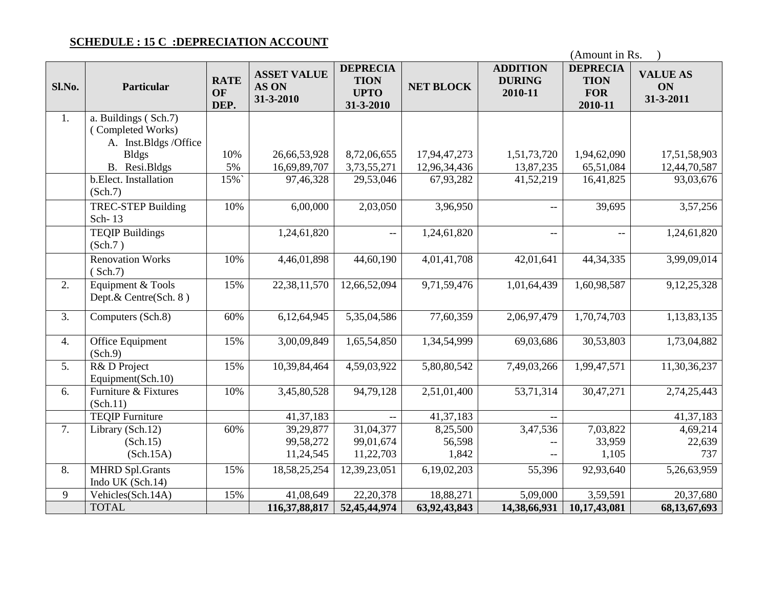#### **SCHEDULE : 15 C :DEPRECIATION ACCOUNT**

|                  |                                                                    | (Amount in Rs.            |                                          |                                                            |                  |                                             |                                                         |                                    |
|------------------|--------------------------------------------------------------------|---------------------------|------------------------------------------|------------------------------------------------------------|------------------|---------------------------------------------|---------------------------------------------------------|------------------------------------|
| Sl.No.           | Particular                                                         | <b>RATE</b><br>OF<br>DEP. | <b>ASSET VALUE</b><br>AS ON<br>31-3-2010 | <b>DEPRECIA</b><br><b>TION</b><br><b>UPTO</b><br>31-3-2010 | <b>NET BLOCK</b> | <b>ADDITION</b><br><b>DURING</b><br>2010-11 | <b>DEPRECIA</b><br><b>TION</b><br><b>FOR</b><br>2010-11 | <b>VALUE AS</b><br>ON<br>31-3-2011 |
| 1.               | a. Buildings (Sch.7)<br>(Completed Works)<br>A. Inst.Bldgs /Office |                           |                                          |                                                            |                  |                                             |                                                         |                                    |
|                  | <b>Bldgs</b>                                                       | 10%                       | 26,66,53,928                             | 8,72,06,655                                                | 17,94,47,273     | 1,51,73,720                                 | 1,94,62,090                                             | 17,51,58,903                       |
|                  | B. Resi.Bldgs                                                      | 5%                        | 16,69,89,707                             | 3,73,55,271                                                | 12,96,34,436     | 13,87,235                                   | 65,51,084                                               | 12,44,70,587                       |
|                  | b.Elect. Installation<br>(Sch.7)                                   | 15%`                      | 97,46,328                                | 29,53,046                                                  | 67,93,282        | 41,52,219                                   | 16,41,825                                               | 93,03,676                          |
|                  | <b>TREC-STEP Building</b><br>Sch-13                                | 10%                       | 6,00,000                                 | 2,03,050                                                   | 3,96,950         | $-\,-$                                      | 39,695                                                  | 3,57,256                           |
|                  | <b>TEQIP Buildings</b><br>(Sch.7)                                  |                           | 1,24,61,820                              | $-\, -$                                                    | 1,24,61,820      | $\overline{\phantom{m}}$                    |                                                         | 1,24,61,820                        |
|                  | <b>Renovation Works</b><br>(Sch.7)                                 | 10%                       | 4,46,01,898                              | 44,60,190                                                  | 4,01,41,708      | 42,01,641                                   | 44, 34, 335                                             | 3,99,09,014                        |
| 2.               | Equipment & Tools<br>Dept.& Centre(Sch. 8)                         | 15%                       | 22,38,11,570                             | 12,66,52,094                                               | 9,71,59,476      | 1,01,64,439                                 | 1,60,98,587                                             | 9, 12, 25, 328                     |
| 3.               | Computers (Sch.8)                                                  | 60%                       | 6,12,64,945                              | 5,35,04,586                                                | 77,60,359        | 2,06,97,479                                 | 1,70,74,703                                             | 1,13,83,135                        |
| 4.               | Office Equipment<br>(Sch.9)                                        | 15%                       | 3,00,09,849                              | 1,65,54,850                                                | 1,34,54,999      | 69,03,686                                   | 30,53,803                                               | 1,73,04,882                        |
| $\overline{5}$ . | R& D Project<br>Equipment(Sch.10)                                  | 15%                       | 10,39,84,464                             | 4,59,03,922                                                | 5,80,80,542      | 7,49,03,266                                 | 1,99,47,571                                             | 11,30,36,237                       |
| 6.               | Furniture & Fixtures<br>(Sch.11)                                   | 10%                       | 3,45,80,528                              | 94,79,128                                                  | 2,51,01,400      | 53,71,314                                   | 30,47,271                                               | 2,74,25,443                        |
|                  | <b>TEQIP Furniture</b>                                             |                           | 41,37,183                                |                                                            | 41, 37, 183      |                                             |                                                         | 41, 37, 183                        |
| 7.               | Library (Sch.12)                                                   | 60%                       | 39,29,877                                | 31,04,377                                                  | 8,25,500         | 3,47,536                                    | 7,03,822                                                | 4,69,214                           |
|                  | (Sch.15)                                                           |                           | 99,58,272                                | 99,01,674                                                  | 56,598           | $-$                                         | 33,959                                                  | 22,639                             |
|                  | (Sch.15A)                                                          |                           | 11,24,545                                | 11,22,703                                                  | 1,842            |                                             | 1,105                                                   | 737                                |
| 8.               | <b>MHRD Spl.Grants</b><br>Indo UK (Sch.14)                         | 15%                       | 18,58,25,254                             | 12,39,23,051                                               | 6,19,02,203      | 55,396                                      | 92,93,640                                               | 5,26,63,959                        |
| 9                | Vehicles(Sch.14A)                                                  | 15%                       | 41,08,649                                | 22, 20, 378                                                | 18,88,271        | 5,09,000                                    | $\overline{3,59,591}$                                   | 20,37,680                          |
|                  | <b>TOTAL</b>                                                       |                           | 116,37,88,817                            | 52,45,44,974                                               | 63,92,43,843     | 14,38,66,931                                | 10,17,43,081                                            | 68, 13, 67, 693                    |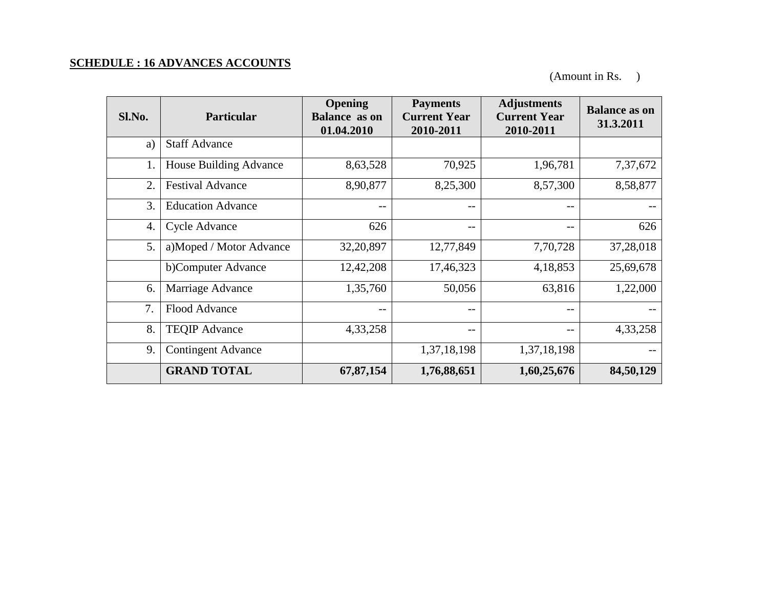#### **SCHEDULE : 16 ADVANCES ACCOUNTS**

| Sl.No. | <b>Particular</b>         | Opening<br><b>Balance</b> as on<br>01.04.2010 | <b>Payments</b><br><b>Current Year</b><br>2010-2011 | <b>Adjustments</b><br><b>Current Year</b><br>2010-2011 | <b>Balance as on</b><br>31.3.2011 |
|--------|---------------------------|-----------------------------------------------|-----------------------------------------------------|--------------------------------------------------------|-----------------------------------|
| a)     | <b>Staff Advance</b>      |                                               |                                                     |                                                        |                                   |
| 1.     | House Building Advance    | 8,63,528                                      | 70,925                                              | 1,96,781                                               | 7,37,672                          |
| 2.     | <b>Festival Advance</b>   | 8,90,877                                      | 8,25,300                                            | 8,57,300                                               | 8,58,877                          |
| 3.     | <b>Education Advance</b>  | --                                            | --                                                  | $\qquad \qquad -$                                      |                                   |
| 4.     | <b>Cycle Advance</b>      | 626                                           | --                                                  | $-$                                                    | 626                               |
| 5.     | a)Moped / Motor Advance   | 32,20,897                                     | 12,77,849                                           | 7,70,728                                               | 37,28,018                         |
|        | b)Computer Advance        | 12,42,208                                     | 17,46,323                                           | 4,18,853                                               | 25,69,678                         |
| 6.     | Marriage Advance          | 1,35,760                                      | 50,056                                              | 63,816                                                 | 1,22,000                          |
| 7.     | Flood Advance             | --                                            | --                                                  | $\qquad \qquad -$                                      |                                   |
| 8.     | <b>TEQIP Advance</b>      | 4,33,258                                      | --                                                  | $\qquad \qquad -$                                      | 4,33,258                          |
| 9.     | <b>Contingent Advance</b> |                                               | 1,37,18,198                                         | 1,37,18,198                                            |                                   |
|        | <b>GRAND TOTAL</b>        | 67,87,154                                     | 1,76,88,651                                         | 1,60,25,676                                            | 84,50,129                         |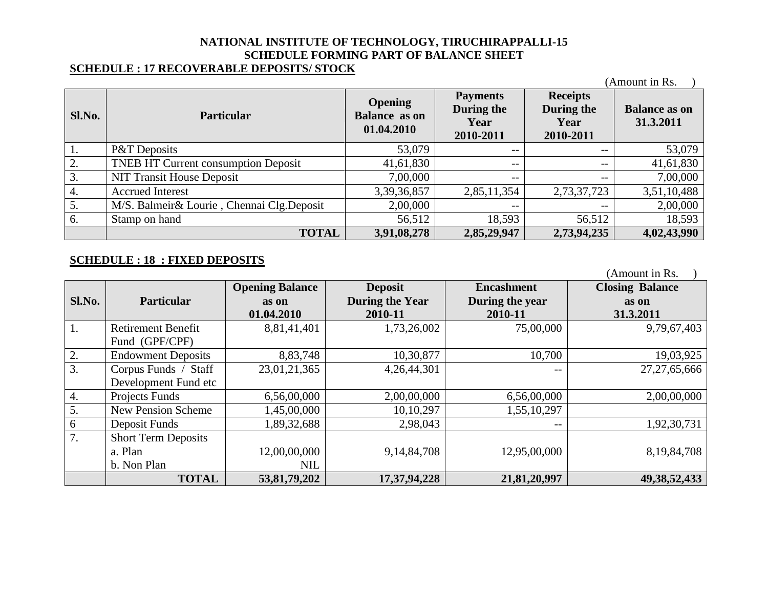#### **SCHEDULE : 17 RECOVERABLE DEPOSITS/ STOCK**

|        |                                             |                                    |                               |                                       | (Amount in Rs.       |
|--------|---------------------------------------------|------------------------------------|-------------------------------|---------------------------------------|----------------------|
| Sl.No. | <b>Particular</b>                           | <b>Opening</b>                     | <b>Payments</b><br>During the | <b>Receipts</b><br>During the         | <b>Balance as on</b> |
|        |                                             | <b>Balance</b> as on<br>01.04.2010 | Year<br>2010-2011             | Year<br>2010-2011                     | 31.3.2011            |
| 1.     | <b>P&amp;T</b> Deposits                     | 53,079                             | $\overline{\phantom{m}}$      | $\hspace{0.05cm}$ – $\hspace{0.05cm}$ | 53,079               |
| 2.     | <b>TNEB HT Current consumption Deposit</b>  | 41,61,830                          | $\overline{\phantom{m}}$      | $\hspace{0.05cm}$ – $\hspace{0.05cm}$ | 41,61,830            |
| 3.     | <b>NIT Transit House Deposit</b>            | 7,00,000                           | $- -$                         | $- -$                                 | 7,00,000             |
| 4.     | <b>Accrued Interest</b>                     | 3,39,36,857                        | 2,85,11,354                   | 2,73,37,723                           | 3,51,10,488          |
| 5.     | M/S. Balmeir & Lourie, Chennai Clg. Deposit | 2,00,000                           | $\overline{\phantom{m}}$      | $- -$                                 | 2,00,000             |
| 6.     | Stamp on hand                               | 56,512                             | 18,593                        | 56,512                                | 18,593               |
|        | <b>TOTAL</b>                                | 3,91,08,278                        | 2,85,29,947                   | 2,73,94,235                           | 4,02,43,990          |

#### **SCHEDULE : 18 : FIXED DEPOSITS**

|        |                            | <b>Opening Balance</b> | <b>Deposit</b>         | <b>Encashment</b> | <b>Closing Balance</b> |
|--------|----------------------------|------------------------|------------------------|-------------------|------------------------|
| Sl.No. | Particular                 | as on                  | <b>During the Year</b> | During the year   | as on                  |
|        |                            | 01.04.2010             | 2010-11                | 2010-11           | 31.3.2011              |
| 1.     | <b>Retirement Benefit</b>  | 8,81,41,401            | 1,73,26,002            | 75,00,000         | 9,79,67,403            |
|        | Fund (GPF/CPF)             |                        |                        |                   |                        |
| 2.     | <b>Endowment Deposits</b>  | 8,83,748               | 10,30,877              | 10,700            | 19,03,925              |
| 3.     | Corpus Funds / Staff       | 23,01,21,365           | 4,26,44,301            | $- -$             | 27, 27, 65, 666        |
|        | Development Fund etc       |                        |                        |                   |                        |
| 4.     | Projects Funds             | 6,56,00,000            | 2,00,00,000            | 6,56,00,000       | 2,00,00,000            |
| 5.     | <b>New Pension Scheme</b>  | 1,45,00,000            | 10,10,297              | 1,55,10,297       |                        |
| $6\,$  | Deposit Funds              | 1,89,32,688            | 2,98,043               | $- -$             | 1,92,30,731            |
| 7.     | <b>Short Term Deposits</b> |                        |                        |                   |                        |
|        | a. Plan                    | 12,00,00,000           | 9, 14, 84, 708         | 12,95,00,000      | 8, 19, 84, 708         |
|        | b. Non Plan                | <b>NIL</b>             |                        |                   |                        |
|        | <b>TOTAL</b>               | 53,81,79,202           | 17,37,94,228           | 21,81,20,997      | 49, 38, 52, 433        |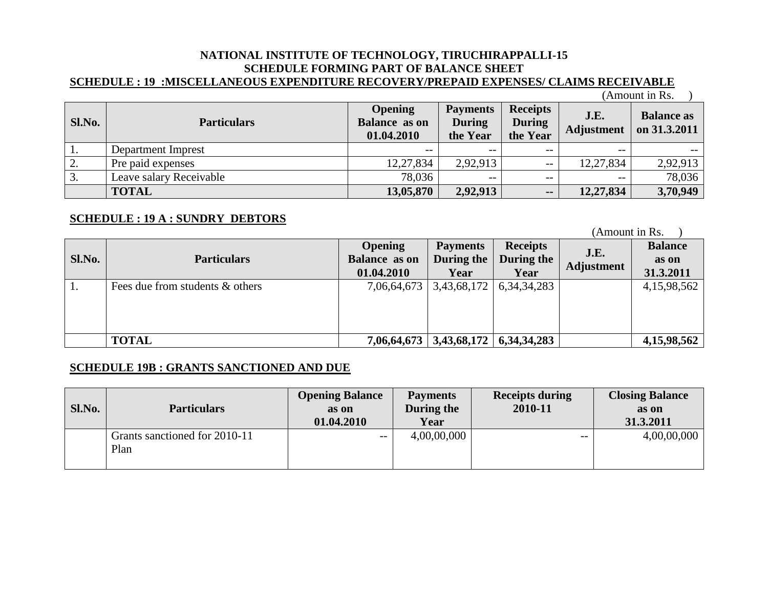### **NATIONAL INSTITUTE OF TECHNOLOGY, TIRUCHIRAPPALLI-15 SCHEDULE FORMING PART OF BALANCE SHEET SCHEDULE : 19 :MISCELLANEOUS EXPENDITURE RECOVERY/PREPAID EXPENSES/ CLAIMS RECEIVABLE**

|        |                         |                                                      |                                              |                                              |                           | (Amount in Rs.                    |
|--------|-------------------------|------------------------------------------------------|----------------------------------------------|----------------------------------------------|---------------------------|-----------------------------------|
| Sl.No. | <b>Particulars</b>      | <b>Opening</b><br><b>Balance</b> as on<br>01.04.2010 | <b>Payments</b><br><b>During</b><br>the Year | <b>Receipts</b><br><b>During</b><br>the Year | J.E.<br><b>Adjustment</b> | <b>Balance as</b><br>on 31.3.2011 |
| Ι.     | Department Imprest      | $- -$                                                | $- -$                                        | $\qquad \qquad -$                            | --                        | $- -$                             |
| 2.     | Pre paid expenses       | 12,27,834                                            | 2,92,913                                     | $- -$                                        | 12,27,834                 | 2,92,913                          |
| 3.     | Leave salary Receivable | 78,036                                               | $- -$                                        | $\qquad \qquad -$                            | --                        | 78,036                            |
|        | <b>TOTAL</b>            | 13,05,870                                            | 2,92,913                                     | $\sim$ $\sim$                                | 12,27,834                 | 3,70,949                          |

#### **SCHEDULE : 19 A : SUNDRY DEBTORS**

| Sl.No. | <b>Particulars</b>              | <b>Opening</b><br><b>Balance</b> as on<br>01.04.2010 | <b>Payments</b><br>During the<br>Year     | <b>Receipts</b><br>During the<br>Year | J.E.<br>Adjustment | <b>Balance</b><br>as on<br>31.3.2011 |
|--------|---------------------------------|------------------------------------------------------|-------------------------------------------|---------------------------------------|--------------------|--------------------------------------|
| 1.     | Fees due from students & others | 7,06,64,673                                          | 3,43,68,172                               | 6, 34, 34, 283                        |                    | 4,15,98,562                          |
|        | <b>TOTAL</b>                    |                                                      | $7,06,64,673$   3,43,68,172   6,34,34,283 |                                       |                    | 4,15,98,562                          |

#### **SCHEDULE 19B : GRANTS SANCTIONED AND DUE**

| Sl.No. | <b>Particulars</b>                    | <b>Opening Balance</b><br>as on<br>01.04.2010 | <b>Payments</b><br>During the<br>Year | <b>Receipts during</b><br>2010-11 | <b>Closing Balance</b><br>as on<br>31.3.2011 |
|--------|---------------------------------------|-----------------------------------------------|---------------------------------------|-----------------------------------|----------------------------------------------|
|        | Grants sanctioned for 2010-11<br>Plan | $- -$                                         | 4,00,00,000                           | $- -$                             | 4,00,00,000                                  |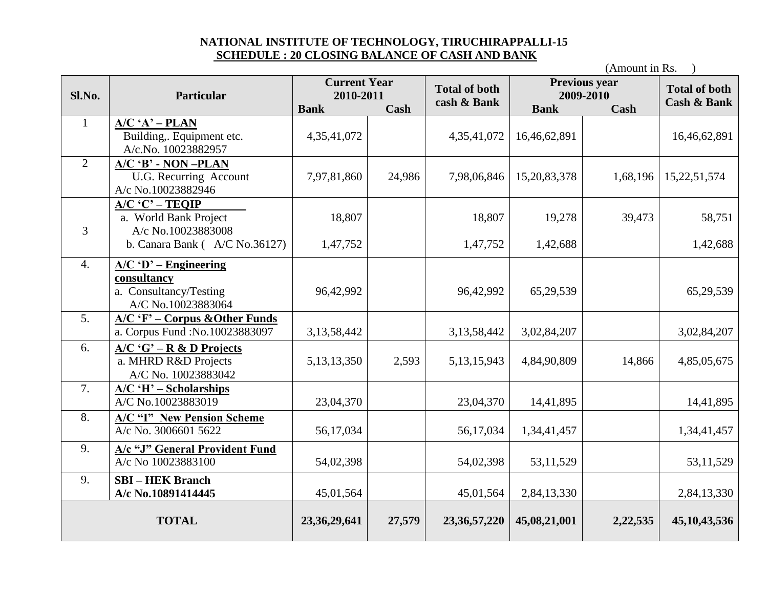#### **NATIONAL INSTITUTE OF TECHNOLOGY, TIRUCHIRAPPALLI-15 SCHEDULE : 20 CLOSING BALANCE OF CASH AND BANK**

|                  | (Amount in Rs.                                                                         |                                                 |        |                                     |              |                            |                                                |
|------------------|----------------------------------------------------------------------------------------|-------------------------------------------------|--------|-------------------------------------|--------------|----------------------------|------------------------------------------------|
| Sl.No.           | Particular                                                                             | <b>Current Year</b><br>2010-2011<br><b>Bank</b> |        | <b>Total of both</b><br>cash & Bank |              | Previous year<br>2009-2010 | <b>Total of both</b><br><b>Cash &amp; Bank</b> |
|                  |                                                                                        |                                                 | Cash   |                                     | <b>Bank</b>  | Cash                       |                                                |
| -1               | $A/C 'A' - PLAN$<br>Building,. Equipment etc.<br>A/c.No. 10023882957                   | 4,35,41,072                                     |        | 4,35,41,072                         | 16,46,62,891 |                            | 16,46,62,891                                   |
| 2                | A/C 'B' - NON-PLAN<br><b>U.G. Recurring Account</b><br>A/c No.10023882946              | 7,97,81,860                                     | 24,986 | 7,98,06,846                         | 15,20,83,378 | 1,68,196                   | 15,22,51,574                                   |
| 3                | $A/C 'C' - TEOIP$<br>a. World Bank Project<br>A/c No.10023883008                       | 18,807                                          |        | 18,807                              | 19,278       | 39,473                     | 58,751                                         |
|                  | b. Canara Bank $(A/C No.36127)$                                                        | 1,47,752                                        |        | 1,47,752                            | 1,42,688     |                            | 1,42,688                                       |
| $\overline{4}$ . | $A/C$ 'D' – Engineering<br>consultancy<br>a. Consultancy/Testing<br>A/C No.10023883064 | 96,42,992                                       |        | 96,42,992                           | 65,29,539    |                            | 65,29,539                                      |
| $\overline{5}$ . | $A/C$ 'F' – Corpus & Other Funds<br>a. Corpus Fund : No.10023883097                    | 3,13,58,442                                     |        | 3,13,58,442                         | 3,02,84,207  |                            | 3,02,84,207                                    |
| 6.               | $A/C$ 'G' – R & D Projects<br>a. MHRD R&D Projects<br>A/C No. 10023883042              | 5, 13, 13, 350                                  | 2,593  | 5, 13, 15, 943                      | 4,84,90,809  | 14,866                     | 4,85,05,675                                    |
| 7.               | $A/C'H'$ – Scholarships<br>A/C No.10023883019                                          | 23,04,370                                       |        | 23,04,370                           | 14,41,895    |                            | 14,41,895                                      |
| 8.               | <b>A/C "I" New Pension Scheme</b><br>A/c No. 3006601 5622                              | 56,17,034                                       |        | 56,17,034                           | 1,34,41,457  |                            | 1,34,41,457                                    |
| 9.               | A/c "J" General Provident Fund<br>A/c No 10023883100                                   | 54,02,398                                       |        | 54,02,398                           | 53,11,529    |                            | 53,11,529                                      |
| 9.               | <b>SBI – HEK Branch</b><br>A/c No.10891414445                                          | 45,01,564                                       |        | 45,01,564                           | 2,84,13,330  |                            | 2,84,13,330                                    |
|                  | <b>TOTAL</b>                                                                           | 23, 36, 29, 641                                 | 27,579 | 23, 36, 57, 220                     | 45,08,21,001 | 2,22,535                   | 45, 10, 43, 536                                |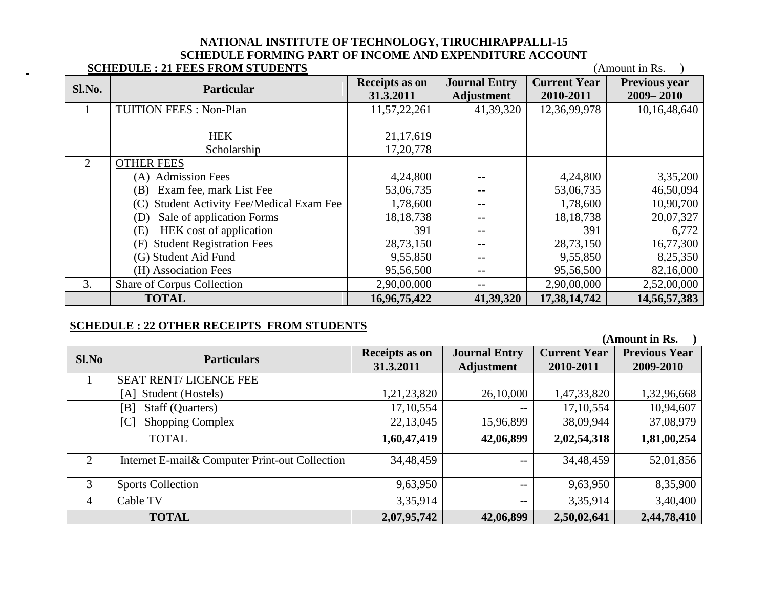#### **NATIONAL INSTITUTE OF TECHNOLOGY, TIRUCHIRAPPALLI-15 SCHEDULE FORMING PART OF INCOME AND EXPENDITURE ACCOUNT**

#### **SCHEDULE : 21 FEES FROM STUDENTS** (Amount in Rs. )

| Sl.No. | <b>Particular</b>                            | Receipts as on<br>31.3.2011 | <b>Journal Entry</b><br><b>Adjustment</b> | <b>Current Year</b><br>2010-2011 | Previous year<br>$2009 - 2010$ |
|--------|----------------------------------------------|-----------------------------|-------------------------------------------|----------------------------------|--------------------------------|
|        | <b>TUITION FEES: Non-Plan</b>                | 11,57,22,261                | 41,39,320                                 | 12,36,99,978                     | 10,16,48,640                   |
|        | <b>HEK</b><br>Scholarship                    | 21,17,619<br>17, 20, 778    |                                           |                                  |                                |
| 2      | <b>OTHER FEES</b>                            |                             |                                           |                                  |                                |
|        | (A) Admission Fees                           | 4,24,800                    |                                           | 4,24,800                         | 3,35,200                       |
|        | Exam fee, mark List Fee<br>(B)               | 53,06,735                   |                                           | 53,06,735                        | 46,50,094                      |
|        | Student Activity Fee/Medical Exam Fee<br>(C) | 1,78,600                    |                                           | 1,78,600                         | 10,90,700                      |
|        | Sale of application Forms<br>(D)             | 18, 18, 738                 |                                           | 18, 18, 738                      | 20,07,327                      |
|        | HEK cost of application<br>(E)               | 391                         |                                           | 391                              | 6,772                          |
|        | <b>Student Registration Fees</b><br>(F)      | 28,73,150                   |                                           | 28,73,150                        | 16,77,300                      |
|        | (G) Student Aid Fund                         | 9,55,850                    |                                           | 9,55,850                         | 8,25,350                       |
|        | (H) Association Fees                         | 95,56,500                   |                                           | 95,56,500                        | 82,16,000                      |
| 3.     | Share of Corpus Collection                   | 2,90,00,000                 |                                           | 2,90,00,000                      | 2,52,00,000                    |
|        | <b>TOTAL</b>                                 | 16,96,75,422                | 41,39,320                                 | 17,38,14,742                     | 14,56,57,383                   |

#### **SCHEDULE : 22 OTHER RECEIPTS FROM STUDENTS**

|       |                                                 |                |                          |                     | (Amount in Rs.       |
|-------|-------------------------------------------------|----------------|--------------------------|---------------------|----------------------|
| Sl.No |                                                 | Receipts as on | <b>Journal Entry</b>     | <b>Current Year</b> | <b>Previous Year</b> |
|       | <b>Particulars</b>                              | 31.3.2011      | <b>Adjustment</b>        | 2010-2011           | 2009-2010            |
|       | <b>SEAT RENT/LICENCE FEE</b>                    |                |                          |                     |                      |
|       | [A] Student (Hostels)                           | 1,21,23,820    | 26,10,000                | 1,47,33,820         | 1,32,96,668          |
|       | Staff (Quarters)<br>[B]                         | 17, 10, 554    | $\overline{\phantom{m}}$ | 17, 10, 554         | 10,94,607            |
|       | <b>Shopping Complex</b><br>[C]                  | 22,13,045      | 15,96,899                | 38,09,944           | 37,08,979            |
|       | <b>TOTAL</b>                                    | 1,60,47,419    | 42,06,899                | 2,02,54,318         | 1,81,00,254          |
| 2     | Internet E-mail & Computer Print-out Collection | 34,48,459      | $\overline{\phantom{m}}$ | 34,48,459           | 52,01,856            |
| 3     | <b>Sports Collection</b>                        | 9,63,950       | $\overline{\phantom{m}}$ | 9,63,950            | 8,35,900             |
| 4     | Cable TV                                        | 3,35,914       | $--$                     | 3,35,914            | 3,40,400             |
|       | <b>TOTAL</b>                                    | 2,07,95,742    | 42,06,899                | 2,50,02,641         | 2,44,78,410          |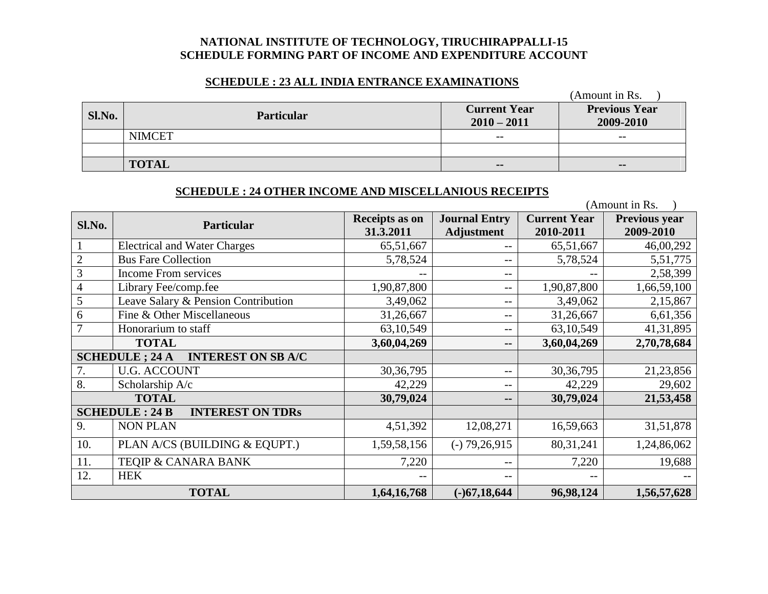#### **NATIONAL INSTITUTE OF TECHNOLOGY, TIRUCHIRAPPALLI-15 SCHEDULE FORMING PART OF INCOME AND EXPENDITURE ACCOUNT**

#### **SCHEDULE : 23 ALL INDIA ENTRANCE EXAMINATIONS**

|        |                   |                                      | (Amount in Rs.                    |
|--------|-------------------|--------------------------------------|-----------------------------------|
| Sl.No. | <b>Particular</b> | <b>Current Year</b><br>$2010 - 2011$ | <b>Previous Year</b><br>2009-2010 |
|        | <b>NIMCET</b>     | $- -$                                | $- -$                             |
|        |                   |                                      |                                   |
|        | <b>TOTAL</b>      | $\sim$ $\sim$                        | $\blacksquare$                    |

#### **SCHEDULE : 24 OTHER INCOME AND MISCELLANIOUS RECEIPTS**

|        |                                                     |                |                      |                     | (Amount in Rs.       |
|--------|-----------------------------------------------------|----------------|----------------------|---------------------|----------------------|
| Sl.No. | <b>Particular</b>                                   | Receipts as on | <b>Journal Entry</b> | <b>Current Year</b> | <b>Previous year</b> |
|        |                                                     | 31.3.2011      | <b>Adjustment</b>    | 2010-2011           | 2009-2010            |
|        | <b>Electrical and Water Charges</b>                 | 65,51,667      | --                   | 65,51,667           | 46,00,292            |
|        | <b>Bus Fare Collection</b>                          | 5,78,524       | $-\,-$               | 5,78,524            | 5,51,775             |
| 3      | <b>Income From services</b>                         |                | $\qquad \qquad -$    |                     | 2,58,399             |
| 4      | Library Fee/comp.fee                                | 1,90,87,800    | --                   | 1,90,87,800         | 1,66,59,100          |
| 5      | Leave Salary & Pension Contribution                 | 3,49,062       | $\qquad \qquad -$    | 3,49,062            | 2,15,867             |
| 6      | Fine & Other Miscellaneous                          | 31,26,667      | $\qquad \qquad -$    | 31,26,667           | 6,61,356             |
|        | Honorarium to staff                                 | 63, 10, 549    | $\qquad \qquad -$    | 63, 10, 549         | 41,31,895            |
|        | <b>TOTAL</b>                                        | 3,60,04,269    | --                   | 3,60,04,269         | 2,70,78,684          |
|        | <b>INTEREST ON SB A/C</b><br><b>SCHEDULE</b> ; 24 A |                |                      |                     |                      |
| 7.     | <b>U.G. ACCOUNT</b>                                 | 30, 36, 795    | $\qquad \qquad -$    | 30, 36, 795         | 21,23,856            |
| 8.     | Scholarship A/c                                     | 42,229         | --                   | 42,229              | 29,602               |
|        | <b>TOTAL</b>                                        | 30,79,024      | $\blacksquare$       | 30,79,024           | 21,53,458            |
|        | <b>SCHEDULE: 24 B</b><br><b>INTEREST ON TDRs</b>    |                |                      |                     |                      |
| 9.     | <b>NON PLAN</b>                                     | 4,51,392       | 12,08,271            | 16,59,663           | 31,51,878            |
| 10.    | PLAN A/CS (BUILDING & EQUPT.)                       | 1,59,58,156    | $(-) 79,26,915$      | 80,31,241           | 1,24,86,062          |
| 11.    | TEQIP & CANARA BANK                                 | 7,220          | $\qquad \qquad -$    | 7,220               | 19,688               |
| 12.    | <b>HEK</b>                                          |                | $\qquad \qquad -$    |                     |                      |
|        | <b>TOTAL</b>                                        | 1,64,16,768    | $(-)67,18,644$       | 96,98,124           | 1,56,57,628          |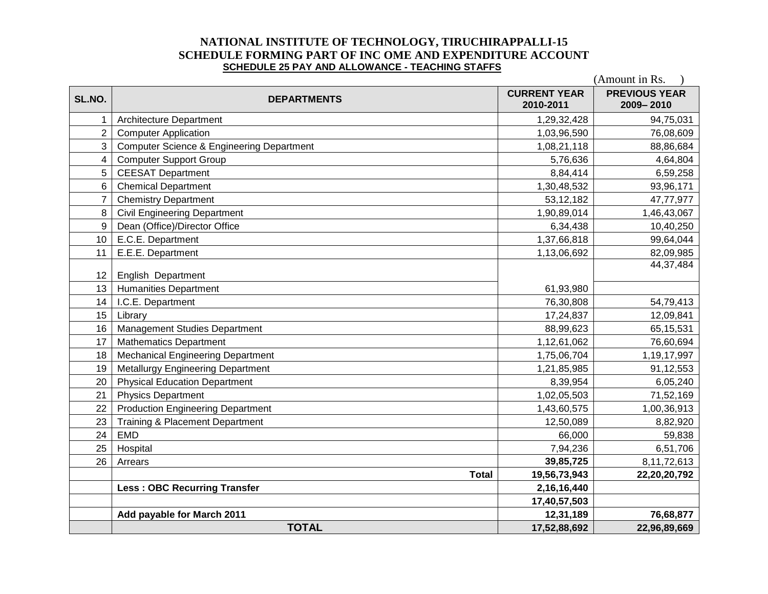#### **NATIONAL INSTITUTE OF TECHNOLOGY, TIRUCHIRAPPALLI-15 SCHEDULE FORMING PART OF INC OME AND EXPENDITURE ACCOUNT SCHEDULE 25 PAY AND ALLOWANCE - TEACHING STAFFS**

|                |                                            |                                  | (Amount in Rs.                    |
|----------------|--------------------------------------------|----------------------------------|-----------------------------------|
| SL.NO.         | <b>DEPARTMENTS</b>                         | <b>CURRENT YEAR</b><br>2010-2011 | <b>PREVIOUS YEAR</b><br>2009-2010 |
| 1              | <b>Architecture Department</b>             | 1,29,32,428                      | 94,75,031                         |
| $\overline{2}$ | <b>Computer Application</b>                | 1,03,96,590                      | 76,08,609                         |
| 3              | Computer Science & Engineering Department  | 1,08,21,118                      | 88,86,684                         |
| 4              | <b>Computer Support Group</b>              | 5,76,636                         | 4,64,804                          |
| 5              | <b>CEESAT Department</b>                   | 8,84,414                         | 6,59,258                          |
| 6              | <b>Chemical Department</b>                 | 1,30,48,532                      | 93,96,171                         |
| $\overline{7}$ | <b>Chemistry Department</b>                | 53, 12, 182                      | 47,77,977                         |
| 8              | <b>Civil Engineering Department</b>        | 1,90,89,014                      | 1,46,43,067                       |
| 9              | Dean (Office)/Director Office              | 6,34,438                         | 10,40,250                         |
| 10             | E.C.E. Department                          | 1,37,66,818                      | 99,64,044                         |
| 11             | E.E.E. Department                          | 1,13,06,692                      | 82,09,985                         |
| 12             | <b>English Department</b>                  |                                  | 44,37,484                         |
| 13             | <b>Humanities Department</b>               | 61,93,980                        |                                   |
| 14             | I.C.E. Department                          | 76,30,808                        | 54,79,413                         |
| 15             | Library                                    | 17,24,837                        | 12,09,841                         |
| 16             | Management Studies Department              | 88,99,623                        | 65,15,531                         |
| 17             | <b>Mathematics Department</b>              | 1,12,61,062                      | 76,60,694                         |
| 18             | <b>Mechanical Engineering Department</b>   | 1,75,06,704                      | 1,19,17,997                       |
| 19             | <b>Metallurgy Engineering Department</b>   | 1,21,85,985                      | 91,12,553                         |
| 20             | <b>Physical Education Department</b>       | 8,39,954                         | 6,05,240                          |
| 21             | <b>Physics Department</b>                  | 1,02,05,503                      | 71,52,169                         |
| 22             | <b>Production Engineering Department</b>   | 1,43,60,575                      | 1,00,36,913                       |
| 23             | <b>Training &amp; Placement Department</b> | 12,50,089                        | 8,82,920                          |
| 24             | <b>EMD</b>                                 | 66,000                           | 59,838                            |
| 25             | Hospital                                   | 7,94,236                         | 6,51,706                          |
| 26             | Arrears                                    | 39,85,725                        | 8,11,72,613                       |
|                | <b>Total</b>                               | 19,56,73,943                     | 22,20,20,792                      |
|                | <b>Less: OBC Recurring Transfer</b>        | 2,16,16,440                      |                                   |
|                |                                            | 17,40,57,503                     |                                   |
|                | Add payable for March 2011                 | 12,31,189                        | 76,68,877                         |
|                | <b>TOTAL</b>                               | 17,52,88,692                     | 22,96,89,669                      |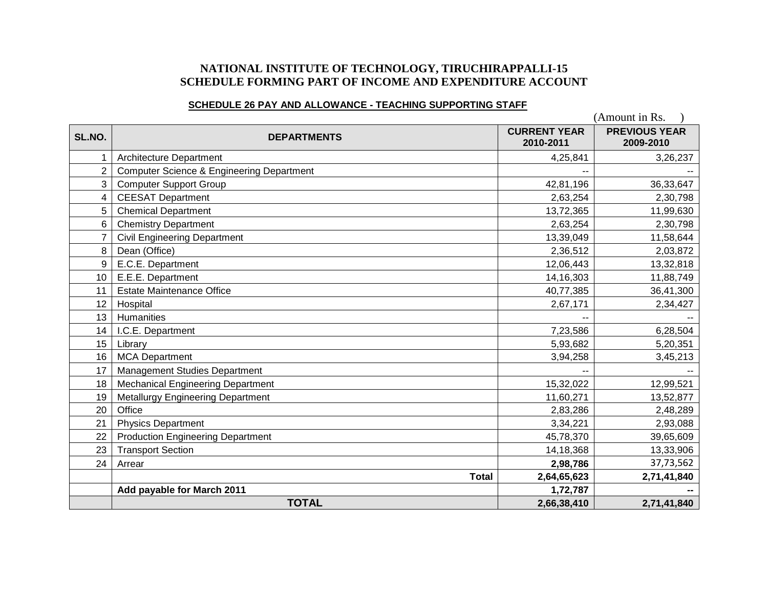#### **NATIONAL INSTITUTE OF TECHNOLOGY, TIRUCHIRAPPALLI-15 SCHEDULE FORMING PART OF INCOME AND EXPENDITURE ACCOUNT**

#### **SCHEDULE 26 PAY AND ALLOWANCE - TEACHING SUPPORTING STAFF**

|                |                                                      |                                  | (Amount in Rs.                    |
|----------------|------------------------------------------------------|----------------------------------|-----------------------------------|
| SL.NO.         | <b>DEPARTMENTS</b>                                   | <b>CURRENT YEAR</b><br>2010-2011 | <b>PREVIOUS YEAR</b><br>2009-2010 |
| 1              | <b>Architecture Department</b>                       | 4,25,841                         | 3,26,237                          |
| 2              | <b>Computer Science &amp; Engineering Department</b> |                                  |                                   |
| 3              | <b>Computer Support Group</b>                        | 42,81,196                        | 36,33,647                         |
| 4              | <b>CEESAT Department</b>                             | 2,63,254                         | 2,30,798                          |
| 5              | <b>Chemical Department</b>                           | 13,72,365                        | 11,99,630                         |
| 6              | <b>Chemistry Department</b>                          | 2,63,254                         | 2,30,798                          |
| $\overline{7}$ | <b>Civil Engineering Department</b>                  | 13,39,049                        | 11,58,644                         |
| 8              | Dean (Office)                                        | 2,36,512                         | 2,03,872                          |
| 9              | E.C.E. Department                                    | 12,06,443                        | 13,32,818                         |
| 10             | E.E.E. Department                                    | 14, 16, 303                      | 11,88,749                         |
| 11             | <b>Estate Maintenance Office</b>                     | 40,77,385                        | 36,41,300                         |
| 12             | Hospital                                             | 2,67,171                         | 2,34,427                          |
| 13             | Humanities                                           |                                  |                                   |
| 14             | I.C.E. Department                                    | 7,23,586                         | 6,28,504                          |
| 15             | Library                                              | 5,93,682                         | 5,20,351                          |
| 16             | <b>MCA Department</b>                                | 3,94,258                         | 3,45,213                          |
| 17             | <b>Management Studies Department</b>                 |                                  |                                   |
| 18             | <b>Mechanical Engineering Department</b>             | 15,32,022                        | 12,99,521                         |
| 19             | <b>Metallurgy Engineering Department</b>             | 11,60,271                        | 13,52,877                         |
| 20             | Office                                               | 2,83,286                         | 2,48,289                          |
| 21             | <b>Physics Department</b>                            | 3,34,221                         | 2,93,088                          |
| 22             | <b>Production Engineering Department</b>             | 45,78,370                        | 39,65,609                         |
| 23             | <b>Transport Section</b>                             | 14,18,368                        | 13,33,906                         |
| 24             | Arrear                                               | 2,98,786                         | 37,73,562                         |
|                | <b>Total</b>                                         | 2,64,65,623                      | 2,71,41,840                       |
|                | Add payable for March 2011                           | 1,72,787                         |                                   |
|                | <b>TOTAL</b>                                         | 2,66,38,410                      | 2,71,41,840                       |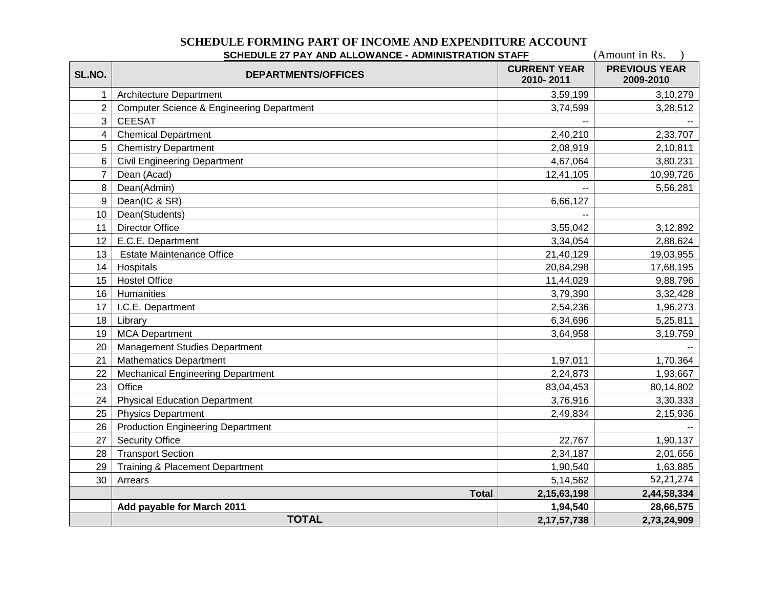| (Amount in Rs.<br>SCHEDULE 27 PAY AND ALLOWANCE - ADMINISTRATION STAFF |                                            |                                  |                                   |
|------------------------------------------------------------------------|--------------------------------------------|----------------------------------|-----------------------------------|
| SL.NO.                                                                 | <b>DEPARTMENTS/OFFICES</b>                 | <b>CURRENT YEAR</b><br>2010-2011 | <b>PREVIOUS YEAR</b><br>2009-2010 |
| 1                                                                      | <b>Architecture Department</b>             | 3,59,199                         | 3,10,279                          |
| $\overline{2}$                                                         | Computer Science & Engineering Department  | 3,74,599                         | 3,28,512                          |
| 3                                                                      | <b>CEESAT</b>                              |                                  |                                   |
| 4                                                                      | <b>Chemical Department</b>                 | 2,40,210                         | 2,33,707                          |
| 5                                                                      | <b>Chemistry Department</b>                | 2,08,919                         | 2,10,811                          |
| 6                                                                      | <b>Civil Engineering Department</b>        | 4,67,064                         | 3,80,231                          |
| $\overline{7}$                                                         | Dean (Acad)                                | 12,41,105                        | 10,99,726                         |
| 8                                                                      | Dean(Admin)                                |                                  | 5,56,281                          |
| 9                                                                      | Dean(IC & SR)                              | 6,66,127                         |                                   |
| 10                                                                     | Dean(Students)                             |                                  |                                   |
| 11                                                                     | <b>Director Office</b>                     | 3,55,042                         | 3,12,892                          |
| 12 <sup>°</sup>                                                        | E.C.E. Department                          | 3,34,054                         | 2,88,624                          |
| 13                                                                     | <b>Estate Maintenance Office</b>           | 21,40,129                        | 19,03,955                         |
| 14                                                                     | Hospitals                                  | 20,84,298                        | 17,68,195                         |
| 15                                                                     | <b>Hostel Office</b>                       | 11,44,029                        | 9,88,796                          |
| 16                                                                     | Humanities                                 | 3,79,390                         | 3,32,428                          |
| 17                                                                     | I.C.E. Department                          | 2,54,236                         | 1,96,273                          |
| 18                                                                     | Library                                    | 6,34,696                         | 5,25,811                          |
| 19                                                                     | <b>MCA Department</b>                      | 3,64,958                         | 3,19,759                          |
| 20                                                                     | <b>Management Studies Department</b>       |                                  |                                   |
| 21                                                                     | <b>Mathematics Department</b>              | 1,97,011                         | 1,70,364                          |
| 22                                                                     | <b>Mechanical Engineering Department</b>   | 2,24,873                         | 1,93,667                          |
| 23                                                                     | Office                                     | 83,04,453                        | 80,14,802                         |
| 24                                                                     | <b>Physical Education Department</b>       | 3,76,916                         | 3,30,333                          |
| 25                                                                     | <b>Physics Department</b>                  | 2,49,834                         | 2,15,936                          |
| 26                                                                     | <b>Production Engineering Department</b>   |                                  |                                   |
| 27                                                                     | <b>Security Office</b>                     | 22,767                           | 1,90,137                          |
| 28                                                                     | <b>Transport Section</b>                   | 2,34,187                         | 2,01,656                          |
| 29                                                                     | <b>Training &amp; Placement Department</b> | 1,90,540                         | 1,63,885                          |
| 30                                                                     | Arrears                                    | 5,14,562                         | 52,21,274                         |
|                                                                        | <b>Total</b>                               | 2,15,63,198                      | 2,44,58,334                       |
|                                                                        | Add payable for March 2011                 | 1,94,540                         | 28,66,575                         |
|                                                                        | <b>TOTAL</b>                               | 2, 17, 57, 738                   | 2,73,24,909                       |

# **SCHEDULE FORMING PART OF INCOME AND EXPENDITURE ACCOUNT**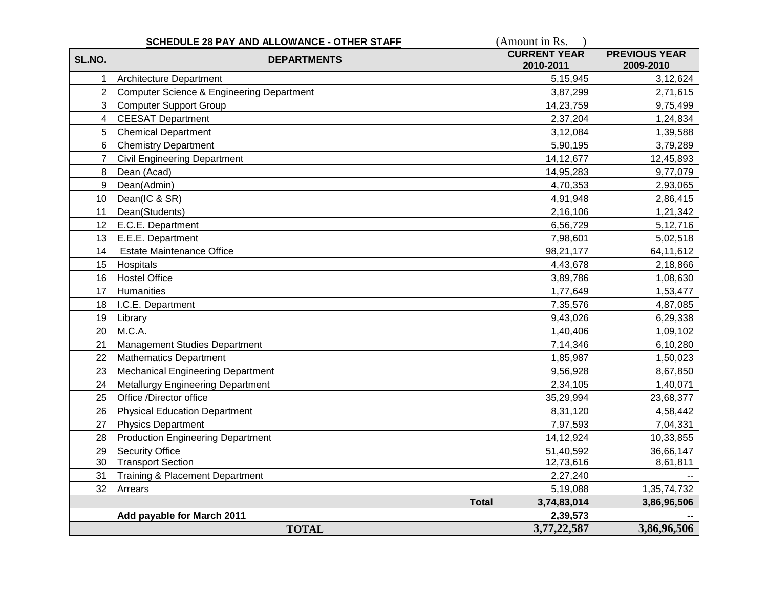|                 | SCHEDULE 28 PAY AND ALLOWANCE - OTHER STAFF | (Amount in Rs.                   |                                   |
|-----------------|---------------------------------------------|----------------------------------|-----------------------------------|
| SL.NO.          | <b>DEPARTMENTS</b>                          | <b>CURRENT YEAR</b><br>2010-2011 | <b>PREVIOUS YEAR</b><br>2009-2010 |
| 1               | <b>Architecture Department</b>              | 5,15,945                         | 3,12,624                          |
| 2               | Computer Science & Engineering Department   | 3,87,299                         | 2,71,615                          |
| 3               | <b>Computer Support Group</b>               | 14,23,759                        | 9,75,499                          |
| $\overline{4}$  | <b>CEESAT Department</b>                    | 2,37,204                         | 1,24,834                          |
| 5               | <b>Chemical Department</b>                  | 3,12,084                         | 1,39,588                          |
| 6               | <b>Chemistry Department</b>                 | 5,90,195                         | 3,79,289                          |
| $\overline{7}$  | <b>Civil Engineering Department</b>         | 14, 12, 677                      | 12,45,893                         |
| 8               | Dean (Acad)                                 | 14,95,283                        | 9,77,079                          |
| $9\,$           | Dean(Admin)                                 | 4,70,353                         | 2,93,065                          |
| 10              | Dean(IC & SR)                               | 4,91,948                         | 2,86,415                          |
| 11              | Dean(Students)                              | 2,16,106                         | 1,21,342                          |
| 12              | E.C.E. Department                           | 6,56,729                         | 5,12,716                          |
| 13              | E.E.E. Department                           | 7,98,601                         | 5,02,518                          |
| 14              | <b>Estate Maintenance Office</b>            | 98,21,177                        | 64,11,612                         |
| 15              | Hospitals                                   | 4,43,678                         | 2,18,866                          |
| 16              | <b>Hostel Office</b>                        | 3,89,786                         | 1,08,630                          |
| 17              | Humanities                                  | 1,77,649                         | 1,53,477                          |
| 18              | I.C.E. Department                           | 7,35,576                         | 4,87,085                          |
| 19              | Library                                     | 9,43,026                         | 6,29,338                          |
| 20              | M.C.A.                                      | 1,40,406                         | 1,09,102                          |
| 21              | <b>Management Studies Department</b>        | 7,14,346                         | 6,10,280                          |
| 22              | <b>Mathematics Department</b>               | 1,85,987                         | 1,50,023                          |
| 23              | <b>Mechanical Engineering Department</b>    | 9,56,928                         | 8,67,850                          |
| 24              | <b>Metallurgy Engineering Department</b>    | 2,34,105                         | 1,40,071                          |
| 25              | Office /Director office                     | 35,29,994                        | 23,68,377                         |
| 26              | <b>Physical Education Department</b>        | 8,31,120                         | 4,58,442                          |
| 27              | <b>Physics Department</b>                   | 7,97,593                         | 7,04,331                          |
| 28              | <b>Production Engineering Department</b>    | 14,12,924                        | 10,33,855                         |
| 29              | <b>Security Office</b>                      | 51,40,592                        | 36,66,147                         |
| $\overline{30}$ | <b>Transport Section</b>                    | 12,73,616                        | 8,61,811                          |
| 31              | <b>Training &amp; Placement Department</b>  | 2,27,240                         |                                   |
| 32              | Arrears                                     | 5,19,088                         | 1,35,74,732                       |
|                 | <b>Total</b>                                | 3,74,83,014                      | 3,86,96,506                       |
|                 | Add payable for March 2011                  | 2,39,573                         |                                   |
|                 | <b>TOTAL</b>                                | 3,77,22,587                      | 3,86,96,506                       |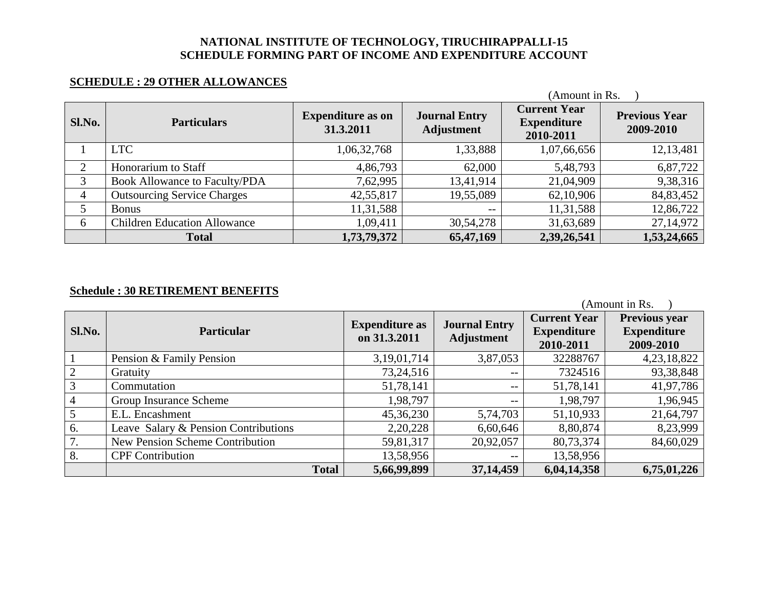#### **NATIONAL INSTITUTE OF TECHNOLOGY, TIRUCHIRAPPALLI-15 SCHEDULE FORMING PART OF INCOME AND EXPENDITURE ACCOUNT**

#### **SCHEDULE : 29 OTHER ALLOWANCES**

|        |                                      |                                       |                                           | (Amount in Rs.                                         |                                   |
|--------|--------------------------------------|---------------------------------------|-------------------------------------------|--------------------------------------------------------|-----------------------------------|
| Sl.No. | <b>Particulars</b>                   | <b>Expenditure as on</b><br>31.3.2011 | <b>Journal Entry</b><br><b>Adjustment</b> | <b>Current Year</b><br><b>Expenditure</b><br>2010-2011 | <b>Previous Year</b><br>2009-2010 |
|        | <b>LTC</b>                           | 1,06,32,768                           | 1,33,888                                  | 1,07,66,656                                            | 12,13,481                         |
| ↑      | Honorarium to Staff                  | 4,86,793                              | 62,000                                    | 5,48,793                                               | 6,87,722                          |
| 3      | <b>Book Allowance to Faculty/PDA</b> | 7,62,995                              | 13,41,914                                 | 21,04,909                                              | 9,38,316                          |
| 4      | <b>Outsourcing Service Charges</b>   | 42,55,817                             | 19,55,089                                 | 62,10,906                                              | 84, 83, 452                       |
|        | <b>Bonus</b>                         | 11,31,588                             | $- -$                                     | 11,31,588                                              | 12,86,722                         |
| 6      | <b>Children Education Allowance</b>  | 1,09,411                              | 30, 54, 278                               | 31,63,689                                              | 27, 14, 972                       |
|        | <b>Total</b>                         | 1,73,79,372                           | 65,47,169                                 | 2,39,26,541                                            | 1,53,24,665                       |

#### **Schedule : 30 RETIREMENT BENEFITS**

| Sl.No.           | <b>Particular</b>                    | <b>Expenditure as</b><br>on 31.3.2011 | <b>Journal Entry</b><br><b>Adjustment</b> | <b>Current Year</b><br><b>Expenditure</b><br>2010-2011 | <b>Previous year</b><br><b>Expenditure</b><br>2009-2010 |
|------------------|--------------------------------------|---------------------------------------|-------------------------------------------|--------------------------------------------------------|---------------------------------------------------------|
|                  | Pension & Family Pension             | 3,19,01,714                           | 3,87,053                                  | 32288767                                               | 4, 23, 18, 822                                          |
| 2                | Gratuity                             | 73,24,516                             | $- -$                                     | 7324516                                                | 93,38,848                                               |
| $\overline{3}$   | Commutation                          | 51,78,141                             | $--$                                      | 51,78,141                                              | 41,97,786                                               |
| $\overline{4}$   | Group Insurance Scheme               | 1,98,797                              | $- -$                                     | 1,98,797                                               | 1,96,945                                                |
| $\overline{5}$   | E.L. Encashment                      | 45,36,230                             | 5,74,703                                  | 51,10,933                                              | 21,64,797                                               |
| 6.               | Leave Salary & Pension Contributions | 2,20,228                              | 6,60,646                                  | 8,80,874                                               | 8,23,999                                                |
| $\overline{7}$ . | New Pension Scheme Contribution      | 59,81,317                             | 20,92,057                                 | 80,73,374                                              | 84,60,029                                               |
| 8.               | <b>CPF Contribution</b>              | 13,58,956                             | $--$                                      | 13,58,956                                              |                                                         |
|                  | <b>Total</b>                         | 5,66,99,899                           | 37, 14, 459                               | 6,04,14,358                                            | 6,75,01,226                                             |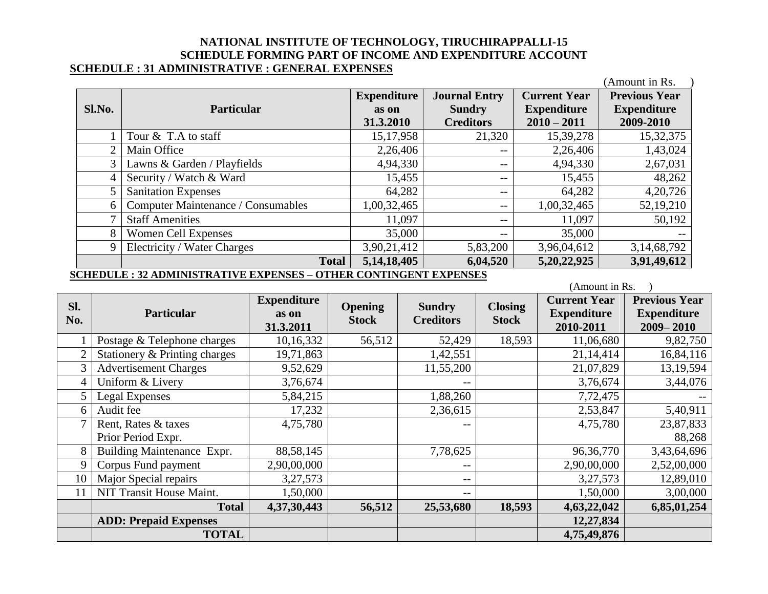#### **NATIONAL INSTITUTE OF TECHNOLOGY, TIRUCHIRAPPALLI-15 SCHEDULE FORMING PART OF INCOME AND EXPENDITURE ACCOUNT SCHEDULE : 31 ADMINISTRATIVE : GENERAL EXPENSES**

|        |                                                                   |                    |                      |                     | (Amount in Rs.       |  |  |  |
|--------|-------------------------------------------------------------------|--------------------|----------------------|---------------------|----------------------|--|--|--|
|        |                                                                   | <b>Expenditure</b> | <b>Journal Entry</b> | <b>Current Year</b> | <b>Previous Year</b> |  |  |  |
| Sl.No. | <b>Particular</b>                                                 | as on              | <b>Sundry</b>        | <b>Expenditure</b>  | <b>Expenditure</b>   |  |  |  |
|        |                                                                   | 31.3.2010          | <b>Creditors</b>     | $2010 - 2011$       | 2009-2010            |  |  |  |
|        | Tour & T.A to staff                                               | 15, 17, 958        | 21,320               | 15,39,278           | 15,32,375            |  |  |  |
|        | Main Office                                                       | 2,26,406           | $- -$                | 2,26,406            | 1,43,024             |  |  |  |
|        | Lawns & Garden / Playfields                                       | 4,94,330           | $- -$                | 4,94,330            | 2,67,031             |  |  |  |
| 4      | Security / Watch & Ward                                           | 15,455             | $- -$                | 15,455              | 48,262               |  |  |  |
|        | <b>Sanitation Expenses</b>                                        | 64,282             | $- -$                | 64,282              | 4,20,726             |  |  |  |
| 6      | <b>Computer Maintenance / Consumables</b>                         | 1,00,32,465        | $\qquad \qquad -$    | 1,00,32,465         | 52,19,210            |  |  |  |
|        | <b>Staff Amenities</b>                                            | 11,097             | $- -$                | 11,097              | 50,192               |  |  |  |
| 8      | Women Cell Expenses                                               | 35,000             | $- -$                | 35,000              | $- -$                |  |  |  |
| 9      | Electricity / Water Charges                                       | 3,90,21,412        | 5,83,200             | 3,96,04,612         | 3, 14, 68, 792       |  |  |  |
|        | <b>Total</b>                                                      | 5, 14, 18, 405     | 6,04,520             | 5,20,22,925         | 3,91,49,612          |  |  |  |
|        | SCHEDULE : 32 ADMINISTRATIVE EXPENSES – OTHER CONTINGENT EXPENSES |                    |                      |                     |                      |  |  |  |

|                |                               |                                          |                                |                                   |                                | (Amount in Rs.                                         |                                                             |
|----------------|-------------------------------|------------------------------------------|--------------------------------|-----------------------------------|--------------------------------|--------------------------------------------------------|-------------------------------------------------------------|
| Sl.<br>No.     | <b>Particular</b>             | <b>Expenditure</b><br>as on<br>31.3.2011 | <b>Opening</b><br><b>Stock</b> | <b>Sundry</b><br><b>Creditors</b> | <b>Closing</b><br><b>Stock</b> | <b>Current Year</b><br><b>Expenditure</b><br>2010-2011 | <b>Previous Year</b><br><b>Expenditure</b><br>$2009 - 2010$ |
|                | Postage & Telephone charges   | 10,16,332                                | 56,512                         | 52,429                            | 18,593                         | 11,06,680                                              | 9,82,750                                                    |
|                | Stationery & Printing charges | 19,71,863                                |                                | 1,42,551                          |                                | 21, 14, 414                                            | 16,84,116                                                   |
| 3              | <b>Advertisement Charges</b>  | 9,52,629                                 |                                | 11,55,200                         |                                | 21,07,829                                              | 13, 19, 594                                                 |
| $\overline{4}$ | Uniform & Livery              | 3,76,674                                 |                                |                                   |                                | 3,76,674                                               | 3,44,076                                                    |
| 5              | Legal Expenses                | 5,84,215                                 |                                | 1,88,260                          |                                | 7,72,475                                               |                                                             |
| 6              | Audit fee                     | 17,232                                   |                                | 2,36,615                          |                                | 2,53,847                                               | 5,40,911                                                    |
|                | Rent, Rates & taxes           | 4,75,780                                 |                                |                                   |                                | 4,75,780                                               | 23,87,833                                                   |
|                | Prior Period Expr.            |                                          |                                |                                   |                                |                                                        | 88,268                                                      |
| 8              | Building Maintenance Expr.    | 88,58,145                                |                                | 7,78,625                          |                                | 96, 36, 770                                            | 3,43,64,696                                                 |
| 9              | Corpus Fund payment           | 2,90,00,000                              |                                | $\qquad \qquad -$                 |                                | 2,90,00,000                                            | 2,52,00,000                                                 |
| 10             | Major Special repairs         | 3, 27, 573                               |                                | $- -$                             |                                | 3, 27, 573                                             | 12,89,010                                                   |
| 11             | NIT Transit House Maint.      | 1,50,000                                 |                                | $\qquad \qquad -$                 |                                | 1,50,000                                               | 3,00,000                                                    |
|                | <b>Total</b>                  | 4,37,30,443                              | 56,512                         | 25,53,680                         | 18,593                         | 4,63,22,042                                            | 6,85,01,254                                                 |
|                | <b>ADD: Prepaid Expenses</b>  |                                          |                                |                                   |                                | 12,27,834                                              |                                                             |
|                | <b>TOTAL</b>                  |                                          |                                |                                   |                                | 4,75,49,876                                            |                                                             |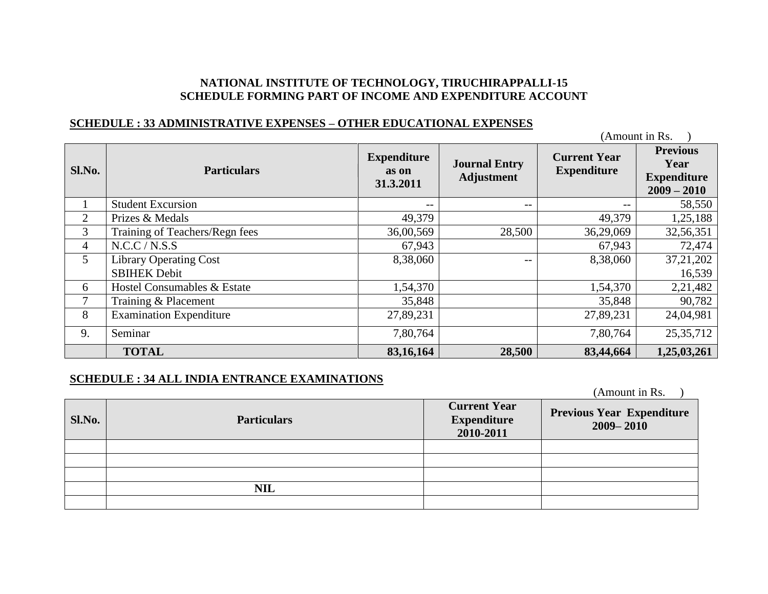#### **NATIONAL INSTITUTE OF TECHNOLOGY, TIRUCHIRAPPALLI-15 SCHEDULE FORMING PART OF INCOME AND EXPENDITURE ACCOUNT**

#### **SCHEDULE : 33 ADMINISTRATIVE EXPENSES – OTHER EDUCATIONAL EXPENSES**

 $(A$ mount in  $Rs$  )

| Sl.No.         | <b>Particulars</b>             | <b>Expenditure</b><br>as on<br>31.3.2011 | <b>Journal Entry</b><br><b>Adjustment</b> | <b>Current Year</b><br><b>Expenditure</b> | <b>Previous</b><br>Year<br><b>Expenditure</b><br>$2009 - 2010$ |
|----------------|--------------------------------|------------------------------------------|-------------------------------------------|-------------------------------------------|----------------------------------------------------------------|
|                | <b>Student Excursion</b>       | $-$                                      | $- -$                                     | $\qquad \qquad -$                         | 58,550                                                         |
| 2              | Prizes & Medals                | 49,379                                   |                                           | 49,379                                    | 1,25,188                                                       |
| 3              | Training of Teachers/Regn fees | 36,00,569                                | 28,500                                    | 36,29,069                                 | 32,56,351                                                      |
| $\overline{4}$ | N.C.C/N.S.S                    | 67,943                                   |                                           | 67,943                                    | 72,474                                                         |
| 5              | <b>Library Operating Cost</b>  | 8,38,060                                 | --                                        | 8,38,060                                  | 37,21,202                                                      |
|                | <b>SBIHEK Debit</b>            |                                          |                                           |                                           | 16,539                                                         |
| 6              | Hostel Consumables & Estate    | 1,54,370                                 |                                           | 1,54,370                                  | 2,21,482                                                       |
| 7              | Training & Placement           | 35,848                                   |                                           | 35,848                                    | 90,782                                                         |
| 8              | <b>Examination Expenditure</b> | 27,89,231                                |                                           | 27,89,231                                 | 24,04,981                                                      |
| 9.             | Seminar                        | 7,80,764                                 |                                           | 7,80,764                                  | 25, 35, 712                                                    |
|                | <b>TOTAL</b>                   | 83, 16, 164                              | 28,500                                    | 83,44,664                                 | 1,25,03,261                                                    |

#### **SCHEDULE : 34 ALL INDIA ENTRANCE EXAMINATIONS**

| Sl.No. | <b>Particulars</b> | <b>Current Year</b><br><b>Expenditure</b><br>2010-2011 | <b>Previous Year Expenditure</b><br>$2009 - 2010$ |
|--------|--------------------|--------------------------------------------------------|---------------------------------------------------|
|        |                    |                                                        |                                                   |
|        |                    |                                                        |                                                   |
|        |                    |                                                        |                                                   |
|        | <b>NIL</b>         |                                                        |                                                   |
|        |                    |                                                        |                                                   |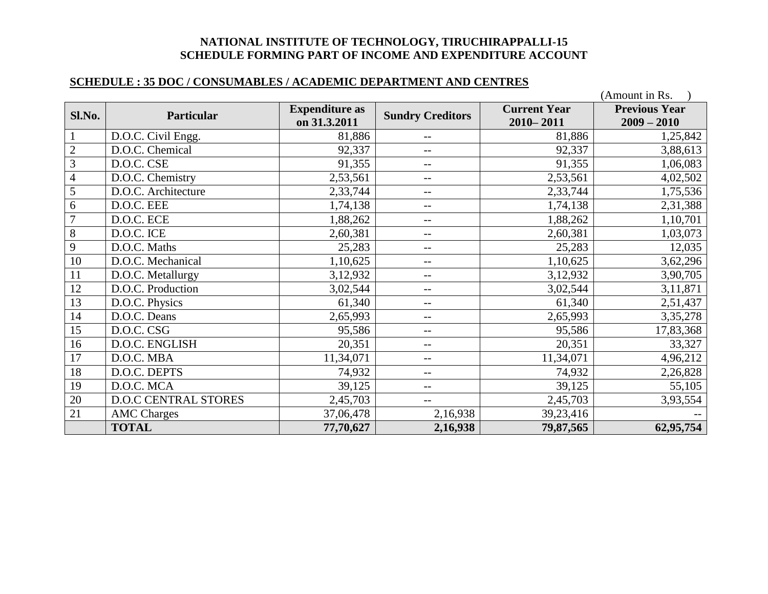#### **NATIONAL INSTITUTE OF TECHNOLOGY, TIRUCHIRAPPALLI-15 SCHEDULE FORMING PART OF INCOME AND EXPENDITURE ACCOUNT**

#### **SCHEDULE : 35 DOC / CONSUMABLES / ACADEMIC DEPARTMENT AND CENTRES**

|                  |                             |                       |                         |                     | (Amount in Rs.       |
|------------------|-----------------------------|-----------------------|-------------------------|---------------------|----------------------|
| Sl.No.           | Particular                  | <b>Expenditure as</b> | <b>Sundry Creditors</b> | <b>Current Year</b> | <b>Previous Year</b> |
|                  |                             | on 31.3.2011          |                         | $2010 - 2011$       | $2009 - 2010$        |
| $\mathbf{1}$     | D.O.C. Civil Engg.          | 81,886                | --                      | 81,886              | 1,25,842             |
| $\overline{2}$   | D.O.C. Chemical             | 92,337                | $-$                     | 92,337              | 3,88,613             |
| 3                | D.O.C. CSE                  | 91,355                | $-$                     | 91,355              | 1,06,083             |
| $\overline{4}$   | D.O.C. Chemistry            | 2,53,561              | $\qquad \qquad -$       | 2,53,561            | 4,02,502             |
| 5                | D.O.C. Architecture         | 2,33,744              | $-\,-$                  | 2,33,744            | 1,75,536             |
| $\boldsymbol{6}$ | D.O.C. EEE                  | 1,74,138              | $-$                     | 1,74,138            | 2,31,388             |
| 7                | D.O.C. ECE                  | 1,88,262              | $\qquad \qquad -$       | 1,88,262            | 1,10,701             |
| $8\,$            | D.O.C. ICE                  | 2,60,381              | $\qquad \qquad -$       | 2,60,381            | 1,03,073             |
| 9                | D.O.C. Maths                | 25,283                | $\qquad \qquad -$       | 25,283              | 12,035               |
| 10               | D.O.C. Mechanical           | 1,10,625              | $-$                     | 1,10,625            | 3,62,296             |
| 11               | D.O.C. Metallurgy           | 3,12,932              | $\qquad \qquad -$       | 3,12,932            | 3,90,705             |
| 12               | D.O.C. Production           | 3,02,544              | $-$                     | 3,02,544            | 3,11,871             |
| 13               | D.O.C. Physics              | 61,340                | $\qquad \qquad -$       | 61,340              | 2,51,437             |
| 14               | D.O.C. Deans                | 2,65,993              | $-$                     | 2,65,993            | 3,35,278             |
| 15               | D.O.C. CSG                  | 95,586                | $-$                     | 95,586              | 17,83,368            |
| 16               | D.O.C. ENGLISH              | 20,351                | $-$                     | 20,351              | 33,327               |
| 17               | D.O.C. MBA                  | 11,34,071             | $\qquad \qquad -$       | 11,34,071           | 4,96,212             |
| 18               | D.O.C. DEPTS                | 74,932                | $-$                     | 74,932              | 2,26,828             |
| 19               | D.O.C. MCA                  | 39,125                | $\qquad \qquad -$       | 39,125              | 55,105               |
| 20               | <b>D.O.C CENTRAL STORES</b> | 2,45,703              | $-$                     | 2,45,703            | 3,93,554             |
| 21               | <b>AMC Charges</b>          | 37,06,478             | 2,16,938                | 39,23,416           |                      |
|                  | <b>TOTAL</b>                | 77,70,627             | 2,16,938                | 79,87,565           | 62,95,754            |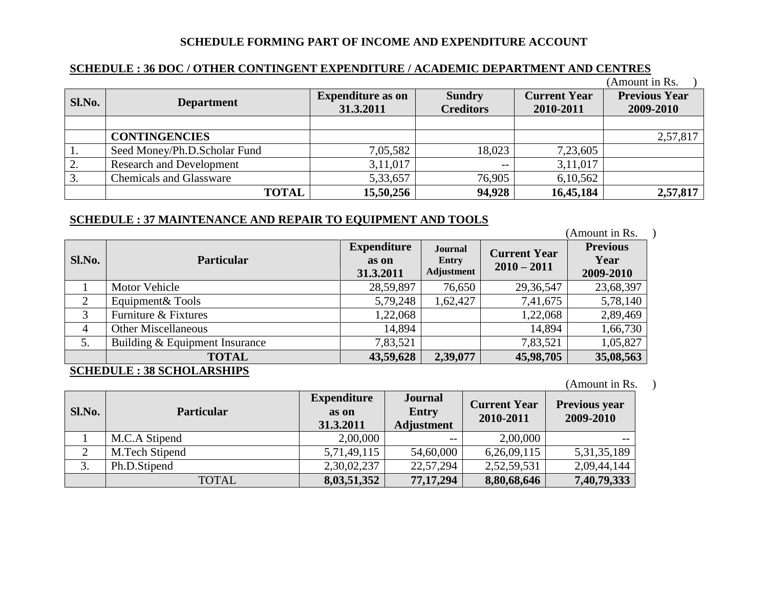#### **SCHEDULE FORMING PART OF INCOME AND EXPENDITURE ACCOUNT**

#### **SCHEDULE : 36 DOC / OTHER CONTINGENT EXPENDITURE / ACADEMIC DEPARTMENT AND CENTRES**

|                  |                                 |                                       |                                   |                                  | (Amount in Rs.                    |
|------------------|---------------------------------|---------------------------------------|-----------------------------------|----------------------------------|-----------------------------------|
| Sl.No.           | <b>Department</b>               | <b>Expenditure as on</b><br>31.3.2011 | <b>Sundry</b><br><b>Creditors</b> | <b>Current Year</b><br>2010-2011 | <b>Previous Year</b><br>2009-2010 |
|                  |                                 |                                       |                                   |                                  |                                   |
|                  | <b>CONTINGENCIES</b>            |                                       |                                   |                                  | 2,57,817                          |
|                  | Seed Money/Ph.D.Scholar Fund    | 7,05,582                              | 18,023                            | 7,23,605                         |                                   |
| $\overline{2}$ . | <b>Research and Development</b> | 3,11,017                              | $- -$                             | 3,11,017                         |                                   |
| 3.               | <b>Chemicals and Glassware</b>  | 5,33,657                              | 76,905                            | 6,10,562                         |                                   |
|                  | <b>TOTAL</b>                    | 15,50,256                             | 94,928                            | 16,45,184                        | 2,57,817                          |

#### **SCHEDULE : 37 MAINTENANCE AND REPAIR TO EQUIPMENT AND TOOLS**

|        | ochlochl i of minimulation into him to local minimulation toolo |                                          |                                              |                                      | Amount in Rs.                        |  |  |  |
|--------|-----------------------------------------------------------------|------------------------------------------|----------------------------------------------|--------------------------------------|--------------------------------------|--|--|--|
| Sl.No. | <b>Particular</b>                                               | <b>Expenditure</b><br>as on<br>31.3.2011 | <b>Journal</b><br>Entry<br><b>Adjustment</b> | <b>Current Year</b><br>$2010 - 2011$ | <b>Previous</b><br>Year<br>2009-2010 |  |  |  |
|        | Motor Vehicle                                                   | 28,59,897                                | 76,650                                       | 29, 36, 547                          | 23,68,397                            |  |  |  |
| 2      | Equipment & Tools                                               | 5,79,248                                 | 1,62,427                                     | 7,41,675                             | 5,78,140                             |  |  |  |
| 3      | Furniture & Fixtures                                            | 1,22,068                                 |                                              | 1,22,068                             | 2,89,469                             |  |  |  |
| 4      | <b>Other Miscellaneous</b>                                      | 14,894                                   |                                              | 14,894                               | 1,66,730                             |  |  |  |
| 5.     | Building & Equipment Insurance                                  | 7,83,521                                 |                                              | 7,83,521                             | 1,05,827                             |  |  |  |
|        | <b>TOTAL</b>                                                    | 43,59,628                                | 2,39,077                                     | 45,98,705                            | 35,08,563                            |  |  |  |
|        | $\alpha$ otter that $\alpha$<br>20 COULD L DOUIDO               |                                          |                                              |                                      |                                      |  |  |  |

**SCHEDULE : 38 SCHOLARSHIPS**

| Sl.No. | <b>Particular</b> | <b>Expenditure</b><br>as on<br>31.3.2011 | <b>Journal</b><br><b>Entry</b><br><b>Adjustment</b> | <b>Current Year</b><br>2010-2011 | <b>Previous year</b><br>2009-2010 |
|--------|-------------------|------------------------------------------|-----------------------------------------------------|----------------------------------|-----------------------------------|
|        | M.C.A Stipend     | 2,00,000                                 | $- -$                                               | 2,00,000                         |                                   |
|        | M.Tech Stipend    | 5,71,49,115                              | 54,60,000                                           | 6,26,09,115                      | 5, 31, 35, 189                    |
| 3.     | Ph.D.Stipend      | 2,30,02,237                              | 22,57,294                                           | 2,52,59,531                      | 2,09,44,144                       |
|        | <b>TOTAL</b>      | 8,03,51,352                              | 77, 17, 294                                         | 8,80,68,646                      | 7,40,79,333                       |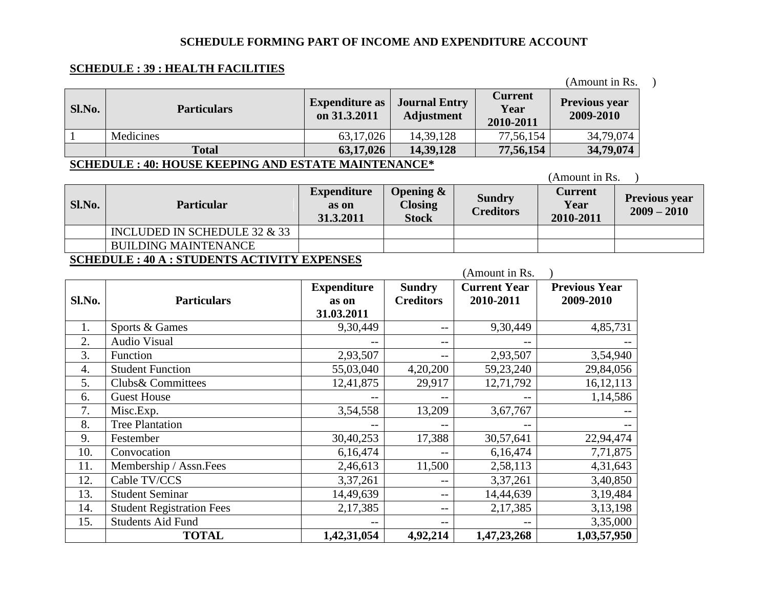#### **SCHEDULE FORMING PART OF INCOME AND EXPENDITURE ACCOUNT**

#### **SCHEDULE : 39 : HEALTH FACILITIES**

|                                                                                                                                                                                                                                                |                    |                                       |                                    |                                     | (Amount in Rs.                    |  |  |  |
|------------------------------------------------------------------------------------------------------------------------------------------------------------------------------------------------------------------------------------------------|--------------------|---------------------------------------|------------------------------------|-------------------------------------|-----------------------------------|--|--|--|
| Sl.No.                                                                                                                                                                                                                                         | <b>Particulars</b> | <b>Expenditure as</b><br>on 31.3.2011 | <b>Journal Entry</b><br>Adjustment | <b>Current</b><br>Year<br>2010-2011 | <b>Previous year</b><br>2009-2010 |  |  |  |
|                                                                                                                                                                                                                                                | Medicines          | 63,17,026                             | 14,39,128                          | 77,56,154                           | 34,79,074                         |  |  |  |
|                                                                                                                                                                                                                                                | <b>Total</b>       | 63,17,026                             | 14,39,128                          | 77,56,154                           | 34,79,074                         |  |  |  |
| $\alpha$ $\alpha$ , $\alpha$ , $\alpha$ , $\alpha$ , $\alpha$ , $\alpha$ , $\alpha$<br>$\mathbf{A}$ , and another $\mathbf{A}$ , and $\mathbf{A}$ , and $\mathbf{A}$ , and $\mathbf{A}$ , and $\mathbf{A}$<br>$\mathbf{10}$ italian teningtala |                    |                                       |                                    |                                     |                                   |  |  |  |

#### **SCHEDULE : 40: HOUSE KEEPING AND ESTATE MAINTENANCE\***

|                                                     |                                 |                                          |                                                |                                                                          | (Amount in Rs. |                                       |  |  |
|-----------------------------------------------------|---------------------------------|------------------------------------------|------------------------------------------------|--------------------------------------------------------------------------|----------------|---------------------------------------|--|--|
| Sl.No.                                              | <b>Particular</b>               | <b>Expenditure</b><br>as on<br>31.3.2011 | Opening $\&$<br><b>Closing</b><br><b>Stock</b> | <b>Current</b><br><b>Sundry</b><br>Year<br><b>Creditors</b><br>2010-2011 |                | <b>Previous year</b><br>$2009 - 2010$ |  |  |
|                                                     | INCLUDED IN SCHEDULE 32 $\&$ 33 |                                          |                                                |                                                                          |                |                                       |  |  |
|                                                     | <b>BUILDING MAINTENANCE</b>     |                                          |                                                |                                                                          |                |                                       |  |  |
| <b>SCHEDULE : 40 A : STUDENTS ACTIVITY EXPENSES</b> |                                 |                                          |                                                |                                                                          |                |                                       |  |  |

|        |                                  | (Amount in Rs.     |                  |                     |                      |  |
|--------|----------------------------------|--------------------|------------------|---------------------|----------------------|--|
|        |                                  | <b>Expenditure</b> | <b>Sundry</b>    | <b>Current Year</b> | <b>Previous Year</b> |  |
| Sl.No. | <b>Particulars</b>               | as on              | <b>Creditors</b> | 2010-2011           | 2009-2010            |  |
|        |                                  | 31.03.2011         |                  |                     |                      |  |
| 1.     | Sports & Games                   | 9,30,449           | $-$              | 9,30,449            | 4,85,731             |  |
| 2.     | Audio Visual                     | --                 | $-$              | $\qquad \qquad -$   |                      |  |
| 3.     | Function                         | 2,93,507           | $- -$            | 2,93,507            | 3,54,940             |  |
| 4.     | <b>Student Function</b>          | 55,03,040          | 4,20,200         | 59,23,240           | 29,84,056            |  |
| 5.     | Clubs& Committees                | 12,41,875          | 29,917           | 12,71,792           | 16, 12, 113          |  |
| 6.     | <b>Guest House</b>               |                    |                  |                     | 1,14,586             |  |
| 7.     | Misc.Exp.                        | 3,54,558           | 13,209           | 3,67,767            |                      |  |
| 8.     | <b>Tree Plantation</b>           | --                 |                  |                     |                      |  |
| 9.     | Festember                        | 30,40,253          | 17,388           | 30,57,641           | 22,94,474            |  |
| 10.    | Convocation                      | 6,16,474           |                  | 6,16,474            | 7,71,875             |  |
| 11.    | Membership / Assn.Fees           | 2,46,613           | 11,500           | 2,58,113            | 4,31,643             |  |
| 12.    | Cable TV/CCS                     | 3,37,261           | $- -$            | 3,37,261            | 3,40,850             |  |
| 13.    | <b>Student Seminar</b>           | 14,49,639          | $- -$            | 14,44,639           | 3,19,484             |  |
| 14.    | <b>Student Registration Fees</b> | 2,17,385           | $- -$            | 2,17,385            | 3,13,198             |  |
| 15.    | <b>Students Aid Fund</b>         | --                 | --               | --                  | 3,35,000             |  |
|        | <b>TOTAL</b>                     | 1,42,31,054        | 4,92,214         | 1,47,23,268         | 1,03,57,950          |  |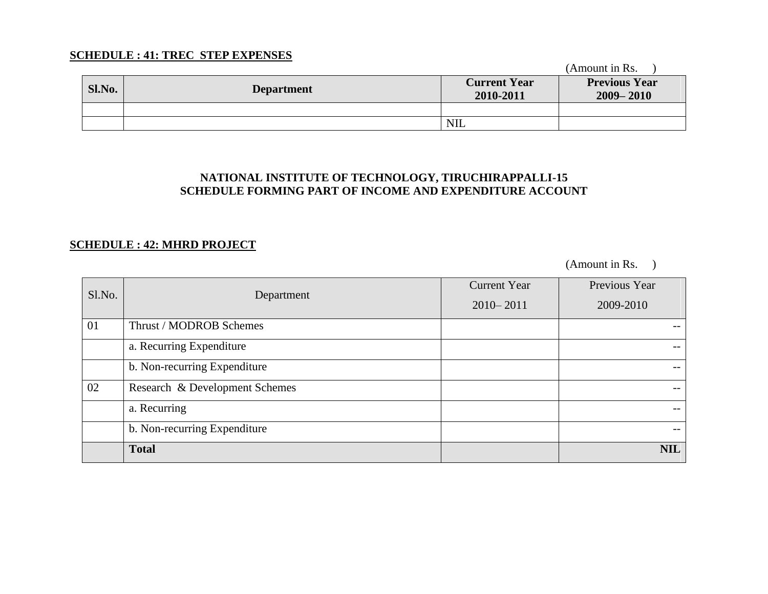#### **SCHEDULE : 41: TREC STEP EXPENSES**

|        |                   |                                  | (Amount in Rs.                        |
|--------|-------------------|----------------------------------|---------------------------------------|
| Sl.No. | <b>Department</b> | <b>Current Year</b><br>2010-2011 | <b>Previous Year</b><br>$2009 - 2010$ |
|        |                   |                                  |                                       |
|        |                   | <b>NIL</b>                       |                                       |

#### **NATIONAL INSTITUTE OF TECHNOLOGY, TIRUCHIRAPPALLI-15 SCHEDULE FORMING PART OF INCOME AND EXPENDITURE ACCOUNT**

#### **SCHEDULE : 42: MHRD PROJECT**

| Sl.No. | Department                     | <b>Current Year</b> | Previous Year |
|--------|--------------------------------|---------------------|---------------|
|        |                                | $2010 - 2011$       | 2009-2010     |
| 01     | Thrust / MODROB Schemes        |                     |               |
|        | a. Recurring Expenditure       |                     |               |
|        | b. Non-recurring Expenditure   |                     | $- -$         |
| 02     | Research & Development Schemes |                     |               |
|        | a. Recurring                   |                     |               |
|        | b. Non-recurring Expenditure   |                     |               |
|        | <b>Total</b>                   |                     | <b>NIL</b>    |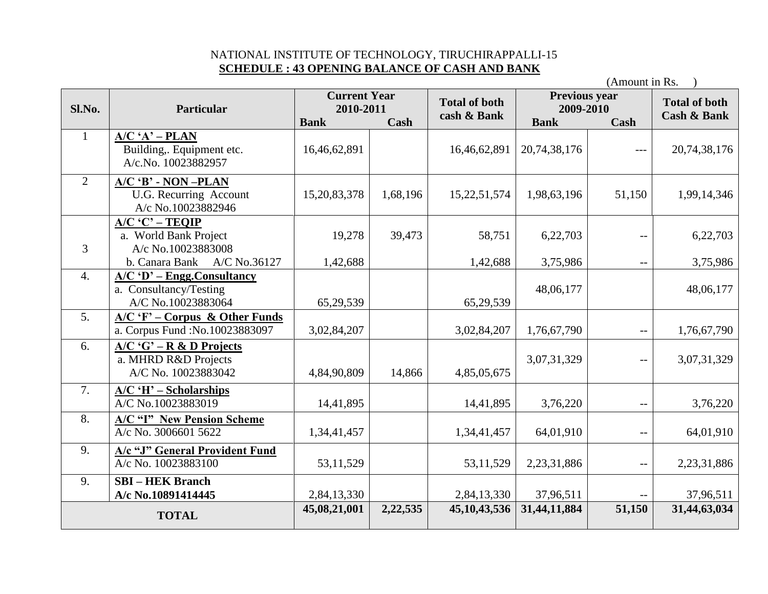#### NATIONAL INSTITUTE OF TECHNOLOGY, TIRUCHIRAPPALLI-15  **SCHEDULE : 43 OPENING BALANCE OF CASH AND BANK**

|                    | (Amount in Rs.                    |                                  |          |                                                                   |              |        |                                                |  |
|--------------------|-----------------------------------|----------------------------------|----------|-------------------------------------------------------------------|--------------|--------|------------------------------------------------|--|
| Sl.No.             | Particular                        | <b>Current Year</b><br>2010-2011 |          | Previous year<br><b>Total of both</b><br>2009-2010<br>cash & Bank |              |        | <b>Total of both</b><br><b>Cash &amp; Bank</b> |  |
|                    |                                   | <b>Bank</b>                      | Cash     |                                                                   | <b>Bank</b>  | Cash   |                                                |  |
| $\mathbf{1}$       | $A/C 'A' - PLAN$                  |                                  |          |                                                                   |              |        |                                                |  |
|                    | Building,. Equipment etc.         | 16,46,62,891                     |          | 16,46,62,891                                                      | 20,74,38,176 |        | 20,74,38,176                                   |  |
|                    | A/c.No. 10023882957               |                                  |          |                                                                   |              |        |                                                |  |
| 2                  | A/C 'B' - NON-PLAN                |                                  |          |                                                                   |              |        |                                                |  |
|                    | U.G. Recurring Account            | 15,20,83,378                     | 1,68,196 | 15,22,51,574                                                      | 1,98,63,196  | 51,150 | 1,99,14,346                                    |  |
|                    | A/c No.10023882946                |                                  |          |                                                                   |              |        |                                                |  |
|                    | $A/C 'C' - TEOIP$                 |                                  |          |                                                                   |              |        |                                                |  |
|                    | a. World Bank Project             | 19,278                           | 39,473   | 58,751                                                            | 6,22,703     | $-$    | 6,22,703                                       |  |
| 3                  | A/c No.10023883008                |                                  |          |                                                                   |              |        |                                                |  |
|                    | b. Canara Bank A/C No.36127       | 1,42,688                         |          | 1,42,688                                                          | 3,75,986     | $ -$   | 3,75,986                                       |  |
| $\overline{4}$ .   | $A/C$ 'D' – Engg. Consultancy     |                                  |          |                                                                   |              |        |                                                |  |
|                    | a. Consultancy/Testing            |                                  |          |                                                                   | 48,06,177    |        | 48,06,177                                      |  |
|                    | A/C No.10023883064                | 65,29,539                        |          | 65,29,539                                                         |              |        |                                                |  |
| 5.                 | $A/C$ 'F' – Corpus & Other Funds  |                                  |          |                                                                   |              |        |                                                |  |
|                    | a. Corpus Fund : No.10023883097   | 3,02,84,207                      |          | 3,02,84,207                                                       | 1,76,67,790  | $- -$  | 1,76,67,790                                    |  |
| 6.                 | $A/C$ 'G' – R & D Projects        |                                  |          |                                                                   |              |        |                                                |  |
|                    | a. MHRD R&D Projects              |                                  |          |                                                                   | 3,07,31,329  | $-$    | 3,07,31,329                                    |  |
|                    | A/C No. 10023883042               | 4,84,90,809                      | 14,866   | 4,85,05,675                                                       |              |        |                                                |  |
| 7.                 | $A/C$ 'H' – Scholarships          |                                  |          |                                                                   |              |        |                                                |  |
|                    | A/C No.10023883019                | 14,41,895                        |          | 14,41,895                                                         | 3,76,220     | $-$    | 3,76,220                                       |  |
| 8.                 | <b>A/C "I" New Pension Scheme</b> |                                  |          |                                                                   |              |        |                                                |  |
|                    | A/c No. 3006601 5622              | 1,34,41,457                      |          | 1,34,41,457                                                       | 64,01,910    | $- -$  | 64,01,910                                      |  |
| 9.                 | A/c "J" General Provident Fund    |                                  |          |                                                                   |              |        |                                                |  |
|                    | A/c No. 10023883100               | 53, 11, 529                      |          | 53,11,529                                                         | 2,23,31,886  | $-$    | 2,23,31,886                                    |  |
| 9.                 | <b>SBI – HEK Branch</b>           |                                  |          |                                                                   |              |        |                                                |  |
| A/c No.10891414445 |                                   | 2,84,13,330                      |          | 2,84,13,330                                                       | 37,96,511    | $-$    | 37,96,511                                      |  |
| <b>TOTAL</b>       |                                   | 45,08,21,001                     | 2,22,535 | 45, 10, 43, 536                                                   | 31,44,11,884 | 51,150 | 31,44,63,034                                   |  |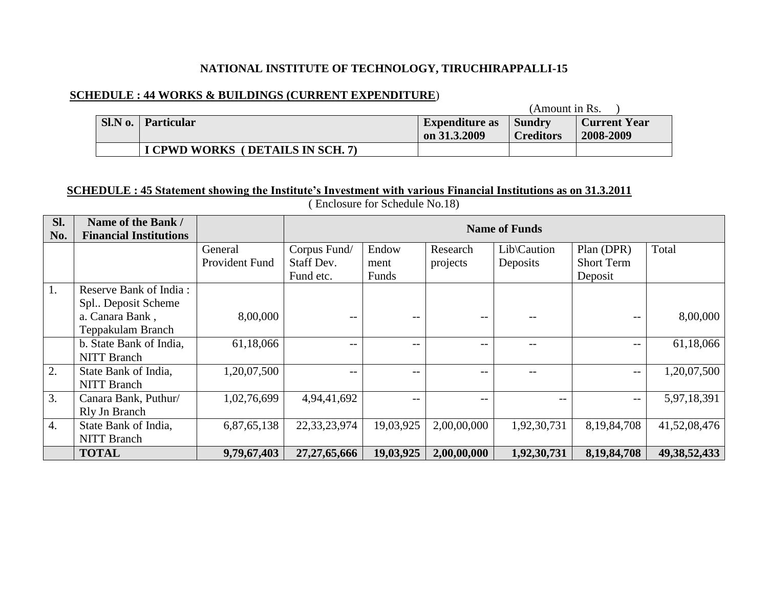#### **NATIONAL INSTITUTE OF TECHNOLOGY, TIRUCHIRAPPALLI-15**

#### **SCHEDULE : 44 WORKS & BUILDINGS (CURRENT EXPENDITURE**)

| (Amount in Rs. |                                  |                                       |                            |                                  |
|----------------|----------------------------------|---------------------------------------|----------------------------|----------------------------------|
| $SIN$ 0.       | Particular                       | <b>Expenditure as</b><br>on 31.3.2009 | Sundry<br><b>Creditors</b> | <b>Current Year</b><br>2008-2009 |
|                | I CPWD WORKS (DETAILS IN SCH. 7) |                                       |                            |                                  |

#### **SCHEDULE : 45 Statement showing the Institute"s Investment with various Financial Institutions as on 31.3.2011**

| Sl.<br>No.       | Name of the Bank /<br><b>Financial Institutions</b> |                | <b>Name of Funds</b> |                   |                   |             |                   |                 |
|------------------|-----------------------------------------------------|----------------|----------------------|-------------------|-------------------|-------------|-------------------|-----------------|
|                  |                                                     | General        | Corpus Fund/         | Endow             | Research          | Lib\Caution | Plan (DPR)        | Total           |
|                  |                                                     | Provident Fund | Staff Dev.           | ment              | projects          | Deposits    | <b>Short Term</b> |                 |
|                  |                                                     |                | Fund etc.            | Funds             |                   |             | Deposit           |                 |
| 1.               | Reserve Bank of India:                              |                |                      |                   |                   |             |                   |                 |
|                  | Spl Deposit Scheme                                  |                |                      |                   |                   |             |                   |                 |
|                  | a. Canara Bank,                                     | 8,00,000       | --                   | --                | --                |             | --                | 8,00,000        |
|                  | Teppakulam Branch                                   |                |                      |                   |                   |             |                   |                 |
|                  | b. State Bank of India,                             | 61,18,066      | --                   | $\qquad \qquad -$ | $\qquad \qquad -$ |             | --                | 61,18,066       |
|                  | <b>NITT</b> Branch                                  |                |                      |                   |                   |             |                   |                 |
| 2.               | State Bank of India,                                | 1,20,07,500    | --                   | $- -$             | --                |             | --                | 1,20,07,500     |
|                  | <b>NITT</b> Branch                                  |                |                      |                   |                   |             |                   |                 |
| 3.               | Canara Bank, Puthur/                                | 1,02,76,699    | 4,94,41,692          | --                | --                |             | $- -$             | 5,97,18,391     |
|                  | Rly Jn Branch                                       |                |                      |                   |                   |             |                   |                 |
| $\overline{4}$ . | State Bank of India,                                | 6,87,65,138    | 22, 33, 23, 974      | 19,03,925         | 2,00,00,000       | 1,92,30,731 | 8,19,84,708       | 41,52,08,476    |
|                  | <b>NITT</b> Branch                                  |                |                      |                   |                   |             |                   |                 |
|                  | <b>TOTAL</b>                                        | 9,79,67,403    | 27, 27, 65, 666      | 19,03,925         | 2,00,00,000       | 1,92,30,731 | 8,19,84,708       | 49, 38, 52, 433 |

( Enclosure for Schedule No.18)